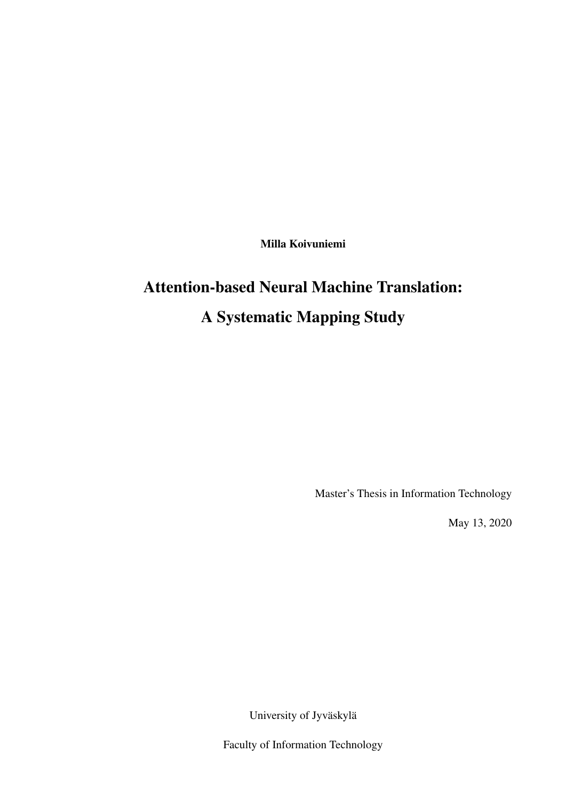Milla Koivuniemi

# Attention-based Neural Machine Translation: A Systematic Mapping Study

Master's Thesis in Information Technology

May 13, 2020

University of Jyväskylä

Faculty of Information Technology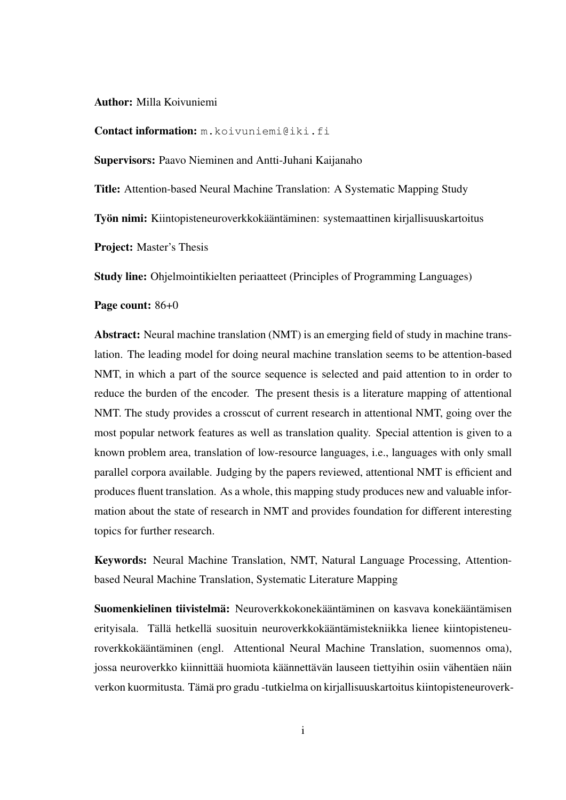#### Author: Milla Koivuniemi

Contact information: m.koivuniemi@iki.fi

Supervisors: Paavo Nieminen and Antti-Juhani Kaijanaho

Title: Attention-based Neural Machine Translation: A Systematic Mapping Study

Työn nimi: Kiintopisteneuroverkkokääntäminen: systemaattinen kirjallisuuskartoitus

Project: Master's Thesis

Study line: Ohjelmointikielten periaatteet (Principles of Programming Languages)

Page count: 86+0

Abstract: Neural machine translation (NMT) is an emerging field of study in machine translation. The leading model for doing neural machine translation seems to be attention-based NMT, in which a part of the source sequence is selected and paid attention to in order to reduce the burden of the encoder. The present thesis is a literature mapping of attentional NMT. The study provides a crosscut of current research in attentional NMT, going over the most popular network features as well as translation quality. Special attention is given to a known problem area, translation of low-resource languages, i.e., languages with only small parallel corpora available. Judging by the papers reviewed, attentional NMT is efficient and produces fluent translation. As a whole, this mapping study produces new and valuable information about the state of research in NMT and provides foundation for different interesting topics for further research.

Keywords: Neural Machine Translation, NMT, Natural Language Processing, Attentionbased Neural Machine Translation, Systematic Literature Mapping

Suomenkielinen tiivistelmä: Neuroverkkokonekääntäminen on kasvava konekääntämisen erityisala. Tällä hetkellä suosituin neuroverkkokääntämistekniikka lienee kiintopisteneuroverkkokääntäminen (engl. Attentional Neural Machine Translation, suomennos oma), jossa neuroverkko kiinnittää huomiota käännettävän lauseen tiettyihin osiin vähentäen näin verkon kuormitusta. Tämä pro gradu -tutkielma on kirjallisuuskartoitus kiintopisteneuroverk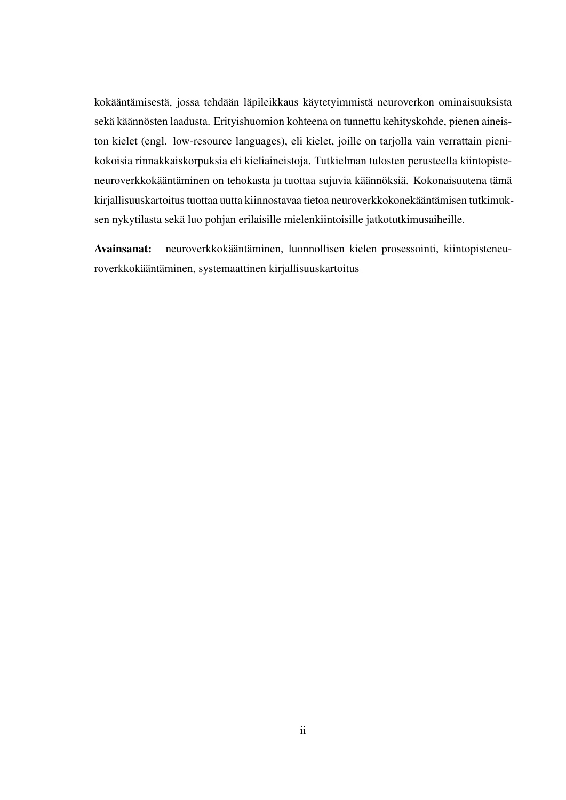kokääntämisestä, jossa tehdään läpileikkaus käytetyimmistä neuroverkon ominaisuuksista sekä käännösten laadusta. Erityishuomion kohteena on tunnettu kehityskohde, pienen aineiston kielet (engl. low-resource languages), eli kielet, joille on tarjolla vain verrattain pienikokoisia rinnakkaiskorpuksia eli kieliaineistoja. Tutkielman tulosten perusteella kiintopisteneuroverkkokääntäminen on tehokasta ja tuottaa sujuvia käännöksiä. Kokonaisuutena tämä kirjallisuuskartoitus tuottaa uutta kiinnostavaa tietoa neuroverkkokonekääntämisen tutkimuksen nykytilasta sekä luo pohjan erilaisille mielenkiintoisille jatkotutkimusaiheille.

Avainsanat: neuroverkkokääntäminen, luonnollisen kielen prosessointi, kiintopisteneuroverkkokääntäminen, systemaattinen kirjallisuuskartoitus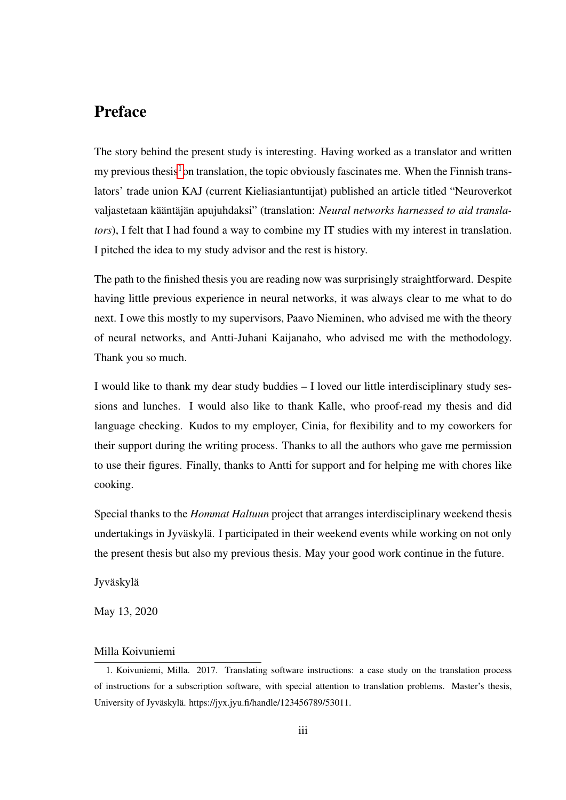### Preface

The story behind the present study is interesting. Having worked as a translator and written my previous thesis<sup>[1](#page-3-0)</sup> on translation, the topic obviously fascinates me. When the Finnish translators' trade union KAJ (current Kieliasiantuntijat) published an article titled "Neuroverkot valjastetaan kääntäjän apujuhdaksi" (translation: *Neural networks harnessed to aid translators*), I felt that I had found a way to combine my IT studies with my interest in translation. I pitched the idea to my study advisor and the rest is history.

The path to the finished thesis you are reading now was surprisingly straightforward. Despite having little previous experience in neural networks, it was always clear to me what to do next. I owe this mostly to my supervisors, Paavo Nieminen, who advised me with the theory of neural networks, and Antti-Juhani Kaijanaho, who advised me with the methodology. Thank you so much.

I would like to thank my dear study buddies – I loved our little interdisciplinary study sessions and lunches. I would also like to thank Kalle, who proof-read my thesis and did language checking. Kudos to my employer, Cinia, for flexibility and to my coworkers for their support during the writing process. Thanks to all the authors who gave me permission to use their figures. Finally, thanks to Antti for support and for helping me with chores like cooking.

Special thanks to the *Hommat Haltuun* project that arranges interdisciplinary weekend thesis undertakings in Jyväskylä. I participated in their weekend events while working on not only the present thesis but also my previous thesis. May your good work continue in the future.

Jyväskylä

May 13, 2020

#### Milla Koivuniemi

<span id="page-3-0"></span><sup>1.</sup> Koivuniemi, Milla. 2017. Translating software instructions: a case study on the translation process of instructions for a subscription software, with special attention to translation problems. Master's thesis, University of Jyväskylä. https://jyx.jyu.fi/handle/123456789/53011.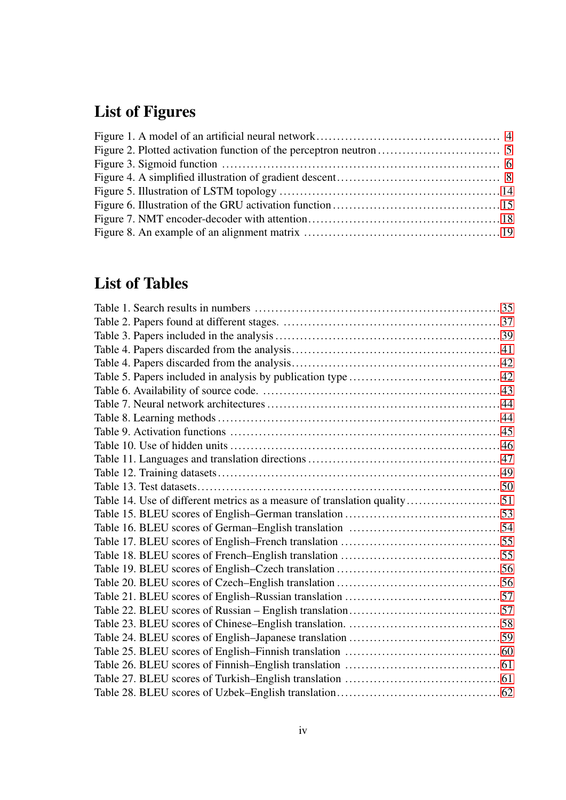## List of Figures

## List of Tables

| Table 14. Use of different metrics as a measure of translation quality51 |  |
|--------------------------------------------------------------------------|--|
|                                                                          |  |
|                                                                          |  |
|                                                                          |  |
|                                                                          |  |
|                                                                          |  |
|                                                                          |  |
|                                                                          |  |
|                                                                          |  |
|                                                                          |  |
|                                                                          |  |
|                                                                          |  |
|                                                                          |  |
|                                                                          |  |
|                                                                          |  |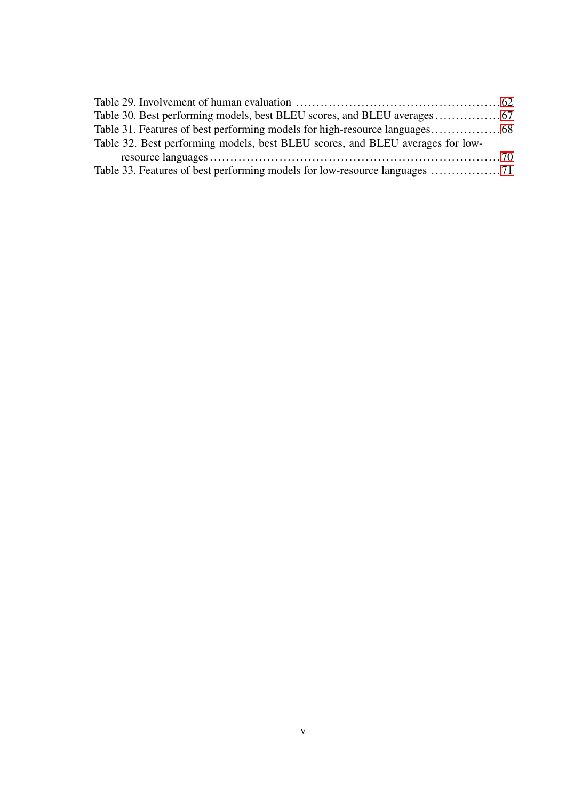| Table 32. Best performing models, best BLEU scores, and BLEU averages for low- |  |
|--------------------------------------------------------------------------------|--|
|                                                                                |  |
|                                                                                |  |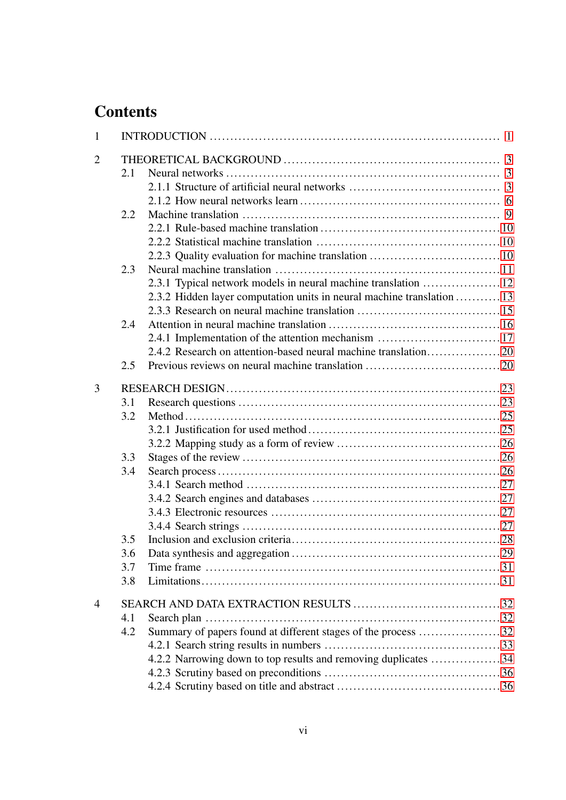## **Contents**

| $\mathbf{1}$   |     |                                                                        |  |  |  |
|----------------|-----|------------------------------------------------------------------------|--|--|--|
| $\overline{2}$ |     |                                                                        |  |  |  |
|                | 2.1 |                                                                        |  |  |  |
|                |     |                                                                        |  |  |  |
|                |     |                                                                        |  |  |  |
|                | 2.2 |                                                                        |  |  |  |
|                |     |                                                                        |  |  |  |
|                |     |                                                                        |  |  |  |
|                |     | 2.2.3 Quality evaluation for machine translation  10                   |  |  |  |
|                | 2.3 |                                                                        |  |  |  |
|                |     | 2.3.1 Typical network models in neural machine translation  12         |  |  |  |
|                |     | 2.3.2 Hidden layer computation units in neural machine translation  13 |  |  |  |
|                |     |                                                                        |  |  |  |
|                | 2.4 |                                                                        |  |  |  |
|                |     | 2.4.1 Implementation of the attention mechanism  17                    |  |  |  |
|                |     |                                                                        |  |  |  |
|                | 2.5 |                                                                        |  |  |  |
| 3              |     |                                                                        |  |  |  |
|                | 3.1 |                                                                        |  |  |  |
|                | 3.2 |                                                                        |  |  |  |
|                |     |                                                                        |  |  |  |
|                |     |                                                                        |  |  |  |
|                | 3.3 |                                                                        |  |  |  |
|                | 3.4 |                                                                        |  |  |  |
|                |     |                                                                        |  |  |  |
|                |     |                                                                        |  |  |  |
|                |     |                                                                        |  |  |  |
|                |     |                                                                        |  |  |  |
|                | 3.5 |                                                                        |  |  |  |
|                | 3.6 |                                                                        |  |  |  |
|                | 3.7 |                                                                        |  |  |  |
|                | 3.8 |                                                                        |  |  |  |
| $\overline{4}$ |     |                                                                        |  |  |  |
|                | 4.1 |                                                                        |  |  |  |
|                | 4.2 | Summary of papers found at different stages of the process 32          |  |  |  |
|                |     |                                                                        |  |  |  |
|                |     | 4.2.2 Narrowing down to top results and removing duplicates 34         |  |  |  |
|                |     |                                                                        |  |  |  |
|                |     |                                                                        |  |  |  |
|                |     |                                                                        |  |  |  |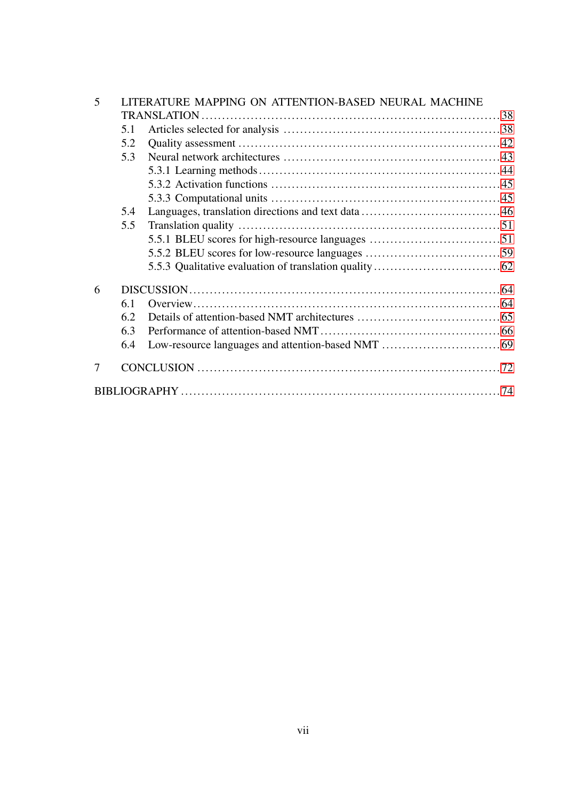| 5 | LITERATURE MAPPING ON ATTENTION-BASED NEURAL MACHINE |  |  |
|---|------------------------------------------------------|--|--|
|   |                                                      |  |  |
|   | 5.1                                                  |  |  |
|   | 5.2                                                  |  |  |
|   | 5.3                                                  |  |  |
|   |                                                      |  |  |
|   |                                                      |  |  |
|   |                                                      |  |  |
|   | 5.4                                                  |  |  |
|   | 5.5                                                  |  |  |
|   |                                                      |  |  |
|   |                                                      |  |  |
|   |                                                      |  |  |
| 6 |                                                      |  |  |
|   | 6.1                                                  |  |  |
|   | 6.2                                                  |  |  |
|   | 6.3                                                  |  |  |
|   | 6.4                                                  |  |  |
| 7 |                                                      |  |  |
|   |                                                      |  |  |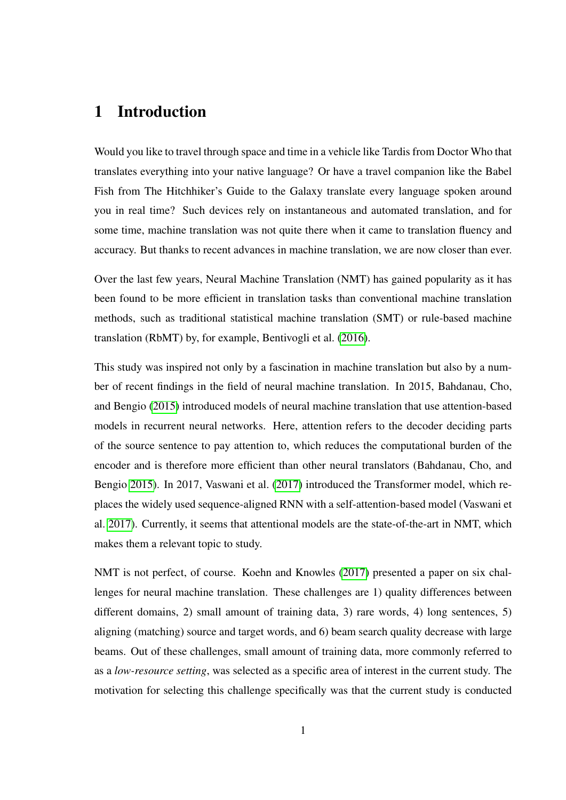### <span id="page-8-0"></span>1 Introduction

Would you like to travel through space and time in a vehicle like Tardis from Doctor Who that translates everything into your native language? Or have a travel companion like the Babel Fish from The Hitchhiker's Guide to the Galaxy translate every language spoken around you in real time? Such devices rely on instantaneous and automated translation, and for some time, machine translation was not quite there when it came to translation fluency and accuracy. But thanks to recent advances in machine translation, we are now closer than ever.

Over the last few years, Neural Machine Translation (NMT) has gained popularity as it has been found to be more efficient in translation tasks than conventional machine translation methods, such as traditional statistical machine translation (SMT) or rule-based machine translation (RbMT) by, for example, Bentivogli et al. [\(2016\)](#page-81-1).

This study was inspired not only by a fascination in machine translation but also by a number of recent findings in the field of neural machine translation. In 2015, Bahdanau, Cho, and Bengio [\(2015\)](#page-81-2) introduced models of neural machine translation that use attention-based models in recurrent neural networks. Here, attention refers to the decoder deciding parts of the source sentence to pay attention to, which reduces the computational burden of the encoder and is therefore more efficient than other neural translators (Bahdanau, Cho, and Bengio [2015\)](#page-81-2). In 2017, Vaswani et al. [\(2017\)](#page-85-0) introduced the Transformer model, which replaces the widely used sequence-aligned RNN with a self-attention-based model (Vaswani et al. [2017\)](#page-85-0). Currently, it seems that attentional models are the state-of-the-art in NMT, which makes them a relevant topic to study.

NMT is not perfect, of course. Koehn and Knowles [\(2017\)](#page-83-0) presented a paper on six challenges for neural machine translation. These challenges are 1) quality differences between different domains, 2) small amount of training data, 3) rare words, 4) long sentences, 5) aligning (matching) source and target words, and 6) beam search quality decrease with large beams. Out of these challenges, small amount of training data, more commonly referred to as a *low-resource setting*, was selected as a specific area of interest in the current study. The motivation for selecting this challenge specifically was that the current study is conducted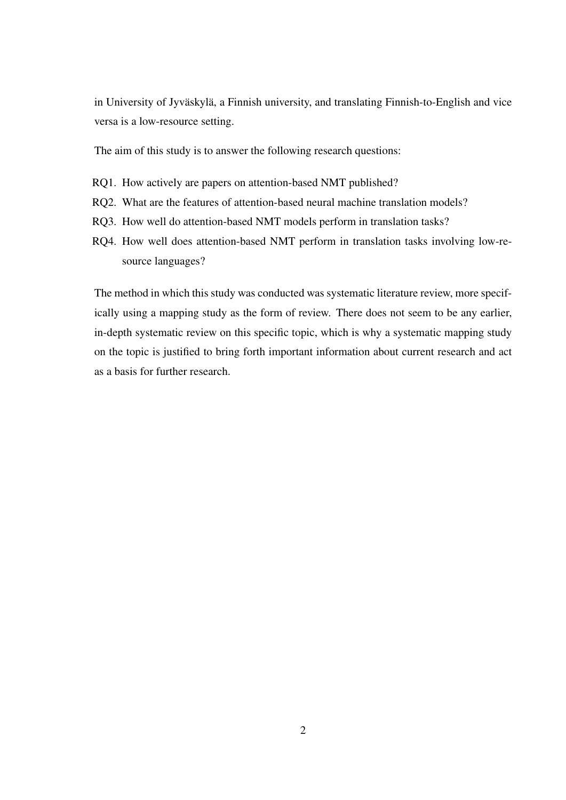in University of Jyväskylä, a Finnish university, and translating Finnish-to-English and vice versa is a low-resource setting.

The aim of this study is to answer the following research questions:

- RQ1. How actively are papers on attention-based NMT published?
- RQ2. What are the features of attention-based neural machine translation models?
- RQ3. How well do attention-based NMT models perform in translation tasks?
- RQ4. How well does attention-based NMT perform in translation tasks involving low-resource languages?

The method in which this study was conducted was systematic literature review, more specifically using a mapping study as the form of review. There does not seem to be any earlier, in-depth systematic review on this specific topic, which is why a systematic mapping study on the topic is justified to bring forth important information about current research and act as a basis for further research.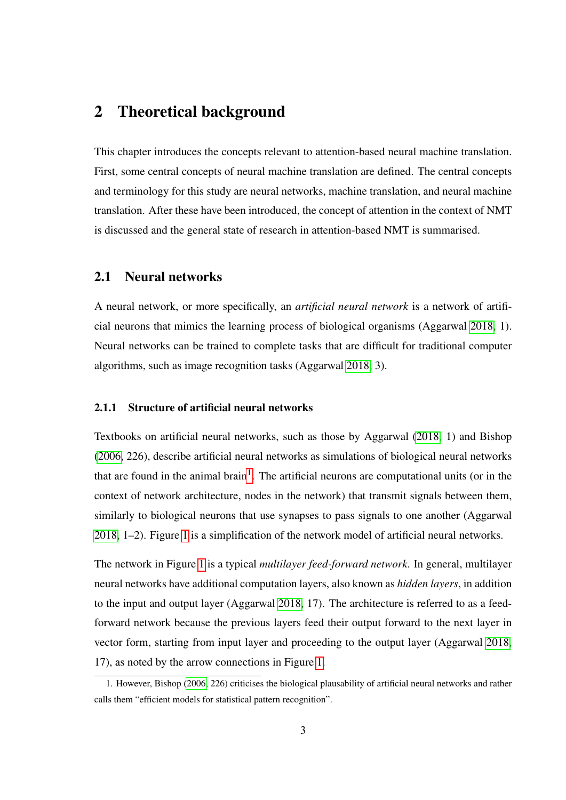## <span id="page-10-0"></span>2 Theoretical background

This chapter introduces the concepts relevant to attention-based neural machine translation. First, some central concepts of neural machine translation are defined. The central concepts and terminology for this study are neural networks, machine translation, and neural machine translation. After these have been introduced, the concept of attention in the context of NMT is discussed and the general state of research in attention-based NMT is summarised.

#### <span id="page-10-1"></span>2.1 Neural networks

A neural network, or more specifically, an *artificial neural network* is a network of artificial neurons that mimics the learning process of biological organisms (Aggarwal [2018,](#page-81-3) 1). Neural networks can be trained to complete tasks that are difficult for traditional computer algorithms, such as image recognition tasks (Aggarwal [2018,](#page-81-3) 3).

#### <span id="page-10-2"></span>2.1.1 Structure of artificial neural networks

Textbooks on artificial neural networks, such as those by Aggarwal [\(2018,](#page-81-3) 1) and Bishop [\(2006,](#page-81-4) 226), describe artificial neural networks as simulations of biological neural networks that are found in the animal brain<sup>[1](#page-10-3)</sup>. The artificial neurons are computational units (or in the context of network architecture, nodes in the network) that transmit signals between them, similarly to biological neurons that use synapses to pass signals to one another (Aggarwal [2018,](#page-81-3) 1–2). Figure [1](#page-11-0) is a simplification of the network model of artificial neural networks.

The network in Figure [1](#page-11-0) is a typical *multilayer feed-forward network*. In general, multilayer neural networks have additional computation layers, also known as *hidden layers*, in addition to the input and output layer (Aggarwal [2018,](#page-81-3) 17). The architecture is referred to as a feedforward network because the previous layers feed their output forward to the next layer in vector form, starting from input layer and proceeding to the output layer (Aggarwal [2018,](#page-81-3) 17), as noted by the arrow connections in Figure [1.](#page-11-0)

<span id="page-10-3"></span><sup>1.</sup> However, Bishop [\(2006,](#page-81-4) 226) criticises the biological plausability of artificial neural networks and rather calls them "efficient models for statistical pattern recognition".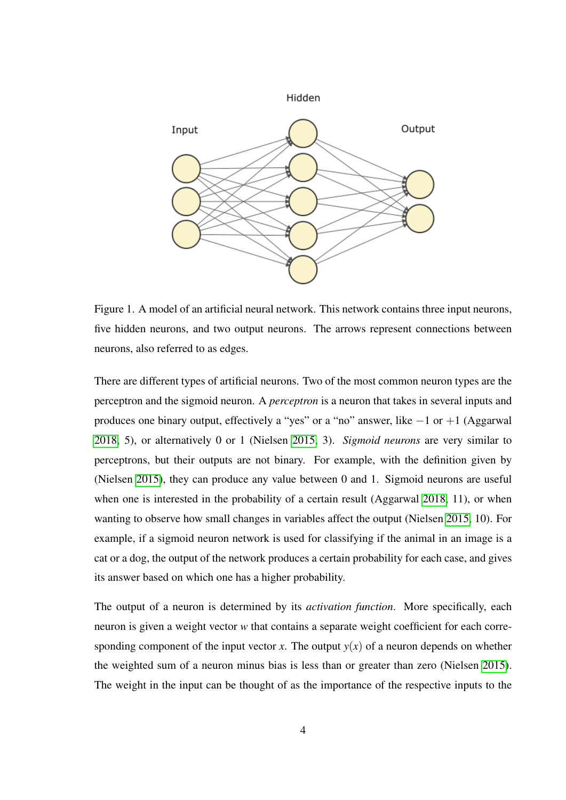

<span id="page-11-0"></span>Figure 1. A model of an artificial neural network. This network contains three input neurons, five hidden neurons, and two output neurons. The arrows represent connections between neurons, also referred to as edges.

There are different types of artificial neurons. Two of the most common neuron types are the perceptron and the sigmoid neuron. A *perceptron* is a neuron that takes in several inputs and produces one binary output, effectively a "yes" or a "no" answer, like  $-1$  or  $+1$  (Aggarwal [2018,](#page-81-3) 5), or alternatively 0 or 1 (Nielsen [2015,](#page-84-0) 3). *Sigmoid neurons* are very similar to perceptrons, but their outputs are not binary. For example, with the definition given by (Nielsen [2015\)](#page-84-0), they can produce any value between 0 and 1. Sigmoid neurons are useful when one is interested in the probability of a certain result (Aggarwal [2018,](#page-81-3) 11), or when wanting to observe how small changes in variables affect the output (Nielsen [2015,](#page-84-0) 10). For example, if a sigmoid neuron network is used for classifying if the animal in an image is a cat or a dog, the output of the network produces a certain probability for each case, and gives its answer based on which one has a higher probability.

The output of a neuron is determined by its *activation function*. More specifically, each neuron is given a weight vector *w* that contains a separate weight coefficient for each corresponding component of the input vector *x*. The output  $y(x)$  of a neuron depends on whether the weighted sum of a neuron minus bias is less than or greater than zero (Nielsen [2015\)](#page-84-0). The weight in the input can be thought of as the importance of the respective inputs to the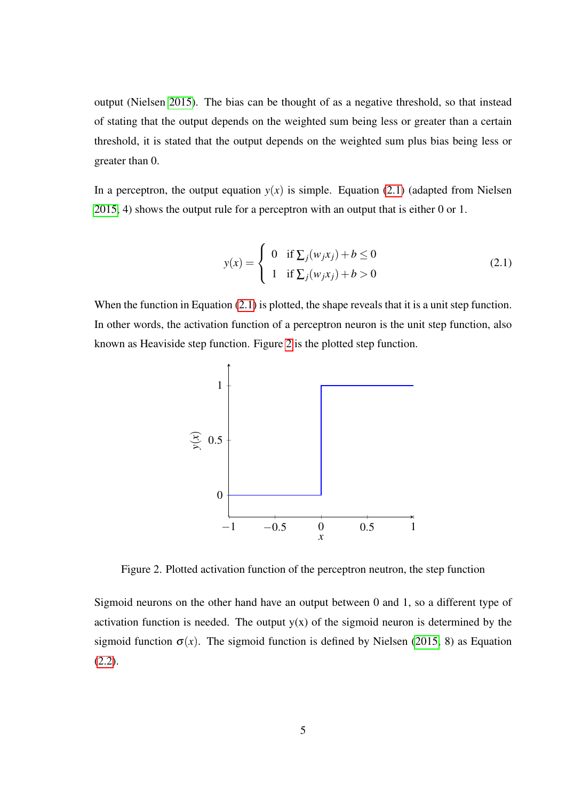output (Nielsen [2015\)](#page-84-0). The bias can be thought of as a negative threshold, so that instead of stating that the output depends on the weighted sum being less or greater than a certain threshold, it is stated that the output depends on the weighted sum plus bias being less or greater than 0.

In a perceptron, the output equation  $y(x)$  is simple. Equation [\(2.1\)](#page-12-1) (adapted from Nielsen [2015,](#page-84-0) 4) shows the output rule for a perceptron with an output that is either 0 or 1.

<span id="page-12-1"></span>
$$
y(x) = \begin{cases} 0 & \text{if } \sum_j (w_j x_j) + b \le 0 \\ 1 & \text{if } \sum_j (w_j x_j) + b > 0 \end{cases}
$$
 (2.1)

When the function in Equation [\(2.1\)](#page-12-1) is plotted, the shape reveals that it is a unit step function. In other words, the activation function of a perceptron neuron is the unit step function, also known as Heaviside step function. Figure [2](#page-12-0) is the plotted step function.



<span id="page-12-0"></span>Figure 2. Plotted activation function of the perceptron neutron, the step function

Sigmoid neurons on the other hand have an output between 0 and 1, so a different type of activation function is needed. The output  $y(x)$  of the sigmoid neuron is determined by the sigmoid function  $\sigma(x)$ . The sigmoid function is defined by Nielsen [\(2015,](#page-84-0) 8) as Equation  $(2.2)$ .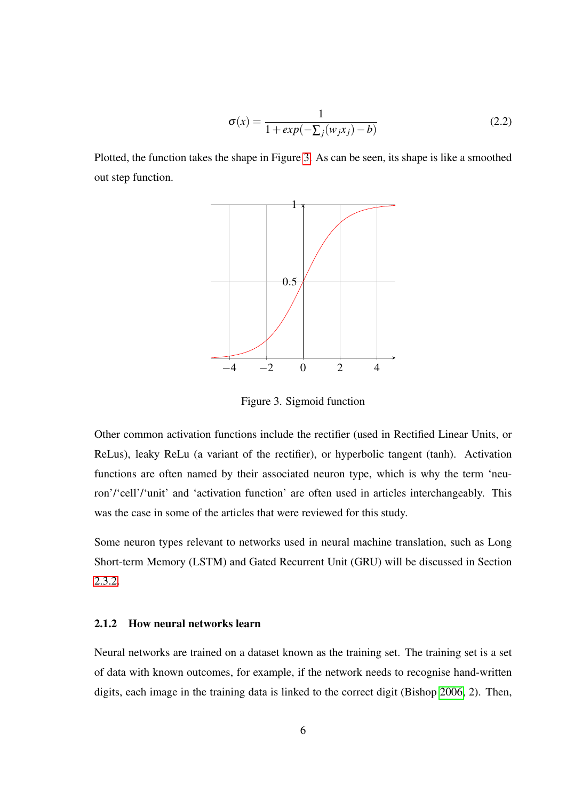<span id="page-13-2"></span>
$$
\sigma(x) = \frac{1}{1 + exp(-\sum_j (w_j x_j) - b)}\tag{2.2}
$$

Plotted, the function takes the shape in Figure [3.](#page-13-0) As can be seen, its shape is like a smoothed out step function.



<span id="page-13-0"></span>Figure 3. Sigmoid function

Other common activation functions include the rectifier (used in Rectified Linear Units, or ReLus), leaky ReLu (a variant of the rectifier), or hyperbolic tangent (tanh). Activation functions are often named by their associated neuron type, which is why the term 'neuron'/'cell'/'unit' and 'activation function' are often used in articles interchangeably. This was the case in some of the articles that were reviewed for this study.

Some neuron types relevant to networks used in neural machine translation, such as Long Short-term Memory (LSTM) and Gated Recurrent Unit (GRU) will be discussed in Section [2.3.2.](#page-20-0)

#### <span id="page-13-1"></span>2.1.2 How neural networks learn

Neural networks are trained on a dataset known as the training set. The training set is a set of data with known outcomes, for example, if the network needs to recognise hand-written digits, each image in the training data is linked to the correct digit (Bishop [2006,](#page-81-4) 2). Then,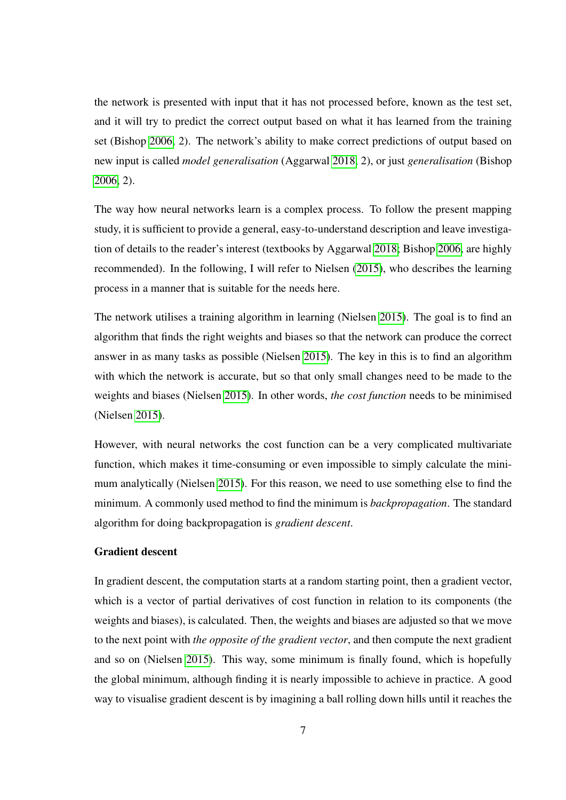the network is presented with input that it has not processed before, known as the test set, and it will try to predict the correct output based on what it has learned from the training set (Bishop [2006,](#page-81-4) 2). The network's ability to make correct predictions of output based on new input is called *model generalisation* (Aggarwal [2018,](#page-81-3) 2), or just *generalisation* (Bishop [2006,](#page-81-4) 2).

The way how neural networks learn is a complex process. To follow the present mapping study, it is sufficient to provide a general, easy-to-understand description and leave investigation of details to the reader's interest (textbooks by Aggarwal [2018;](#page-81-3) Bishop [2006,](#page-81-4) are highly recommended). In the following, I will refer to Nielsen [\(2015\)](#page-84-0), who describes the learning process in a manner that is suitable for the needs here.

The network utilises a training algorithm in learning (Nielsen [2015\)](#page-84-0). The goal is to find an algorithm that finds the right weights and biases so that the network can produce the correct answer in as many tasks as possible (Nielsen [2015\)](#page-84-0). The key in this is to find an algorithm with which the network is accurate, but so that only small changes need to be made to the weights and biases (Nielsen [2015\)](#page-84-0). In other words, *the cost function* needs to be minimised (Nielsen [2015\)](#page-84-0).

However, with neural networks the cost function can be a very complicated multivariate function, which makes it time-consuming or even impossible to simply calculate the minimum analytically (Nielsen [2015\)](#page-84-0). For this reason, we need to use something else to find the minimum. A commonly used method to find the minimum is *backpropagation*. The standard algorithm for doing backpropagation is *gradient descent*.

#### Gradient descent

In gradient descent, the computation starts at a random starting point, then a gradient vector, which is a vector of partial derivatives of cost function in relation to its components (the weights and biases), is calculated. Then, the weights and biases are adjusted so that we move to the next point with *the opposite of the gradient vector*, and then compute the next gradient and so on (Nielsen [2015\)](#page-84-0). This way, some minimum is finally found, which is hopefully the global minimum, although finding it is nearly impossible to achieve in practice. A good way to visualise gradient descent is by imagining a ball rolling down hills until it reaches the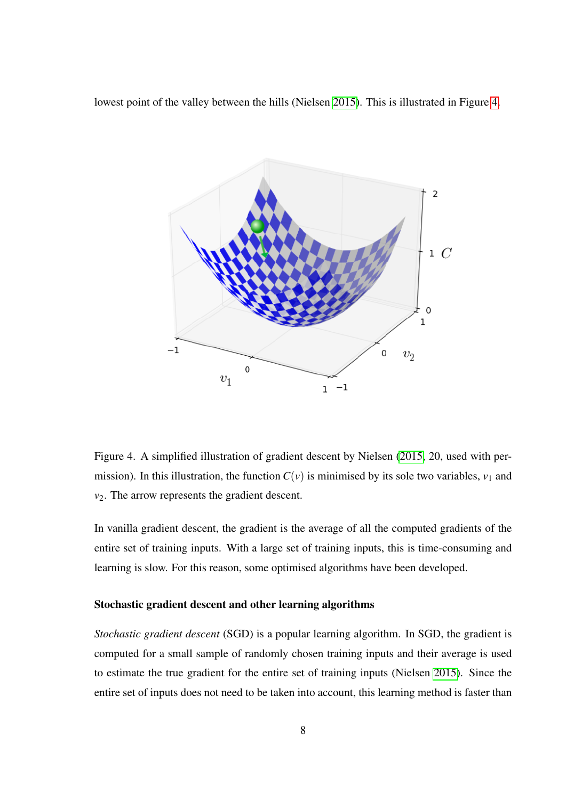lowest point of the valley between the hills (Nielsen [2015\)](#page-84-0). This is illustrated in Figure [4.](#page-15-0)



<span id="page-15-0"></span>Figure 4. A simplified illustration of gradient descent by Nielsen [\(2015,](#page-84-0) 20, used with permission). In this illustration, the function  $C(v)$  is minimised by its sole two variables,  $v_1$  and *v*2. The arrow represents the gradient descent.

In vanilla gradient descent, the gradient is the average of all the computed gradients of the entire set of training inputs. With a large set of training inputs, this is time-consuming and learning is slow. For this reason, some optimised algorithms have been developed.

#### Stochastic gradient descent and other learning algorithms

*Stochastic gradient descent* (SGD) is a popular learning algorithm. In SGD, the gradient is computed for a small sample of randomly chosen training inputs and their average is used to estimate the true gradient for the entire set of training inputs (Nielsen [2015\)](#page-84-0). Since the entire set of inputs does not need to be taken into account, this learning method is faster than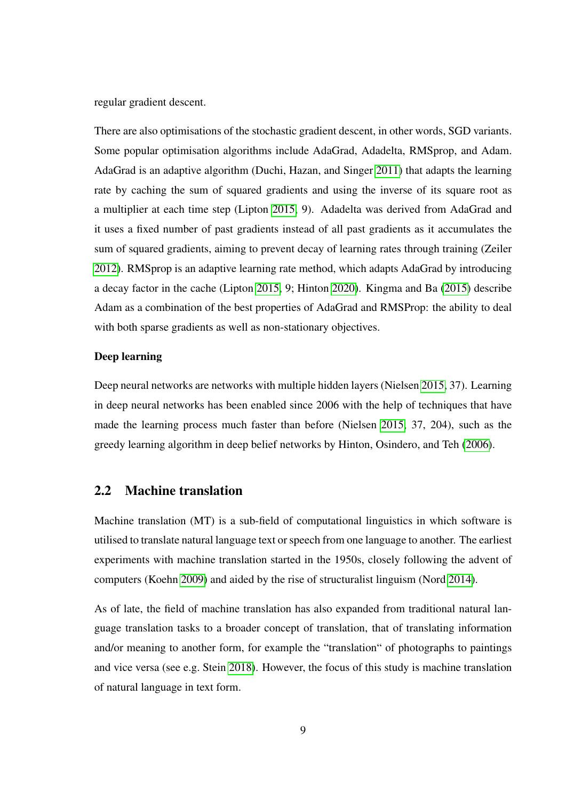regular gradient descent.

There are also optimisations of the stochastic gradient descent, in other words, SGD variants. Some popular optimisation algorithms include AdaGrad, Adadelta, RMSprop, and Adam. AdaGrad is an adaptive algorithm (Duchi, Hazan, and Singer [2011\)](#page-82-0) that adapts the learning rate by caching the sum of squared gradients and using the inverse of its square root as a multiplier at each time step (Lipton [2015,](#page-84-1) 9). Adadelta was derived from AdaGrad and it uses a fixed number of past gradients instead of all past gradients as it accumulates the sum of squared gradients, aiming to prevent decay of learning rates through training (Zeiler [2012\)](#page-85-1). RMSprop is an adaptive learning rate method, which adapts AdaGrad by introducing a decay factor in the cache (Lipton [2015,](#page-84-1) 9; Hinton [2020\)](#page-83-1). Kingma and Ba [\(2015\)](#page-83-2) describe Adam as a combination of the best properties of AdaGrad and RMSProp: the ability to deal with both sparse gradients as well as non-stationary objectives.

#### Deep learning

Deep neural networks are networks with multiple hidden layers (Nielsen [2015,](#page-84-0) 37). Learning in deep neural networks has been enabled since 2006 with the help of techniques that have made the learning process much faster than before (Nielsen [2015,](#page-84-0) 37, 204), such as the greedy learning algorithm in deep belief networks by Hinton, Osindero, and Teh [\(2006\)](#page-83-3).

#### <span id="page-16-0"></span>2.2 Machine translation

Machine translation (MT) is a sub-field of computational linguistics in which software is utilised to translate natural language text or speech from one language to another. The earliest experiments with machine translation started in the 1950s, closely following the advent of computers (Koehn [2009\)](#page-83-4) and aided by the rise of structuralist linguism (Nord [2014\)](#page-84-2).

As of late, the field of machine translation has also expanded from traditional natural language translation tasks to a broader concept of translation, that of translating information and/or meaning to another form, for example the "translation" of photographs to paintings and vice versa (see e.g. Stein [2018\)](#page-85-2). However, the focus of this study is machine translation of natural language in text form.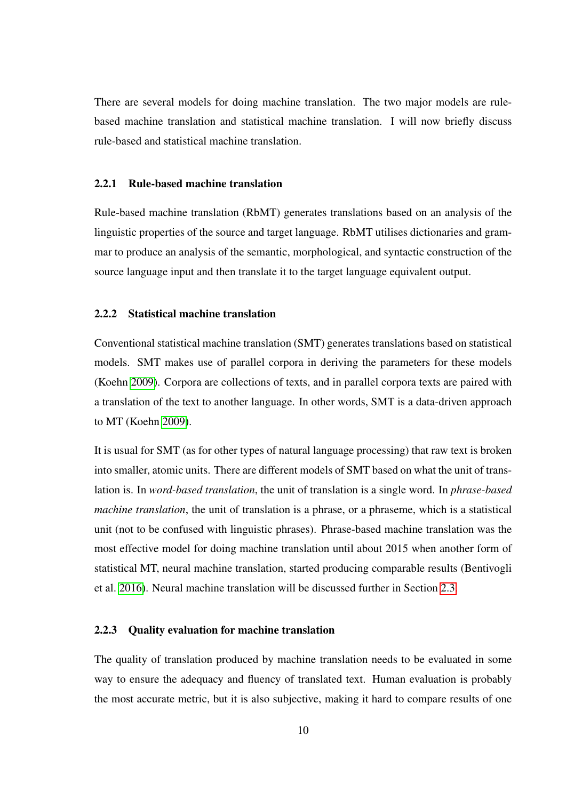There are several models for doing machine translation. The two major models are rulebased machine translation and statistical machine translation. I will now briefly discuss rule-based and statistical machine translation.

#### <span id="page-17-0"></span>2.2.1 Rule-based machine translation

Rule-based machine translation (RbMT) generates translations based on an analysis of the linguistic properties of the source and target language. RbMT utilises dictionaries and grammar to produce an analysis of the semantic, morphological, and syntactic construction of the source language input and then translate it to the target language equivalent output.

#### <span id="page-17-1"></span>2.2.2 Statistical machine translation

Conventional statistical machine translation (SMT) generates translations based on statistical models. SMT makes use of parallel corpora in deriving the parameters for these models (Koehn [2009\)](#page-83-4). Corpora are collections of texts, and in parallel corpora texts are paired with a translation of the text to another language. In other words, SMT is a data-driven approach to MT (Koehn [2009\)](#page-83-4).

It is usual for SMT (as for other types of natural language processing) that raw text is broken into smaller, atomic units. There are different models of SMT based on what the unit of translation is. In *word-based translation*, the unit of translation is a single word. In *phrase-based machine translation*, the unit of translation is a phrase, or a phraseme, which is a statistical unit (not to be confused with linguistic phrases). Phrase-based machine translation was the most effective model for doing machine translation until about 2015 when another form of statistical MT, neural machine translation, started producing comparable results (Bentivogli et al. [2016\)](#page-81-1). Neural machine translation will be discussed further in Section [2.3.](#page-18-0)

#### <span id="page-17-2"></span>2.2.3 Quality evaluation for machine translation

The quality of translation produced by machine translation needs to be evaluated in some way to ensure the adequacy and fluency of translated text. Human evaluation is probably the most accurate metric, but it is also subjective, making it hard to compare results of one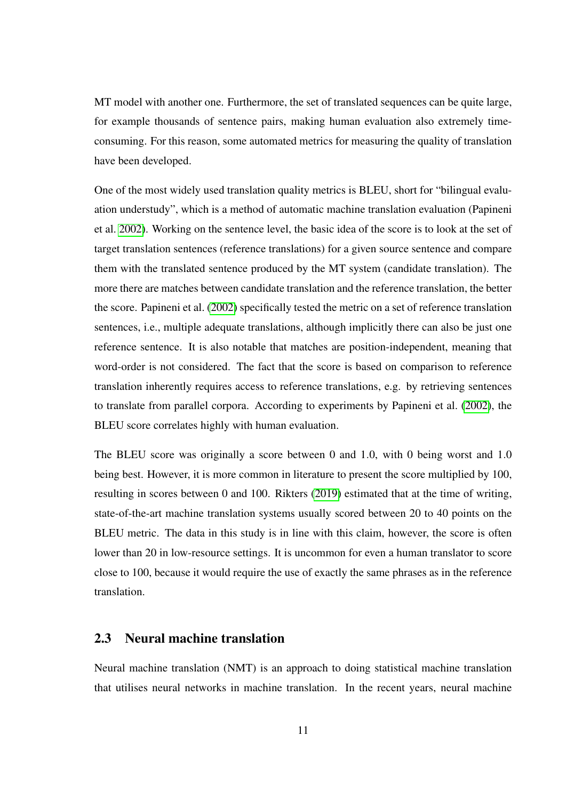MT model with another one. Furthermore, the set of translated sequences can be quite large, for example thousands of sentence pairs, making human evaluation also extremely timeconsuming. For this reason, some automated metrics for measuring the quality of translation have been developed.

One of the most widely used translation quality metrics is BLEU, short for "bilingual evaluation understudy", which is a method of automatic machine translation evaluation (Papineni et al. [2002\)](#page-84-3). Working on the sentence level, the basic idea of the score is to look at the set of target translation sentences (reference translations) for a given source sentence and compare them with the translated sentence produced by the MT system (candidate translation). The more there are matches between candidate translation and the reference translation, the better the score. Papineni et al. [\(2002\)](#page-84-3) specifically tested the metric on a set of reference translation sentences, i.e., multiple adequate translations, although implicitly there can also be just one reference sentence. It is also notable that matches are position-independent, meaning that word-order is not considered. The fact that the score is based on comparison to reference translation inherently requires access to reference translations, e.g. by retrieving sentences to translate from parallel corpora. According to experiments by Papineni et al. [\(2002\)](#page-84-3), the BLEU score correlates highly with human evaluation.

The BLEU score was originally a score between 0 and 1.0, with 0 being worst and 1.0 being best. However, it is more common in literature to present the score multiplied by 100, resulting in scores between 0 and 100. Rikters [\(2019\)](#page-84-4) estimated that at the time of writing, state-of-the-art machine translation systems usually scored between 20 to 40 points on the BLEU metric. The data in this study is in line with this claim, however, the score is often lower than 20 in low-resource settings. It is uncommon for even a human translator to score close to 100, because it would require the use of exactly the same phrases as in the reference translation.

#### <span id="page-18-0"></span>2.3 Neural machine translation

Neural machine translation (NMT) is an approach to doing statistical machine translation that utilises neural networks in machine translation. In the recent years, neural machine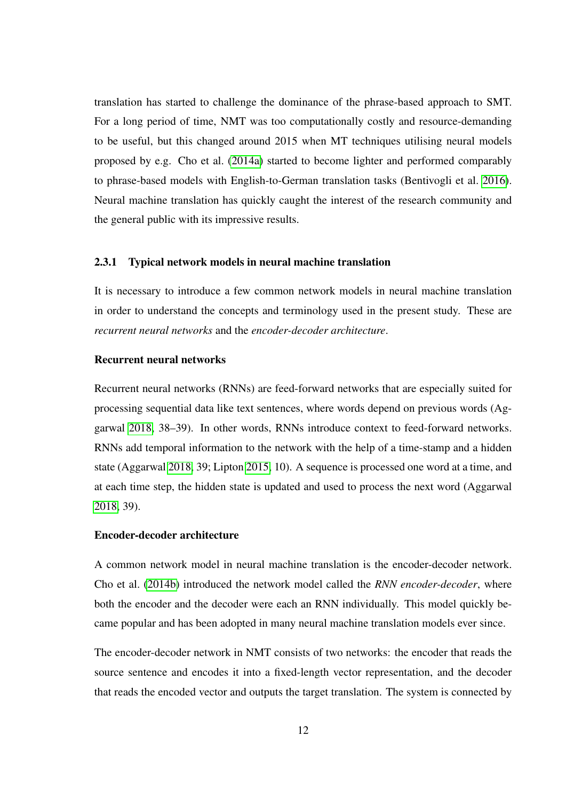translation has started to challenge the dominance of the phrase-based approach to SMT. For a long period of time, NMT was too computationally costly and resource-demanding to be useful, but this changed around 2015 when MT techniques utilising neural models proposed by e.g. Cho et al. [\(2014a\)](#page-82-1) started to become lighter and performed comparably to phrase-based models with English-to-German translation tasks (Bentivogli et al. [2016\)](#page-81-1). Neural machine translation has quickly caught the interest of the research community and the general public with its impressive results.

#### <span id="page-19-0"></span>2.3.1 Typical network models in neural machine translation

It is necessary to introduce a few common network models in neural machine translation in order to understand the concepts and terminology used in the present study. These are *recurrent neural networks* and the *encoder-decoder architecture*.

#### Recurrent neural networks

Recurrent neural networks (RNNs) are feed-forward networks that are especially suited for processing sequential data like text sentences, where words depend on previous words (Aggarwal [2018,](#page-81-3) 38–39). In other words, RNNs introduce context to feed-forward networks. RNNs add temporal information to the network with the help of a time-stamp and a hidden state (Aggarwal [2018,](#page-81-3) 39; Lipton [2015,](#page-84-1) 10). A sequence is processed one word at a time, and at each time step, the hidden state is updated and used to process the next word (Aggarwal [2018,](#page-81-3) 39).

#### Encoder-decoder architecture

A common network model in neural machine translation is the encoder-decoder network. Cho et al. [\(2014b\)](#page-82-2) introduced the network model called the *RNN encoder-decoder*, where both the encoder and the decoder were each an RNN individually. This model quickly became popular and has been adopted in many neural machine translation models ever since.

The encoder-decoder network in NMT consists of two networks: the encoder that reads the source sentence and encodes it into a fixed-length vector representation, and the decoder that reads the encoded vector and outputs the target translation. The system is connected by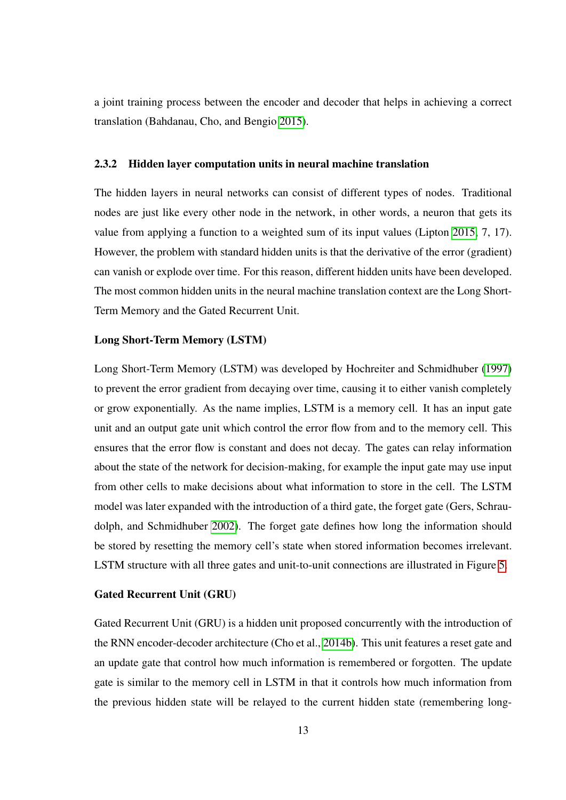a joint training process between the encoder and decoder that helps in achieving a correct translation (Bahdanau, Cho, and Bengio [2015\)](#page-81-2).

#### <span id="page-20-0"></span>2.3.2 Hidden layer computation units in neural machine translation

The hidden layers in neural networks can consist of different types of nodes. Traditional nodes are just like every other node in the network, in other words, a neuron that gets its value from applying a function to a weighted sum of its input values (Lipton [2015,](#page-84-1) 7, 17). However, the problem with standard hidden units is that the derivative of the error (gradient) can vanish or explode over time. For this reason, different hidden units have been developed. The most common hidden units in the neural machine translation context are the Long Short-Term Memory and the Gated Recurrent Unit.

#### Long Short-Term Memory (LSTM)

Long Short-Term Memory (LSTM) was developed by Hochreiter and Schmidhuber [\(1997\)](#page-83-5) to prevent the error gradient from decaying over time, causing it to either vanish completely or grow exponentially. As the name implies, LSTM is a memory cell. It has an input gate unit and an output gate unit which control the error flow from and to the memory cell. This ensures that the error flow is constant and does not decay. The gates can relay information about the state of the network for decision-making, for example the input gate may use input from other cells to make decisions about what information to store in the cell. The LSTM model was later expanded with the introduction of a third gate, the forget gate (Gers, Schraudolph, and Schmidhuber [2002\)](#page-83-6). The forget gate defines how long the information should be stored by resetting the memory cell's state when stored information becomes irrelevant. LSTM structure with all three gates and unit-to-unit connections are illustrated in Figure [5.](#page-21-0)

#### Gated Recurrent Unit (GRU)

Gated Recurrent Unit (GRU) is a hidden unit proposed concurrently with the introduction of the RNN encoder-decoder architecture (Cho et al., [2014b\)](#page-82-2). This unit features a reset gate and an update gate that control how much information is remembered or forgotten. The update gate is similar to the memory cell in LSTM in that it controls how much information from the previous hidden state will be relayed to the current hidden state (remembering long-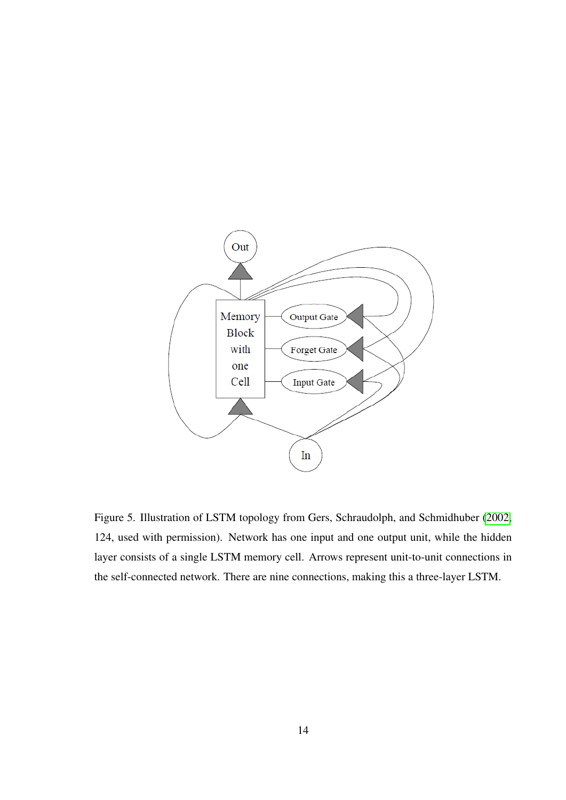

<span id="page-21-0"></span>Figure 5. Illustration of LSTM topology from Gers, Schraudolph, and Schmidhuber [\(2002,](#page-83-6) 124, used with permission). Network has one input and one output unit, while the hidden layer consists of a single LSTM memory cell. Arrows represent unit-to-unit connections in the self-connected network. There are nine connections, making this a three-layer LSTM.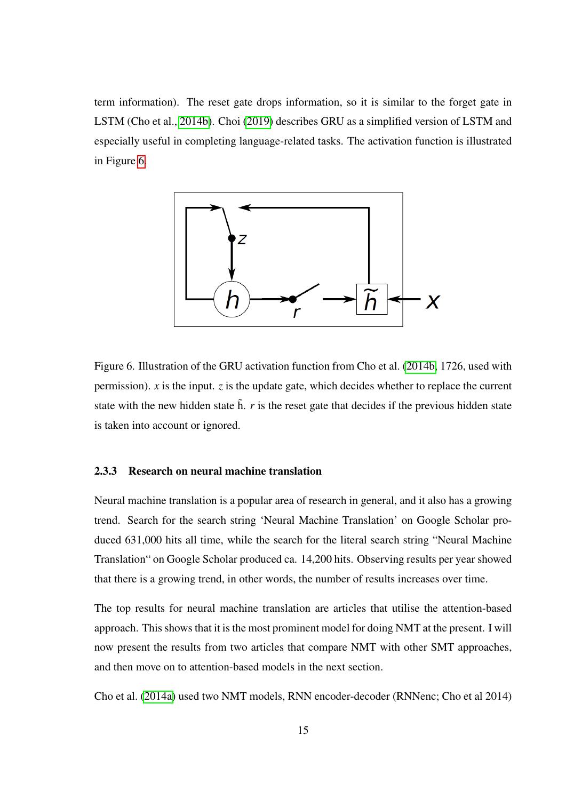term information). The reset gate drops information, so it is similar to the forget gate in LSTM (Cho et al., [2014b\)](#page-82-2). Choi [\(2019\)](#page-82-3) describes GRU as a simplified version of LSTM and especially useful in completing language-related tasks. The activation function is illustrated in Figure [6.](#page-22-0)



<span id="page-22-0"></span>Figure 6. Illustration of the GRU activation function from Cho et al. [\(2014b,](#page-82-2) 1726, used with permission).  $\dot{x}$  is the input.  $\dot{z}$  is the update gate, which decides whether to replace the current state with the new hidden state  $\tilde{h}$ .  $r$  is the reset gate that decides if the previous hidden state is taken into account or ignored.

#### <span id="page-22-1"></span>2.3.3 Research on neural machine translation

Neural machine translation is a popular area of research in general, and it also has a growing trend. Search for the search string 'Neural Machine Translation' on Google Scholar produced 631,000 hits all time, while the search for the literal search string "Neural Machine Translation" on Google Scholar produced ca. 14,200 hits. Observing results per year showed that there is a growing trend, in other words, the number of results increases over time.

The top results for neural machine translation are articles that utilise the attention-based approach. This shows that it is the most prominent model for doing NMT at the present. I will now present the results from two articles that compare NMT with other SMT approaches, and then move on to attention-based models in the next section.

Cho et al. [\(2014a\)](#page-82-1) used two NMT models, RNN encoder-decoder (RNNenc; Cho et al 2014)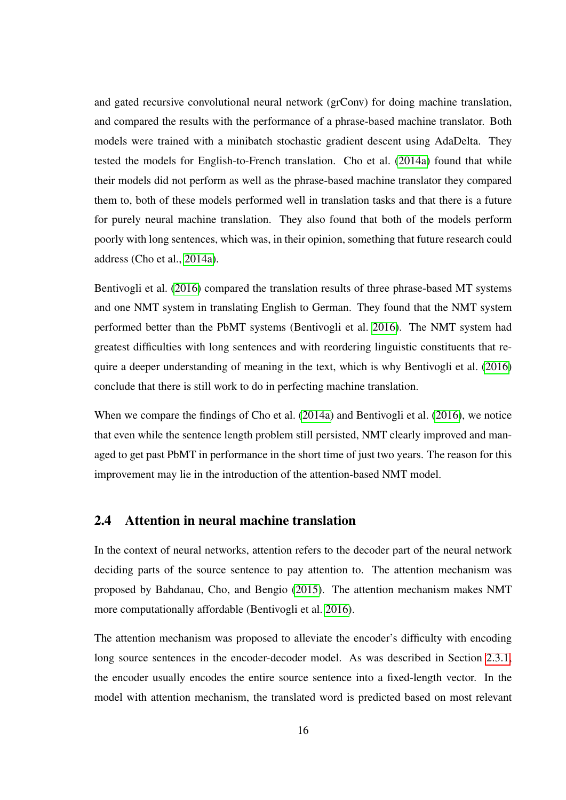and gated recursive convolutional neural network (grConv) for doing machine translation, and compared the results with the performance of a phrase-based machine translator. Both models were trained with a minibatch stochastic gradient descent using AdaDelta. They tested the models for English-to-French translation. Cho et al. [\(2014a\)](#page-82-1) found that while their models did not perform as well as the phrase-based machine translator they compared them to, both of these models performed well in translation tasks and that there is a future for purely neural machine translation. They also found that both of the models perform poorly with long sentences, which was, in their opinion, something that future research could address (Cho et al., [2014a\)](#page-82-1).

Bentivogli et al. [\(2016\)](#page-81-1) compared the translation results of three phrase-based MT systems and one NMT system in translating English to German. They found that the NMT system performed better than the PbMT systems (Bentivogli et al. [2016\)](#page-81-1). The NMT system had greatest difficulties with long sentences and with reordering linguistic constituents that require a deeper understanding of meaning in the text, which is why Bentivogli et al. [\(2016\)](#page-81-1) conclude that there is still work to do in perfecting machine translation.

When we compare the findings of Cho et al. [\(2014a\)](#page-82-1) and Bentivogli et al. [\(2016\)](#page-81-1), we notice that even while the sentence length problem still persisted, NMT clearly improved and managed to get past PbMT in performance in the short time of just two years. The reason for this improvement may lie in the introduction of the attention-based NMT model.

#### <span id="page-23-0"></span>2.4 Attention in neural machine translation

In the context of neural networks, attention refers to the decoder part of the neural network deciding parts of the source sentence to pay attention to. The attention mechanism was proposed by Bahdanau, Cho, and Bengio [\(2015\)](#page-81-2). The attention mechanism makes NMT more computationally affordable (Bentivogli et al. [2016\)](#page-81-1).

The attention mechanism was proposed to alleviate the encoder's difficulty with encoding long source sentences in the encoder-decoder model. As was described in Section [2.3.1,](#page-19-0) the encoder usually encodes the entire source sentence into a fixed-length vector. In the model with attention mechanism, the translated word is predicted based on most relevant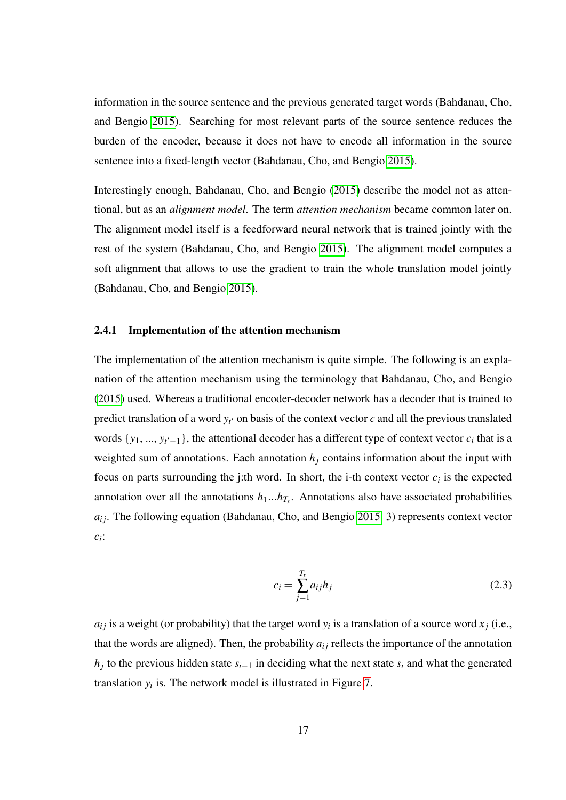information in the source sentence and the previous generated target words (Bahdanau, Cho, and Bengio [2015\)](#page-81-2). Searching for most relevant parts of the source sentence reduces the burden of the encoder, because it does not have to encode all information in the source sentence into a fixed-length vector (Bahdanau, Cho, and Bengio [2015\)](#page-81-2).

Interestingly enough, Bahdanau, Cho, and Bengio [\(2015\)](#page-81-2) describe the model not as attentional, but as an *alignment model*. The term *attention mechanism* became common later on. The alignment model itself is a feedforward neural network that is trained jointly with the rest of the system (Bahdanau, Cho, and Bengio [2015\)](#page-81-2). The alignment model computes a soft alignment that allows to use the gradient to train the whole translation model jointly (Bahdanau, Cho, and Bengio [2015\)](#page-81-2).

#### <span id="page-24-0"></span>2.4.1 Implementation of the attention mechanism

The implementation of the attention mechanism is quite simple. The following is an explanation of the attention mechanism using the terminology that Bahdanau, Cho, and Bengio [\(2015\)](#page-81-2) used. Whereas a traditional encoder-decoder network has a decoder that is trained to predict translation of a word  $y_t$  on basis of the context vector  $c$  and all the previous translated words  $\{y_1, ..., y_{t'-1}\}$ , the attentional decoder has a different type of context vector  $c_i$  that is a weighted sum of annotations. Each annotation  $h_j$  contains information about the input with focus on parts surrounding the j:th word. In short, the i-th context vector  $c_i$  is the expected annotation over all the annotations  $h_1...h_{T_x}$ . Annotations also have associated probabilities  $a_{ij}$ . The following equation (Bahdanau, Cho, and Bengio [2015,](#page-81-2) 3) represents context vector *ci* :

$$
c_i = \sum_{j=1}^{T_x} a_{ij} h_j
$$
 (2.3)

 $a_{ij}$  is a weight (or probability) that the target word  $y_i$  is a translation of a source word  $x_j$  (i.e., that the words are aligned). Then, the probability  $a_{ij}$  reflects the importance of the annotation  $h_j$  to the previous hidden state  $s_{i-1}$  in deciding what the next state  $s_i$  and what the generated translation  $y_i$  is. The network model is illustrated in Figure [7.](#page-25-0)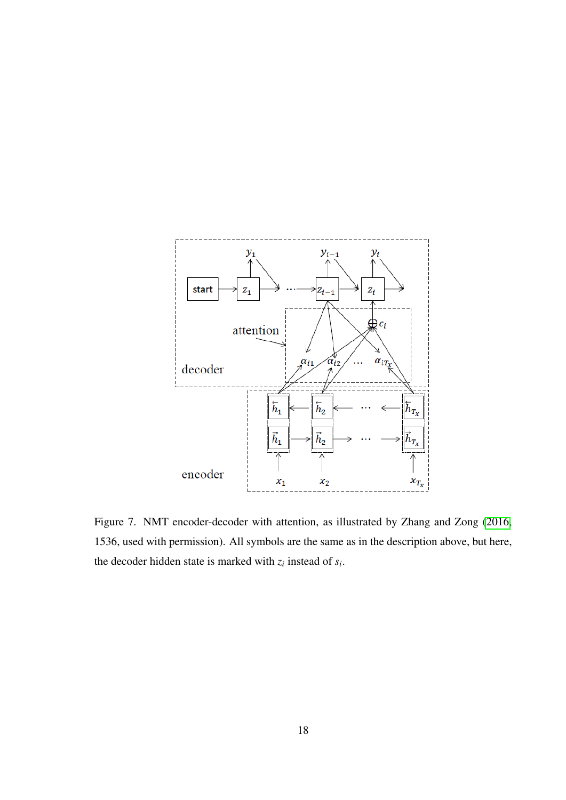

<span id="page-25-0"></span>Figure 7. NMT encoder-decoder with attention, as illustrated by Zhang and Zong [\(2016,](#page-85-3) 1536, used with permission). All symbols are the same as in the description above, but here, the decoder hidden state is marked with  $z_i$  instead of  $s_i$ .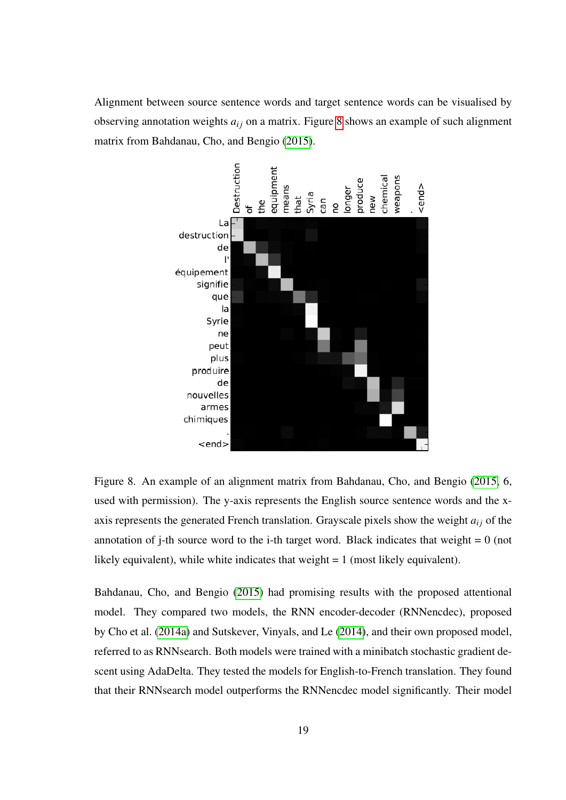Alignment between source sentence words and target sentence words can be visualised by observing annotation weights  $a_{ij}$  on a matrix. Figure [8](#page-26-0) shows an example of such alignment matrix from Bahdanau, Cho, and Bengio [\(2015\)](#page-81-2).



<span id="page-26-0"></span>Figure 8. An example of an alignment matrix from Bahdanau, Cho, and Bengio [\(2015,](#page-81-2) 6, used with permission). The y-axis represents the English source sentence words and the xaxis represents the generated French translation. Grayscale pixels show the weight  $a_{ij}$  of the annotation of j-th source word to the i-th target word. Black indicates that weight  $= 0$  (not likely equivalent), while white indicates that weight = 1 (most likely equivalent).

Bahdanau, Cho, and Bengio [\(2015\)](#page-81-2) had promising results with the proposed attentional model. They compared two models, the RNN encoder-decoder (RNNencdec), proposed by Cho et al. [\(2014a\)](#page-82-1) and Sutskever, Vinyals, and Le [\(2014\)](#page-85-4), and their own proposed model, referred to as RNNsearch. Both models were trained with a minibatch stochastic gradient descent using AdaDelta. They tested the models for English-to-French translation. They found that their RNNsearch model outperforms the RNNencdec model significantly. Their model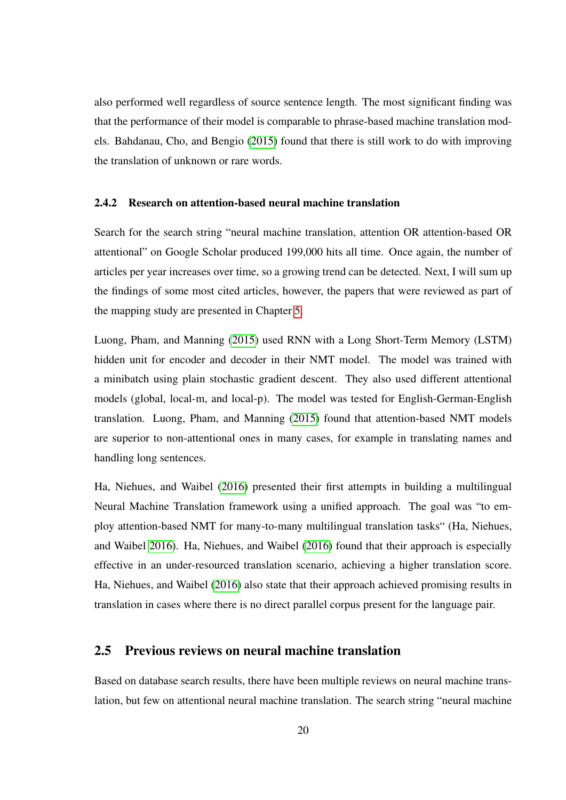also performed well regardless of source sentence length. The most significant finding was that the performance of their model is comparable to phrase-based machine translation models. Bahdanau, Cho, and Bengio [\(2015\)](#page-81-2) found that there is still work to do with improving the translation of unknown or rare words.

#### <span id="page-27-0"></span>2.4.2 Research on attention-based neural machine translation

Search for the search string "neural machine translation, attention OR attention-based OR attentional" on Google Scholar produced 199,000 hits all time. Once again, the number of articles per year increases over time, so a growing trend can be detected. Next, I will sum up the findings of some most cited articles, however, the papers that were reviewed as part of the mapping study are presented in Chapter [5.](#page-45-0)

Luong, Pham, and Manning [\(2015\)](#page-84-5) used RNN with a Long Short-Term Memory (LSTM) hidden unit for encoder and decoder in their NMT model. The model was trained with a minibatch using plain stochastic gradient descent. They also used different attentional models (global, local-m, and local-p). The model was tested for English-German-English translation. Luong, Pham, and Manning [\(2015\)](#page-84-5) found that attention-based NMT models are superior to non-attentional ones in many cases, for example in translating names and handling long sentences.

Ha, Niehues, and Waibel [\(2016\)](#page-83-7) presented their first attempts in building a multilingual Neural Machine Translation framework using a unified approach. The goal was "to employ attention-based NMT for many-to-many multilingual translation tasks" (Ha, Niehues, and Waibel [2016\)](#page-83-7). Ha, Niehues, and Waibel [\(2016\)](#page-83-7) found that their approach is especially effective in an under-resourced translation scenario, achieving a higher translation score. Ha, Niehues, and Waibel [\(2016\)](#page-83-7) also state that their approach achieved promising results in translation in cases where there is no direct parallel corpus present for the language pair.

#### <span id="page-27-1"></span>2.5 Previous reviews on neural machine translation

Based on database search results, there have been multiple reviews on neural machine translation, but few on attentional neural machine translation. The search string "neural machine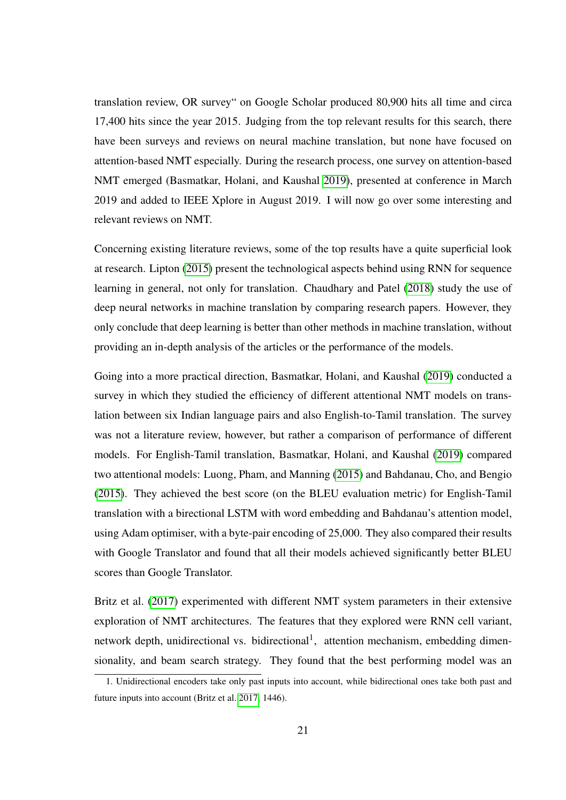translation review, OR survey" on Google Scholar produced 80,900 hits all time and circa 17,400 hits since the year 2015. Judging from the top relevant results for this search, there have been surveys and reviews on neural machine translation, but none have focused on attention-based NMT especially. During the research process, one survey on attention-based NMT emerged (Basmatkar, Holani, and Kaushal [2019\)](#page-81-5), presented at conference in March 2019 and added to IEEE Xplore in August 2019. I will now go over some interesting and relevant reviews on NMT.

Concerning existing literature reviews, some of the top results have a quite superficial look at research. Lipton [\(2015\)](#page-84-1) present the technological aspects behind using RNN for sequence learning in general, not only for translation. Chaudhary and Patel [\(2018\)](#page-82-4) study the use of deep neural networks in machine translation by comparing research papers. However, they only conclude that deep learning is better than other methods in machine translation, without providing an in-depth analysis of the articles or the performance of the models.

Going into a more practical direction, Basmatkar, Holani, and Kaushal [\(2019\)](#page-81-5) conducted a survey in which they studied the efficiency of different attentional NMT models on translation between six Indian language pairs and also English-to-Tamil translation. The survey was not a literature review, however, but rather a comparison of performance of different models. For English-Tamil translation, Basmatkar, Holani, and Kaushal [\(2019\)](#page-81-5) compared two attentional models: Luong, Pham, and Manning [\(2015\)](#page-84-5) and Bahdanau, Cho, and Bengio [\(2015\)](#page-81-2). They achieved the best score (on the BLEU evaluation metric) for English-Tamil translation with a birectional LSTM with word embedding and Bahdanau's attention model, using Adam optimiser, with a byte-pair encoding of 25,000. They also compared their results with Google Translator and found that all their models achieved significantly better BLEU scores than Google Translator.

Britz et al. [\(2017\)](#page-81-6) experimented with different NMT system parameters in their extensive exploration of NMT architectures. The features that they explored were RNN cell variant, network depth, unidirectional vs. bidirectional<sup>1</sup>, attention mechanism, embedding dimensionality, and beam search strategy. They found that the best performing model was an

<sup>1.</sup> Unidirectional encoders take only past inputs into account, while bidirectional ones take both past and future inputs into account (Britz et al. [2017,](#page-81-6) 1446).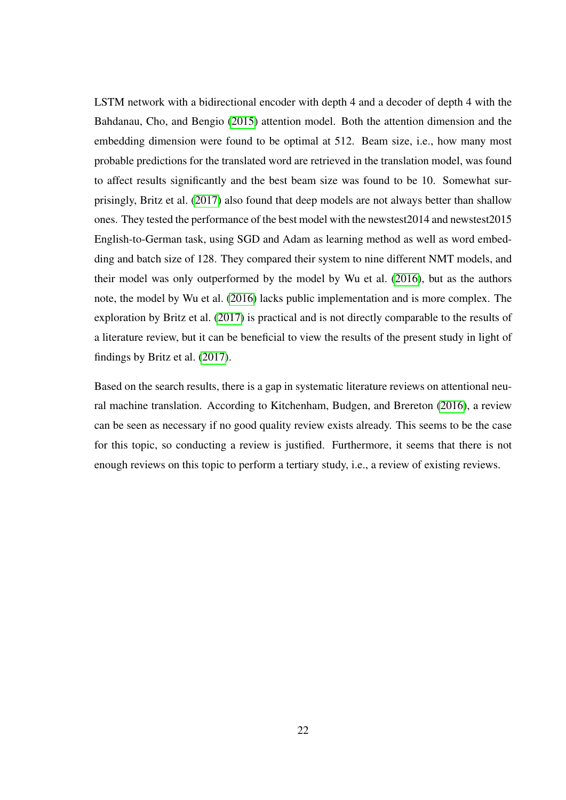LSTM network with a bidirectional encoder with depth 4 and a decoder of depth 4 with the Bahdanau, Cho, and Bengio [\(2015\)](#page-81-2) attention model. Both the attention dimension and the embedding dimension were found to be optimal at 512. Beam size, i.e., how many most probable predictions for the translated word are retrieved in the translation model, was found to affect results significantly and the best beam size was found to be 10. Somewhat surprisingly, Britz et al. [\(2017\)](#page-81-6) also found that deep models are not always better than shallow ones. They tested the performance of the best model with the newstest2014 and newstest2015 English-to-German task, using SGD and Adam as learning method as well as word embedding and batch size of 128. They compared their system to nine different NMT models, and their model was only outperformed by the model by Wu et al. [\(2016\)](#page-85-5), but as the authors note, the model by Wu et al. [\(2016\)](#page-85-5) lacks public implementation and is more complex. The exploration by Britz et al. [\(2017\)](#page-81-6) is practical and is not directly comparable to the results of a literature review, but it can be beneficial to view the results of the present study in light of findings by Britz et al. [\(2017\)](#page-81-6).

Based on the search results, there is a gap in systematic literature reviews on attentional neural machine translation. According to Kitchenham, Budgen, and Brereton [\(2016\)](#page-83-8), a review can be seen as necessary if no good quality review exists already. This seems to be the case for this topic, so conducting a review is justified. Furthermore, it seems that there is not enough reviews on this topic to perform a tertiary study, i.e., a review of existing reviews.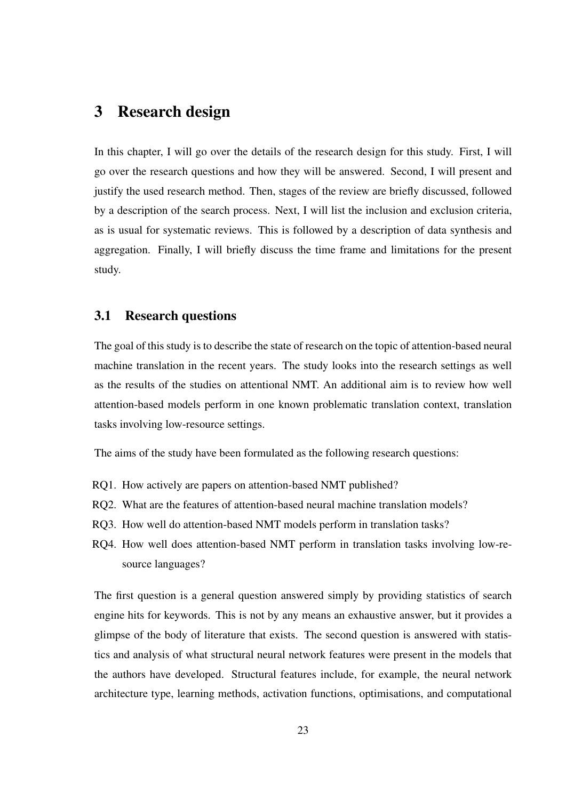### <span id="page-30-0"></span>3 Research design

In this chapter, I will go over the details of the research design for this study. First, I will go over the research questions and how they will be answered. Second, I will present and justify the used research method. Then, stages of the review are briefly discussed, followed by a description of the search process. Next, I will list the inclusion and exclusion criteria, as is usual for systematic reviews. This is followed by a description of data synthesis and aggregation. Finally, I will briefly discuss the time frame and limitations for the present study.

#### <span id="page-30-1"></span>3.1 Research questions

The goal of this study is to describe the state of research on the topic of attention-based neural machine translation in the recent years. The study looks into the research settings as well as the results of the studies on attentional NMT. An additional aim is to review how well attention-based models perform in one known problematic translation context, translation tasks involving low-resource settings.

The aims of the study have been formulated as the following research questions:

- RQ1. How actively are papers on attention-based NMT published?
- RQ2. What are the features of attention-based neural machine translation models?
- RQ3. How well do attention-based NMT models perform in translation tasks?
- RQ4. How well does attention-based NMT perform in translation tasks involving low-resource languages?

The first question is a general question answered simply by providing statistics of search engine hits for keywords. This is not by any means an exhaustive answer, but it provides a glimpse of the body of literature that exists. The second question is answered with statistics and analysis of what structural neural network features were present in the models that the authors have developed. Structural features include, for example, the neural network architecture type, learning methods, activation functions, optimisations, and computational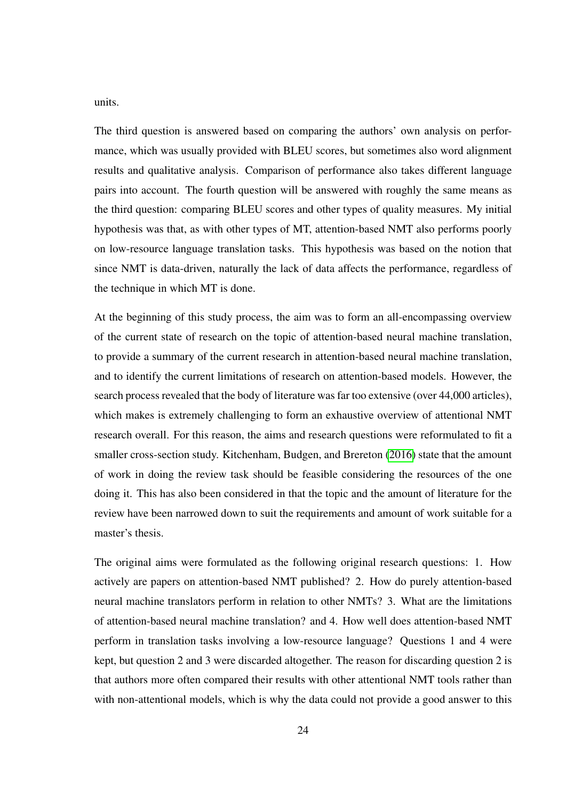units.

The third question is answered based on comparing the authors' own analysis on performance, which was usually provided with BLEU scores, but sometimes also word alignment results and qualitative analysis. Comparison of performance also takes different language pairs into account. The fourth question will be answered with roughly the same means as the third question: comparing BLEU scores and other types of quality measures. My initial hypothesis was that, as with other types of MT, attention-based NMT also performs poorly on low-resource language translation tasks. This hypothesis was based on the notion that since NMT is data-driven, naturally the lack of data affects the performance, regardless of the technique in which MT is done.

At the beginning of this study process, the aim was to form an all-encompassing overview of the current state of research on the topic of attention-based neural machine translation, to provide a summary of the current research in attention-based neural machine translation, and to identify the current limitations of research on attention-based models. However, the search process revealed that the body of literature was far too extensive (over 44,000 articles), which makes is extremely challenging to form an exhaustive overview of attentional NMT research overall. For this reason, the aims and research questions were reformulated to fit a smaller cross-section study. Kitchenham, Budgen, and Brereton [\(2016\)](#page-83-8) state that the amount of work in doing the review task should be feasible considering the resources of the one doing it. This has also been considered in that the topic and the amount of literature for the review have been narrowed down to suit the requirements and amount of work suitable for a master's thesis.

The original aims were formulated as the following original research questions: 1. How actively are papers on attention-based NMT published? 2. How do purely attention-based neural machine translators perform in relation to other NMTs? 3. What are the limitations of attention-based neural machine translation? and 4. How well does attention-based NMT perform in translation tasks involving a low-resource language? Questions 1 and 4 were kept, but question 2 and 3 were discarded altogether. The reason for discarding question 2 is that authors more often compared their results with other attentional NMT tools rather than with non-attentional models, which is why the data could not provide a good answer to this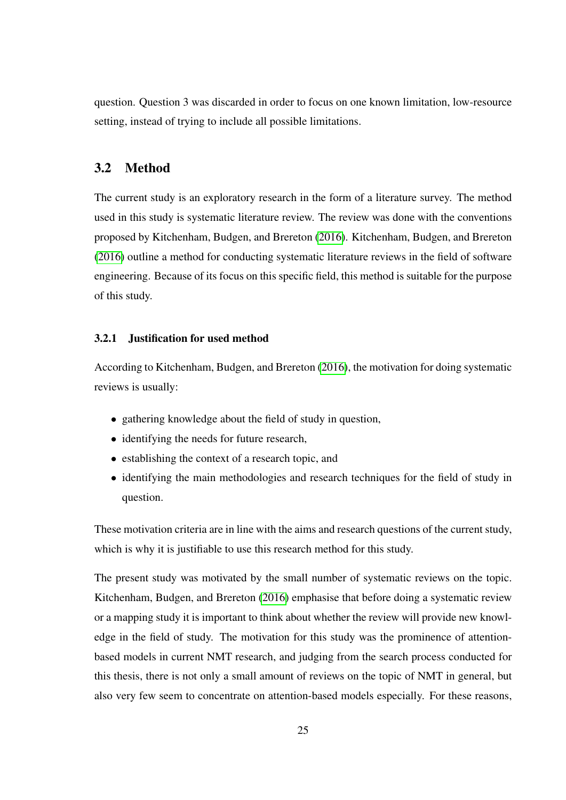question. Question 3 was discarded in order to focus on one known limitation, low-resource setting, instead of trying to include all possible limitations.

#### <span id="page-32-0"></span>3.2 Method

The current study is an exploratory research in the form of a literature survey. The method used in this study is systematic literature review. The review was done with the conventions proposed by Kitchenham, Budgen, and Brereton [\(2016\)](#page-83-8). Kitchenham, Budgen, and Brereton [\(2016\)](#page-83-8) outline a method for conducting systematic literature reviews in the field of software engineering. Because of its focus on this specific field, this method is suitable for the purpose of this study.

#### <span id="page-32-1"></span>3.2.1 Justification for used method

According to Kitchenham, Budgen, and Brereton [\(2016\)](#page-83-8), the motivation for doing systematic reviews is usually:

- gathering knowledge about the field of study in question,
- identifying the needs for future research,
- establishing the context of a research topic, and
- identifying the main methodologies and research techniques for the field of study in question.

These motivation criteria are in line with the aims and research questions of the current study, which is why it is justifiable to use this research method for this study.

The present study was motivated by the small number of systematic reviews on the topic. Kitchenham, Budgen, and Brereton [\(2016\)](#page-83-8) emphasise that before doing a systematic review or a mapping study it is important to think about whether the review will provide new knowledge in the field of study. The motivation for this study was the prominence of attentionbased models in current NMT research, and judging from the search process conducted for this thesis, there is not only a small amount of reviews on the topic of NMT in general, but also very few seem to concentrate on attention-based models especially. For these reasons,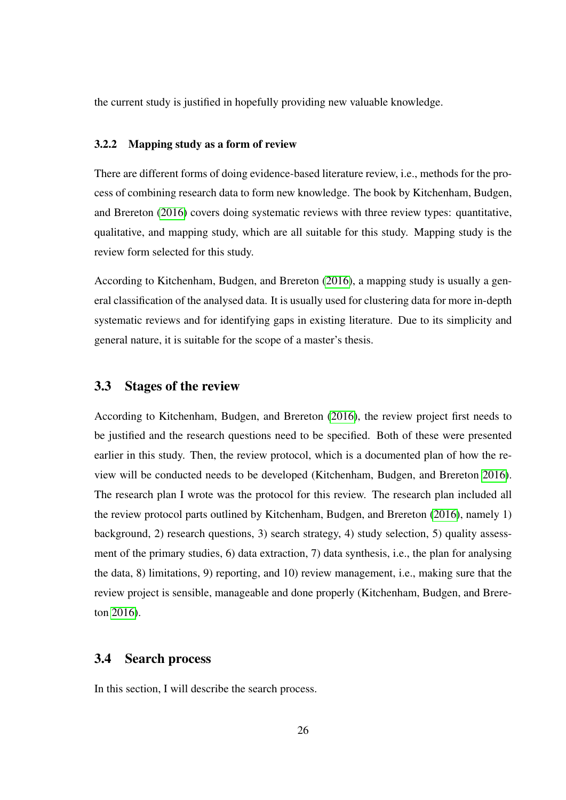the current study is justified in hopefully providing new valuable knowledge.

#### <span id="page-33-0"></span>3.2.2 Mapping study as a form of review

There are different forms of doing evidence-based literature review, i.e., methods for the process of combining research data to form new knowledge. The book by Kitchenham, Budgen, and Brereton [\(2016\)](#page-83-8) covers doing systematic reviews with three review types: quantitative, qualitative, and mapping study, which are all suitable for this study. Mapping study is the review form selected for this study.

According to Kitchenham, Budgen, and Brereton [\(2016\)](#page-83-8), a mapping study is usually a general classification of the analysed data. It is usually used for clustering data for more in-depth systematic reviews and for identifying gaps in existing literature. Due to its simplicity and general nature, it is suitable for the scope of a master's thesis.

#### <span id="page-33-1"></span>3.3 Stages of the review

According to Kitchenham, Budgen, and Brereton [\(2016\)](#page-83-8), the review project first needs to be justified and the research questions need to be specified. Both of these were presented earlier in this study. Then, the review protocol, which is a documented plan of how the review will be conducted needs to be developed (Kitchenham, Budgen, and Brereton [2016\)](#page-83-8). The research plan I wrote was the protocol for this review. The research plan included all the review protocol parts outlined by Kitchenham, Budgen, and Brereton [\(2016\)](#page-83-8), namely 1) background, 2) research questions, 3) search strategy, 4) study selection, 5) quality assessment of the primary studies, 6) data extraction, 7) data synthesis, i.e., the plan for analysing the data, 8) limitations, 9) reporting, and 10) review management, i.e., making sure that the review project is sensible, manageable and done properly (Kitchenham, Budgen, and Brereton [2016\)](#page-83-8).

#### <span id="page-33-2"></span>3.4 Search process

In this section, I will describe the search process.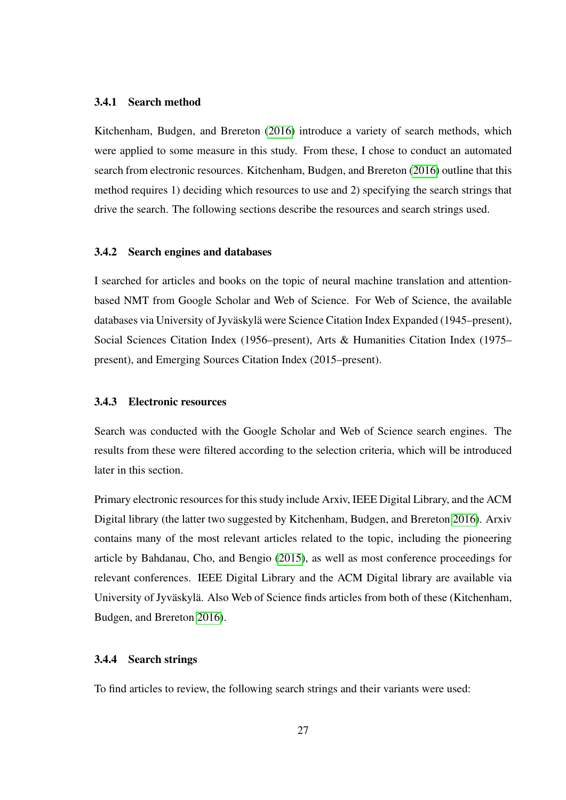#### <span id="page-34-0"></span>3.4.1 Search method

Kitchenham, Budgen, and Brereton [\(2016\)](#page-83-8) introduce a variety of search methods, which were applied to some measure in this study. From these, I chose to conduct an automated search from electronic resources. Kitchenham, Budgen, and Brereton [\(2016\)](#page-83-8) outline that this method requires 1) deciding which resources to use and 2) specifying the search strings that drive the search. The following sections describe the resources and search strings used.

#### <span id="page-34-1"></span>3.4.2 Search engines and databases

I searched for articles and books on the topic of neural machine translation and attentionbased NMT from Google Scholar and Web of Science. For Web of Science, the available databases via University of Jyväskylä were Science Citation Index Expanded (1945–present), Social Sciences Citation Index (1956–present), Arts & Humanities Citation Index (1975– present), and Emerging Sources Citation Index (2015–present).

#### <span id="page-34-2"></span>3.4.3 Electronic resources

Search was conducted with the Google Scholar and Web of Science search engines. The results from these were filtered according to the selection criteria, which will be introduced later in this section.

Primary electronic resources for this study include Arxiv, IEEE Digital Library, and the ACM Digital library (the latter two suggested by Kitchenham, Budgen, and Brereton [2016\)](#page-83-8). Arxiv contains many of the most relevant articles related to the topic, including the pioneering article by Bahdanau, Cho, and Bengio [\(2015\)](#page-81-2), as well as most conference proceedings for relevant conferences. IEEE Digital Library and the ACM Digital library are available via University of Jyväskylä. Also Web of Science finds articles from both of these (Kitchenham, Budgen, and Brereton [2016\)](#page-83-8).

#### <span id="page-34-3"></span>3.4.4 Search strings

To find articles to review, the following search strings and their variants were used: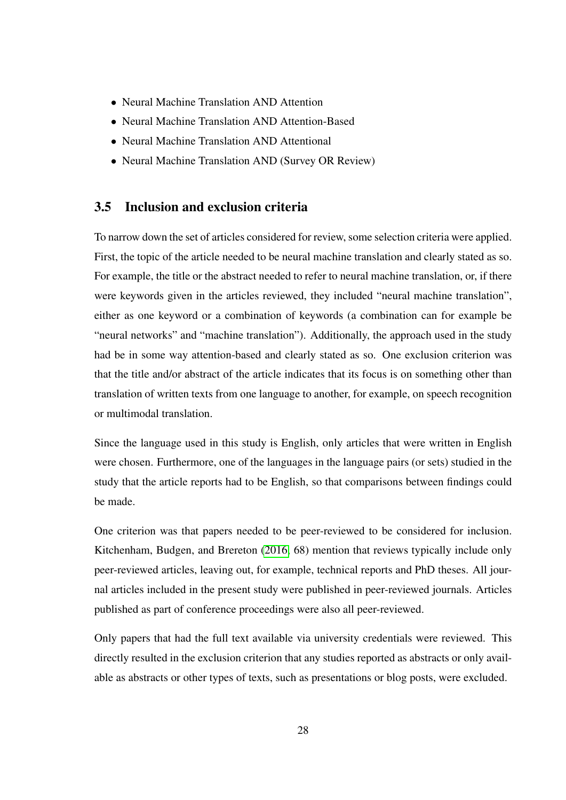- Neural Machine Translation AND Attention
- Neural Machine Translation AND Attention-Based
- Neural Machine Translation AND Attentional
- Neural Machine Translation AND (Survey OR Review)

#### <span id="page-35-0"></span>3.5 Inclusion and exclusion criteria

To narrow down the set of articles considered for review, some selection criteria were applied. First, the topic of the article needed to be neural machine translation and clearly stated as so. For example, the title or the abstract needed to refer to neural machine translation, or, if there were keywords given in the articles reviewed, they included "neural machine translation", either as one keyword or a combination of keywords (a combination can for example be "neural networks" and "machine translation"). Additionally, the approach used in the study had be in some way attention-based and clearly stated as so. One exclusion criterion was that the title and/or abstract of the article indicates that its focus is on something other than translation of written texts from one language to another, for example, on speech recognition or multimodal translation.

Since the language used in this study is English, only articles that were written in English were chosen. Furthermore, one of the languages in the language pairs (or sets) studied in the study that the article reports had to be English, so that comparisons between findings could be made.

One criterion was that papers needed to be peer-reviewed to be considered for inclusion. Kitchenham, Budgen, and Brereton [\(2016,](#page-83-8) 68) mention that reviews typically include only peer-reviewed articles, leaving out, for example, technical reports and PhD theses. All journal articles included in the present study were published in peer-reviewed journals. Articles published as part of conference proceedings were also all peer-reviewed.

Only papers that had the full text available via university credentials were reviewed. This directly resulted in the exclusion criterion that any studies reported as abstracts or only available as abstracts or other types of texts, such as presentations or blog posts, were excluded.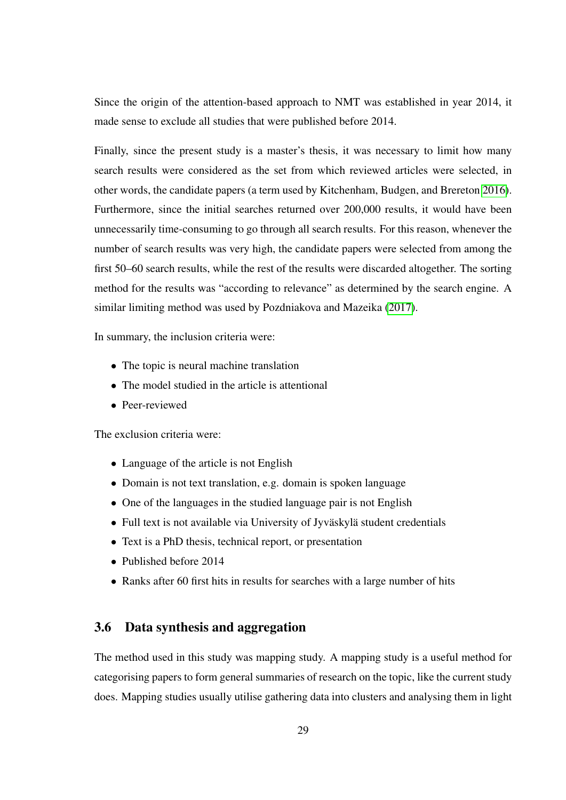Since the origin of the attention-based approach to NMT was established in year 2014, it made sense to exclude all studies that were published before 2014.

Finally, since the present study is a master's thesis, it was necessary to limit how many search results were considered as the set from which reviewed articles were selected, in other words, the candidate papers (a term used by Kitchenham, Budgen, and Brereton [2016\)](#page-83-0). Furthermore, since the initial searches returned over 200,000 results, it would have been unnecessarily time-consuming to go through all search results. For this reason, whenever the number of search results was very high, the candidate papers were selected from among the first 50–60 search results, while the rest of the results were discarded altogether. The sorting method for the results was "according to relevance" as determined by the search engine. A similar limiting method was used by Pozdniakova and Mazeika [\(2017\)](#page-84-0).

In summary, the inclusion criteria were:

- The topic is neural machine translation
- The model studied in the article is attentional
- Peer-reviewed

The exclusion criteria were:

- Language of the article is not English
- Domain is not text translation, e.g. domain is spoken language
- One of the languages in the studied language pair is not English
- Full text is not available via University of Jyväskylä student credentials
- Text is a PhD thesis, technical report, or presentation
- Published before 2014
- Ranks after 60 first hits in results for searches with a large number of hits

### 3.6 Data synthesis and aggregation

The method used in this study was mapping study. A mapping study is a useful method for categorising papers to form general summaries of research on the topic, like the current study does. Mapping studies usually utilise gathering data into clusters and analysing them in light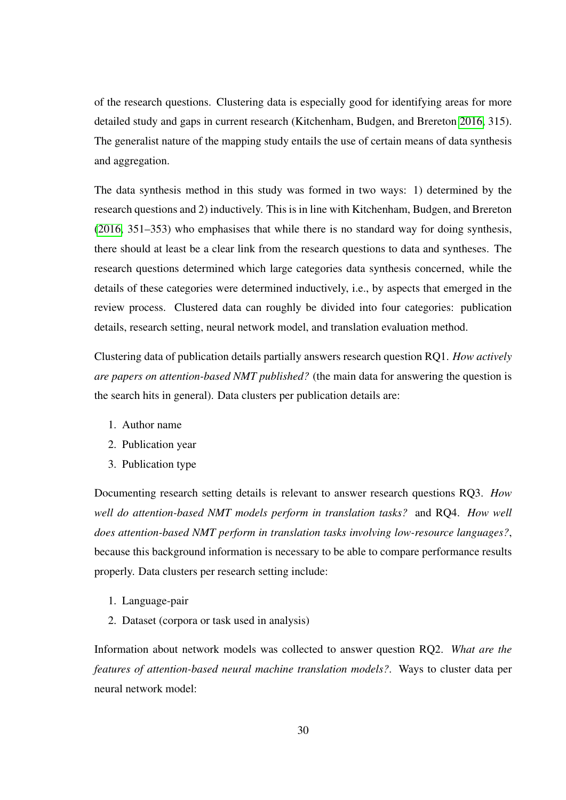of the research questions. Clustering data is especially good for identifying areas for more detailed study and gaps in current research (Kitchenham, Budgen, and Brereton [2016,](#page-83-0) 315). The generalist nature of the mapping study entails the use of certain means of data synthesis and aggregation.

The data synthesis method in this study was formed in two ways: 1) determined by the research questions and 2) inductively. This is in line with Kitchenham, Budgen, and Brereton [\(2016,](#page-83-0) 351–353) who emphasises that while there is no standard way for doing synthesis, there should at least be a clear link from the research questions to data and syntheses. The research questions determined which large categories data synthesis concerned, while the details of these categories were determined inductively, i.e., by aspects that emerged in the review process. Clustered data can roughly be divided into four categories: publication details, research setting, neural network model, and translation evaluation method.

Clustering data of publication details partially answers research question RQ1. *How actively are papers on attention-based NMT published?* (the main data for answering the question is the search hits in general). Data clusters per publication details are:

- 1. Author name
- 2. Publication year
- 3. Publication type

Documenting research setting details is relevant to answer research questions RQ3. *How well do attention-based NMT models perform in translation tasks?* and RQ4. *How well does attention-based NMT perform in translation tasks involving low-resource languages?*, because this background information is necessary to be able to compare performance results properly. Data clusters per research setting include:

- 1. Language-pair
- 2. Dataset (corpora or task used in analysis)

Information about network models was collected to answer question RQ2. *What are the features of attention-based neural machine translation models?*. Ways to cluster data per neural network model: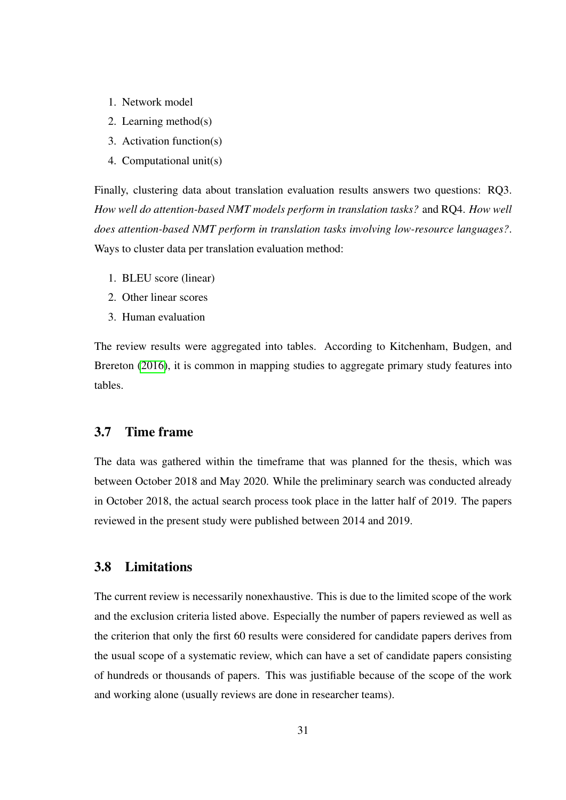- 1. Network model
- 2. Learning method(s)
- 3. Activation function(s)
- 4. Computational unit(s)

Finally, clustering data about translation evaluation results answers two questions: RQ3. *How well do attention-based NMT models perform in translation tasks?* and RQ4. *How well does attention-based NMT perform in translation tasks involving low-resource languages?*. Ways to cluster data per translation evaluation method:

- 1. BLEU score (linear)
- 2. Other linear scores
- 3. Human evaluation

The review results were aggregated into tables. According to Kitchenham, Budgen, and Brereton [\(2016\)](#page-83-0), it is common in mapping studies to aggregate primary study features into tables.

## 3.7 Time frame

The data was gathered within the timeframe that was planned for the thesis, which was between October 2018 and May 2020. While the preliminary search was conducted already in October 2018, the actual search process took place in the latter half of 2019. The papers reviewed in the present study were published between 2014 and 2019.

## 3.8 Limitations

The current review is necessarily nonexhaustive. This is due to the limited scope of the work and the exclusion criteria listed above. Especially the number of papers reviewed as well as the criterion that only the first 60 results were considered for candidate papers derives from the usual scope of a systematic review, which can have a set of candidate papers consisting of hundreds or thousands of papers. This was justifiable because of the scope of the work and working alone (usually reviews are done in researcher teams).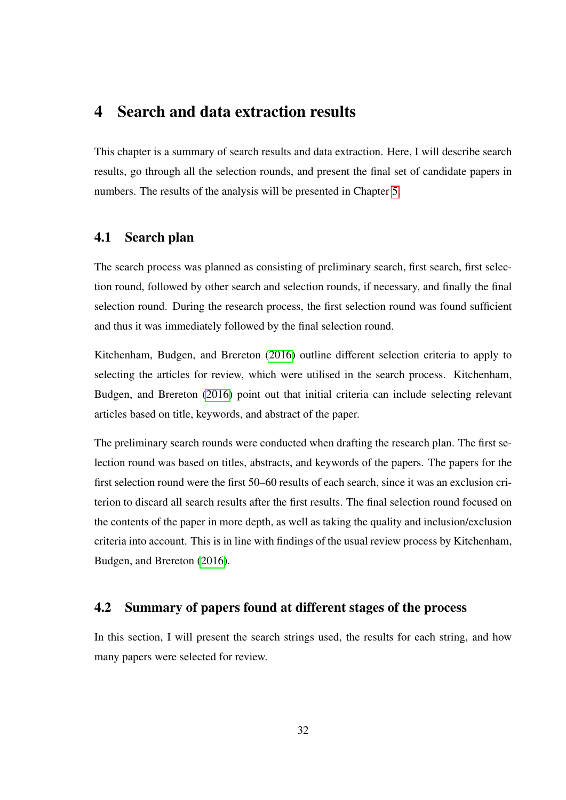# 4 Search and data extraction results

This chapter is a summary of search results and data extraction. Here, I will describe search results, go through all the selection rounds, and present the final set of candidate papers in numbers. The results of the analysis will be presented in Chapter [5.](#page-45-0)

## 4.1 Search plan

The search process was planned as consisting of preliminary search, first search, first selection round, followed by other search and selection rounds, if necessary, and finally the final selection round. During the research process, the first selection round was found sufficient and thus it was immediately followed by the final selection round.

Kitchenham, Budgen, and Brereton [\(2016\)](#page-83-0) outline different selection criteria to apply to selecting the articles for review, which were utilised in the search process. Kitchenham, Budgen, and Brereton [\(2016\)](#page-83-0) point out that initial criteria can include selecting relevant articles based on title, keywords, and abstract of the paper.

The preliminary search rounds were conducted when drafting the research plan. The first selection round was based on titles, abstracts, and keywords of the papers. The papers for the first selection round were the first 50–60 results of each search, since it was an exclusion criterion to discard all search results after the first results. The final selection round focused on the contents of the paper in more depth, as well as taking the quality and inclusion/exclusion criteria into account. This is in line with findings of the usual review process by Kitchenham, Budgen, and Brereton [\(2016\)](#page-83-0).

## 4.2 Summary of papers found at different stages of the process

In this section, I will present the search strings used, the results for each string, and how many papers were selected for review.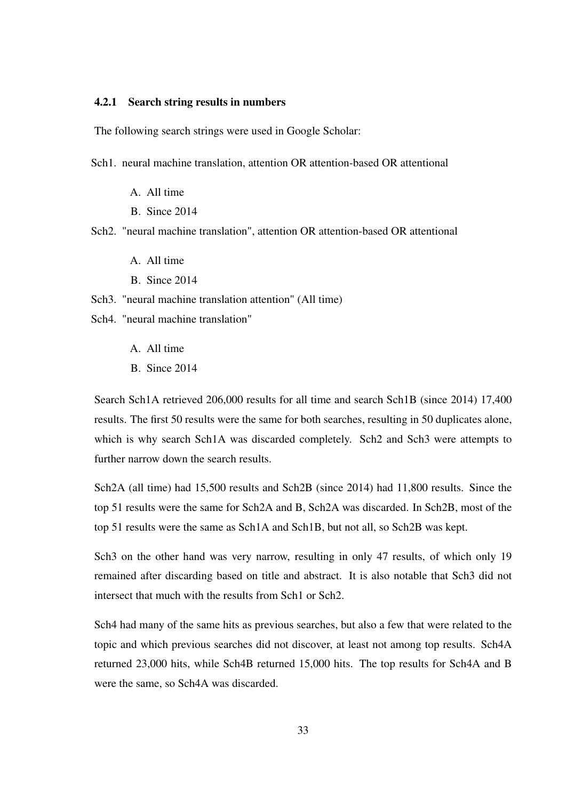#### 4.2.1 Search string results in numbers

The following search strings were used in Google Scholar:

- Sch1. neural machine translation, attention OR attention-based OR attentional
	- A. All time
	- B. Since 2014
- Sch2. "neural machine translation", attention OR attention-based OR attentional
	- A. All time
	- B. Since 2014
- Sch3. "neural machine translation attention" (All time)
- Sch4. "neural machine translation"
	- A. All time
	- B. Since 2014

Search Sch1A retrieved 206,000 results for all time and search Sch1B (since 2014) 17,400 results. The first 50 results were the same for both searches, resulting in 50 duplicates alone, which is why search Sch1A was discarded completely. Sch2 and Sch3 were attempts to further narrow down the search results.

Sch2A (all time) had 15,500 results and Sch2B (since 2014) had 11,800 results. Since the top 51 results were the same for Sch2A and B, Sch2A was discarded. In Sch2B, most of the top 51 results were the same as Sch1A and Sch1B, but not all, so Sch2B was kept.

Sch3 on the other hand was very narrow, resulting in only 47 results, of which only 19 remained after discarding based on title and abstract. It is also notable that Sch3 did not intersect that much with the results from Sch1 or Sch2.

Sch4 had many of the same hits as previous searches, but also a few that were related to the topic and which previous searches did not discover, at least not among top results. Sch4A returned 23,000 hits, while Sch4B returned 15,000 hits. The top results for Sch4A and B were the same, so Sch4A was discarded.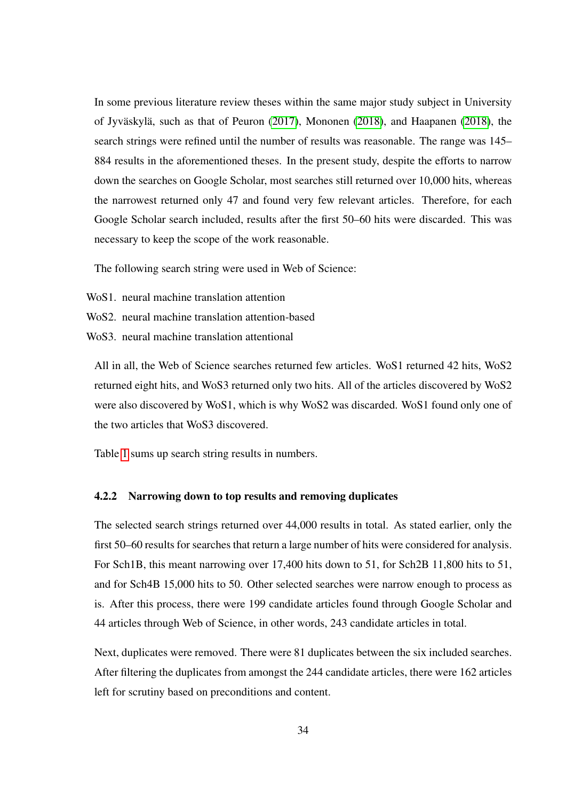In some previous literature review theses within the same major study subject in University of Jyväskylä, such as that of Peuron [\(2017\)](#page-84-1), Mononen [\(2018\)](#page-84-2), and Haapanen [\(2018\)](#page-83-1), the search strings were refined until the number of results was reasonable. The range was 145– 884 results in the aforementioned theses. In the present study, despite the efforts to narrow down the searches on Google Scholar, most searches still returned over 10,000 hits, whereas the narrowest returned only 47 and found very few relevant articles. Therefore, for each Google Scholar search included, results after the first 50–60 hits were discarded. This was necessary to keep the scope of the work reasonable.

The following search string were used in Web of Science:

- WoS1. neural machine translation attention
- WoS2. neural machine translation attention-based
- WoS3. neural machine translation attentional

All in all, the Web of Science searches returned few articles. WoS1 returned 42 hits, WoS2 returned eight hits, and WoS3 returned only two hits. All of the articles discovered by WoS2 were also discovered by WoS1, which is why WoS2 was discarded. WoS1 found only one of the two articles that WoS3 discovered.

Table [1](#page-42-0) sums up search string results in numbers.

#### 4.2.2 Narrowing down to top results and removing duplicates

The selected search strings returned over 44,000 results in total. As stated earlier, only the first 50–60 results for searches that return a large number of hits were considered for analysis. For Sch1B, this meant narrowing over 17,400 hits down to 51, for Sch2B 11,800 hits to 51, and for Sch4B 15,000 hits to 50. Other selected searches were narrow enough to process as is. After this process, there were 199 candidate articles found through Google Scholar and 44 articles through Web of Science, in other words, 243 candidate articles in total.

Next, duplicates were removed. There were 81 duplicates between the six included searches. After filtering the duplicates from amongst the 244 candidate articles, there were 162 articles left for scrutiny based on preconditions and content.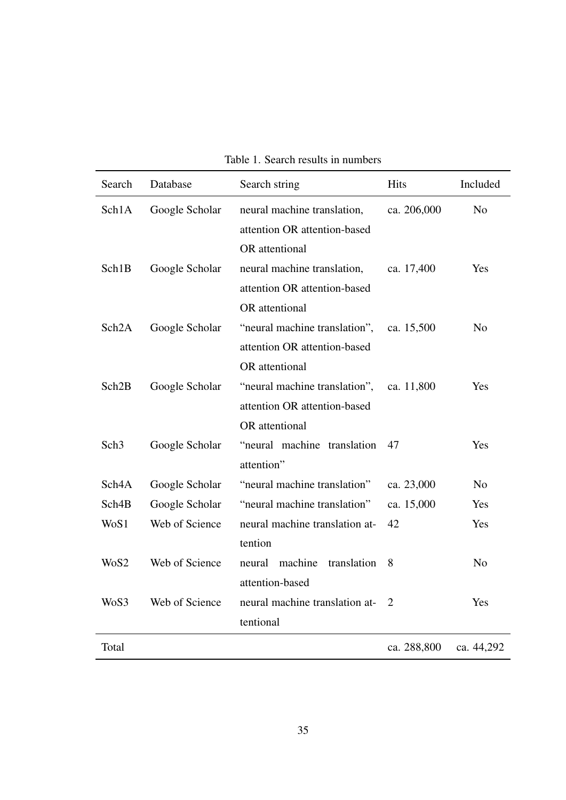<span id="page-42-0"></span>

|  |  |  |  | Table 1. Search results in numbers |
|--|--|--|--|------------------------------------|
|--|--|--|--|------------------------------------|

| Search             | Database       | Search string                  | <b>Hits</b>    | Included       |
|--------------------|----------------|--------------------------------|----------------|----------------|
| Sch1A              | Google Scholar | neural machine translation,    | ca. 206,000    | N <sub>o</sub> |
|                    |                | attention OR attention-based   |                |                |
|                    |                | OR attentional                 |                |                |
| Sch1B              | Google Scholar | neural machine translation,    | ca. 17,400     | Yes            |
|                    |                | attention OR attention-based   |                |                |
|                    |                | OR attentional                 |                |                |
| Sch <sub>2</sub> A | Google Scholar | "neural machine translation",  | ca. 15,500     | N <sub>o</sub> |
|                    |                | attention OR attention-based   |                |                |
|                    |                | OR attentional                 |                |                |
| Sch <sub>2</sub> B | Google Scholar | "neural machine translation",  | ca. 11,800     | Yes            |
|                    |                | attention OR attention-based   |                |                |
|                    |                | OR attentional                 |                |                |
| Sch <sub>3</sub>   | Google Scholar | "neural machine translation    | 47             | Yes            |
|                    |                | attention"                     |                |                |
| Sch4A              | Google Scholar | "neural machine translation"   | ca. 23,000     | N <sub>o</sub> |
| Sch4B              | Google Scholar | "neural machine translation"   | ca. 15,000     | Yes            |
| WoS1               | Web of Science | neural machine translation at- | 42             | Yes            |
|                    |                | tention                        |                |                |
| WoS2               | Web of Science | neural machine<br>translation  | 8              | N <sub>o</sub> |
|                    |                | attention-based                |                |                |
| WoS3               | Web of Science | neural machine translation at- | $\overline{2}$ | Yes            |
|                    |                | tentional                      |                |                |
| Total              |                |                                | ca. 288,800    | ca. 44,292     |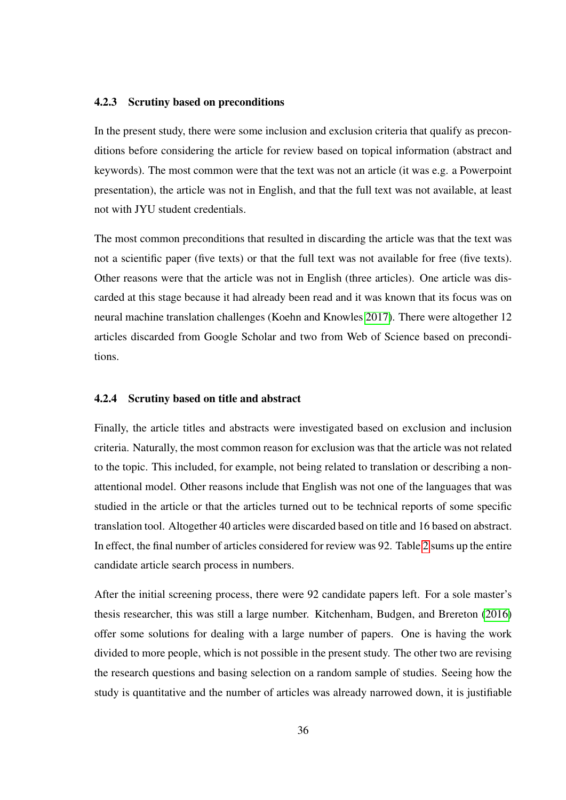#### 4.2.3 Scrutiny based on preconditions

In the present study, there were some inclusion and exclusion criteria that qualify as preconditions before considering the article for review based on topical information (abstract and keywords). The most common were that the text was not an article (it was e.g. a Powerpoint presentation), the article was not in English, and that the full text was not available, at least not with JYU student credentials.

The most common preconditions that resulted in discarding the article was that the text was not a scientific paper (five texts) or that the full text was not available for free (five texts). Other reasons were that the article was not in English (three articles). One article was discarded at this stage because it had already been read and it was known that its focus was on neural machine translation challenges (Koehn and Knowles [2017\)](#page-83-2). There were altogether 12 articles discarded from Google Scholar and two from Web of Science based on preconditions.

#### 4.2.4 Scrutiny based on title and abstract

Finally, the article titles and abstracts were investigated based on exclusion and inclusion criteria. Naturally, the most common reason for exclusion was that the article was not related to the topic. This included, for example, not being related to translation or describing a nonattentional model. Other reasons include that English was not one of the languages that was studied in the article or that the articles turned out to be technical reports of some specific translation tool. Altogether 40 articles were discarded based on title and 16 based on abstract. In effect, the final number of articles considered for review was 92. Table [2](#page-44-0) sums up the entire candidate article search process in numbers.

After the initial screening process, there were 92 candidate papers left. For a sole master's thesis researcher, this was still a large number. Kitchenham, Budgen, and Brereton [\(2016\)](#page-83-0) offer some solutions for dealing with a large number of papers. One is having the work divided to more people, which is not possible in the present study. The other two are revising the research questions and basing selection on a random sample of studies. Seeing how the study is quantitative and the number of articles was already narrowed down, it is justifiable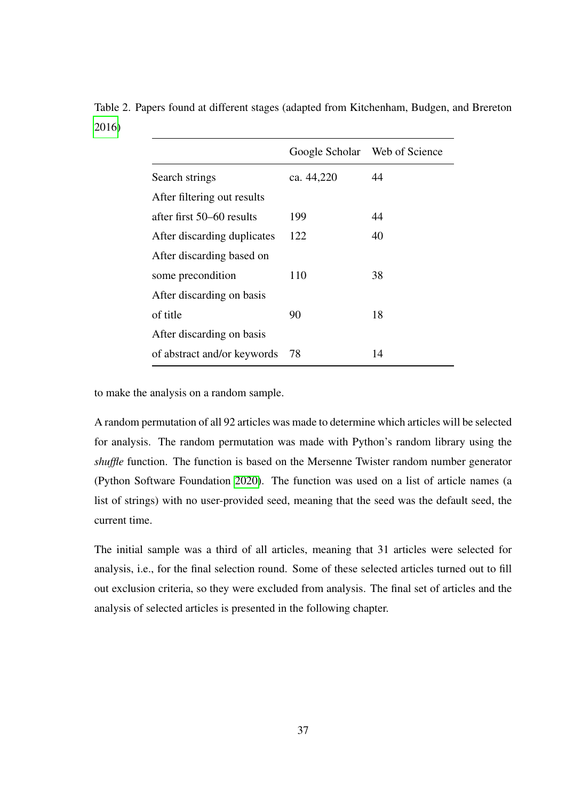|                             |            | Google Scholar Web of Science |
|-----------------------------|------------|-------------------------------|
| Search strings              | ca. 44,220 | 44                            |
| After filtering out results |            |                               |
| after first 50–60 results   | 199        | 44                            |
| After discarding duplicates | 122        | 40                            |
| After discarding based on   |            |                               |
| some precondition           | 110        | 38                            |
| After discarding on basis   |            |                               |
| of title                    | 90         | 18                            |
| After discarding on basis   |            |                               |
| of abstract and/or keywords | 78         | 14                            |

<span id="page-44-0"></span>Table 2. Papers found at different stages (adapted from Kitchenham, Budgen, and Brereton [2016\)](#page-83-0)

to make the analysis on a random sample.

A random permutation of all 92 articles was made to determine which articles will be selected for analysis. The random permutation was made with Python's random library using the *shuffle* function. The function is based on the Mersenne Twister random number generator (Python Software Foundation [2020\)](#page-84-3). The function was used on a list of article names (a list of strings) with no user-provided seed, meaning that the seed was the default seed, the current time.

The initial sample was a third of all articles, meaning that 31 articles were selected for analysis, i.e., for the final selection round. Some of these selected articles turned out to fill out exclusion criteria, so they were excluded from analysis. The final set of articles and the analysis of selected articles is presented in the following chapter.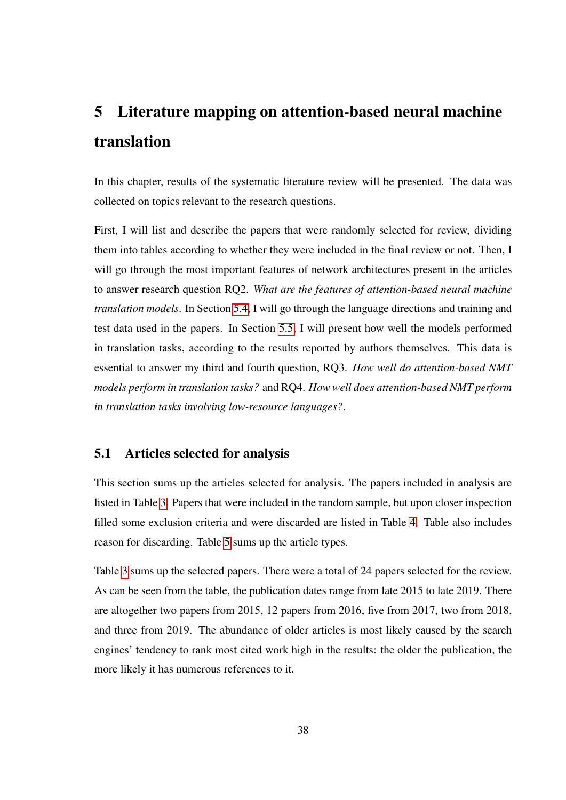# <span id="page-45-0"></span>5 Literature mapping on attention-based neural machine translation

In this chapter, results of the systematic literature review will be presented. The data was collected on topics relevant to the research questions.

First, I will list and describe the papers that were randomly selected for review, dividing them into tables according to whether they were included in the final review or not. Then, I will go through the most important features of network architectures present in the articles to answer research question RQ2. *What are the features of attention-based neural machine translation models*. In Section [5.4,](#page-53-0) I will go through the language directions and training and test data used in the papers. In Section [5.5,](#page-58-0) I will present how well the models performed in translation tasks, according to the results reported by authors themselves. This data is essential to answer my third and fourth question, RQ3. *How well do attention-based NMT models perform in translation tasks?* and RQ4. *How well does attention-based NMT perform in translation tasks involving low-resource languages?*.

## 5.1 Articles selected for analysis

This section sums up the articles selected for analysis. The papers included in analysis are listed in Table [3.](#page-46-0) Papers that were included in the random sample, but upon closer inspection filled some exclusion criteria and were discarded are listed in Table [4.](#page-48-0) Table also includes reason for discarding. Table [5](#page-49-0) sums up the article types.

Table [3](#page-46-0) sums up the selected papers. There were a total of 24 papers selected for the review. As can be seen from the table, the publication dates range from late 2015 to late 2019. There are altogether two papers from 2015, 12 papers from 2016, five from 2017, two from 2018, and three from 2019. The abundance of older articles is most likely caused by the search engines' tendency to rank most cited work high in the results: the older the publication, the more likely it has numerous references to it.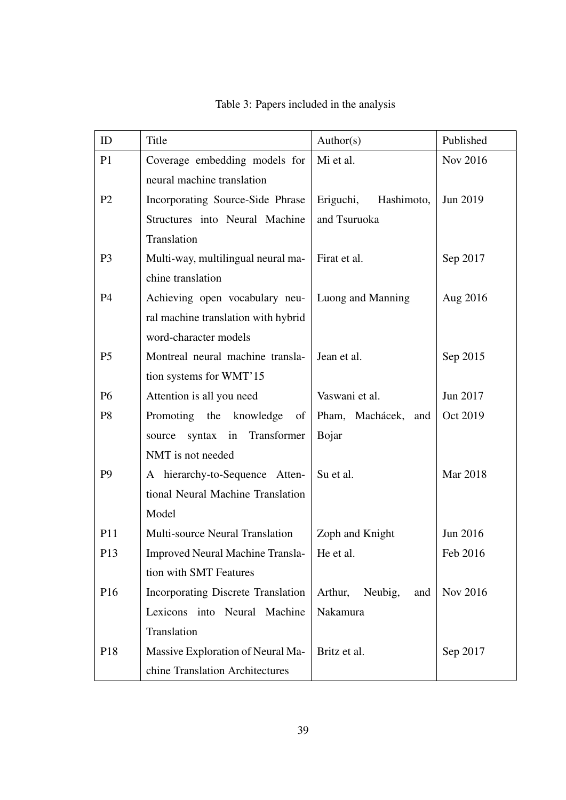<span id="page-46-0"></span>

| ID              | Title                                   | Author(s)                 | Published |
|-----------------|-----------------------------------------|---------------------------|-----------|
| P1              | Coverage embedding models for           | Mi et al.                 | Nov 2016  |
|                 | neural machine translation              |                           |           |
| P <sub>2</sub>  | Incorporating Source-Side Phrase        | Eriguchi,<br>Hashimoto,   | Jun 2019  |
|                 | Structures into Neural Machine          | and Tsuruoka              |           |
|                 | Translation                             |                           |           |
| P <sub>3</sub>  | Multi-way, multilingual neural ma-      | Firat et al.              | Sep 2017  |
|                 | chine translation                       |                           |           |
| <b>P4</b>       | Achieving open vocabulary neu-          | Luong and Manning         | Aug 2016  |
|                 | ral machine translation with hybrid     |                           |           |
|                 | word-character models                   |                           |           |
| P <sub>5</sub>  | Montreal neural machine transla-        | Jean et al.               | Sep 2015  |
|                 | tion systems for WMT'15                 |                           |           |
| P <sub>6</sub>  | Attention is all you need               | Vaswani et al.            | Jun 2017  |
| P <sub>8</sub>  | Promoting the knowledge<br>of           | Pham, Machácek, and       | Oct 2019  |
|                 | syntax in Transformer<br>source         | Bojar                     |           |
|                 | NMT is not needed                       |                           |           |
| P <sub>9</sub>  | A hierarchy-to-Sequence Atten-          | Su et al.                 | Mar 2018  |
|                 | tional Neural Machine Translation       |                           |           |
|                 | Model                                   |                           |           |
| <b>P11</b>      | Multi-source Neural Translation         | Zoph and Knight           | Jun 2016  |
| P <sub>13</sub> | <b>Improved Neural Machine Transla-</b> | He et al.                 | Feb 2016  |
|                 | tion with SMT Features                  |                           |           |
| P <sub>16</sub> | Incorporating Discrete Translation      | Arthur,<br>Neubig,<br>and | Nov 2016  |
|                 | Lexicons into Neural Machine            | Nakamura                  |           |
|                 | Translation                             |                           |           |
| P18             | Massive Exploration of Neural Ma-       | Britz et al.              | Sep 2017  |
|                 | chine Translation Architectures         |                           |           |

Table 3: Papers included in the analysis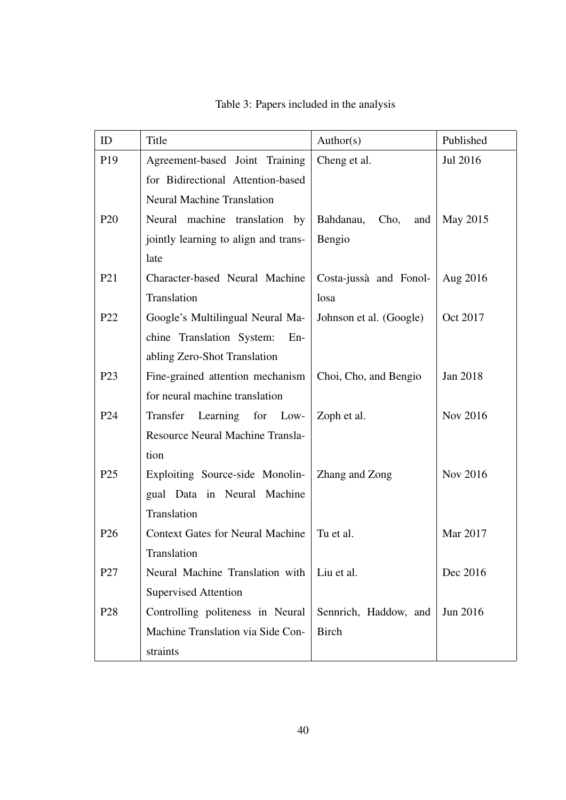| ID              | Title                                   | Author(s)                | Published |
|-----------------|-----------------------------------------|--------------------------|-----------|
| P <sub>19</sub> | Agreement-based Joint Training          | Cheng et al.             | Jul 2016  |
|                 | for Bidirectional Attention-based       |                          |           |
|                 | <b>Neural Machine Translation</b>       |                          |           |
| P <sub>20</sub> | Neural machine translation by           | Bahdanau,<br>Cho,<br>and | May 2015  |
|                 | jointly learning to align and trans-    | Bengio                   |           |
|                 | late                                    |                          |           |
| P <sub>21</sub> | Character-based Neural Machine          | Costa-jussà and Fonol-   | Aug 2016  |
|                 | Translation                             | losa                     |           |
| P <sub>22</sub> | Google's Multilingual Neural Ma-        | Johnson et al. (Google)  | Oct 2017  |
|                 | chine Translation System:<br>$En-$      |                          |           |
|                 | abling Zero-Shot Translation            |                          |           |
| P <sub>23</sub> | Fine-grained attention mechanism        | Choi, Cho, and Bengio    | Jan 2018  |
|                 | for neural machine translation          |                          |           |
| P <sub>24</sub> | Transfer Learning for Low-              | Zoph et al.              | Nov 2016  |
|                 | Resource Neural Machine Transla-        |                          |           |
|                 | tion                                    |                          |           |
| P <sub>25</sub> | Exploiting Source-side Monolin-         | Zhang and Zong           | Nov 2016  |
|                 | gual Data in Neural Machine             |                          |           |
|                 | Translation                             |                          |           |
| P <sub>26</sub> | <b>Context Gates for Neural Machine</b> | Tu et al.                | Mar 2017  |
|                 | Translation                             |                          |           |
| P <sub>27</sub> | Neural Machine Translation with         | Liu et al.               | Dec 2016  |
|                 | <b>Supervised Attention</b>             |                          |           |
| P <sub>28</sub> | Controlling politeness in Neural        | Sennrich, Haddow, and    | Jun 2016  |
|                 | Machine Translation via Side Con-       | <b>Birch</b>             |           |
|                 | straints                                |                          |           |

Table 3: Papers included in the analysis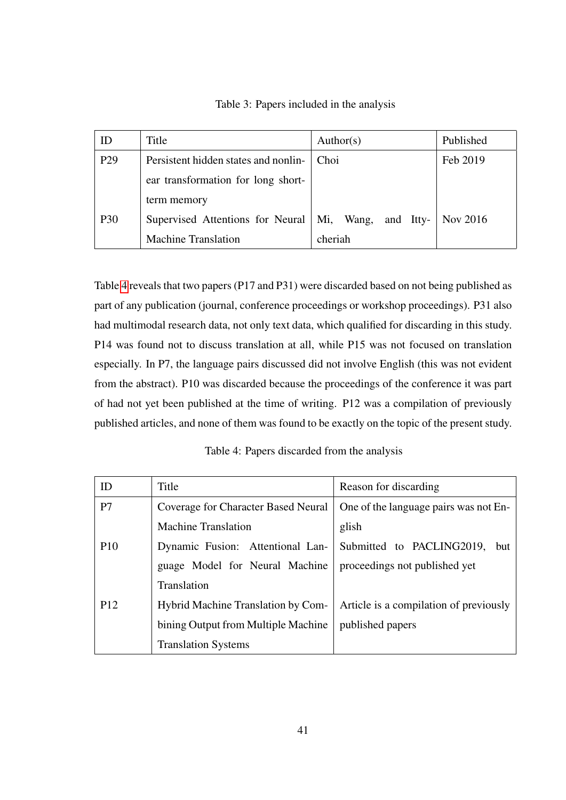Table 3: Papers included in the analysis

| ID              | Title                                | Author(s)              | Published |
|-----------------|--------------------------------------|------------------------|-----------|
| P <sub>29</sub> | Persistent hidden states and nonlin- | Choi                   | Feb 2019  |
|                 | ear transformation for long short-   |                        |           |
|                 | term memory                          |                        |           |
| P30             | Supervised Attentions for Neural     | Mi,<br>Wang, and Itty- | Nov 2016  |
|                 | <b>Machine Translation</b>           | cheriah                |           |

Table [4](#page-48-0) reveals that two papers (P17 and P31) were discarded based on not being published as part of any publication (journal, conference proceedings or workshop proceedings). P31 also had multimodal research data, not only text data, which qualified for discarding in this study. P14 was found not to discuss translation at all, while P15 was not focused on translation especially. In P7, the language pairs discussed did not involve English (this was not evident from the abstract). P10 was discarded because the proceedings of the conference it was part of had not yet been published at the time of writing. P12 was a compilation of previously published articles, and none of them was found to be exactly on the topic of the present study.

Table 4: Papers discarded from the analysis

<span id="page-48-0"></span>

| ID              | Title                               | Reason for discarding                  |
|-----------------|-------------------------------------|----------------------------------------|
| P7              | Coverage for Character Based Neural | One of the language pairs was not En-  |
|                 | <b>Machine Translation</b>          | glish                                  |
| <b>P10</b>      | Dynamic Fusion: Attentional Lan-    | Submitted to PACLING2019, but          |
|                 | guage Model for Neural Machine      | proceedings not published yet          |
|                 | Translation                         |                                        |
| P <sub>12</sub> | Hybrid Machine Translation by Com-  | Article is a compilation of previously |
|                 | bining Output from Multiple Machine | published papers                       |
|                 | <b>Translation Systems</b>          |                                        |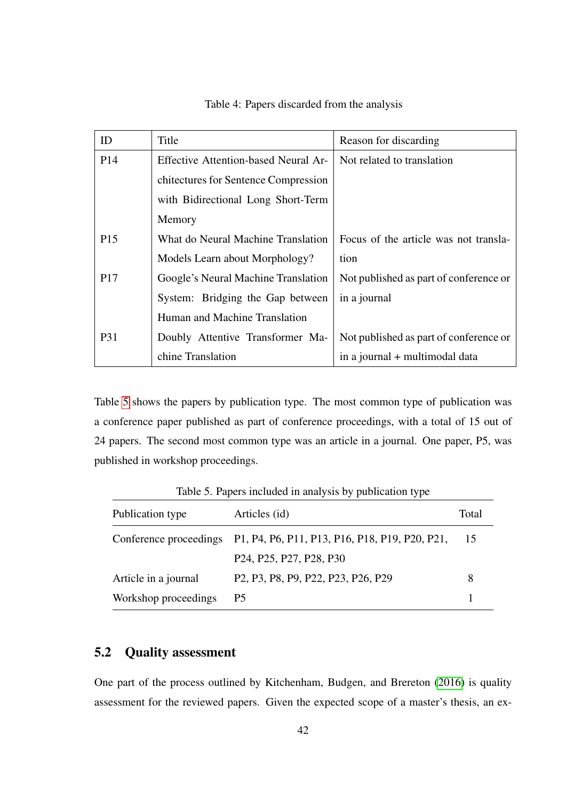| ID              | Title                                | Reason for discarding                  |
|-----------------|--------------------------------------|----------------------------------------|
| P <sub>14</sub> | Effective Attention-based Neural Ar- | Not related to translation             |
|                 | chitectures for Sentence Compression |                                        |
|                 | with Bidirectional Long Short-Term   |                                        |
|                 | Memory                               |                                        |
| P <sub>15</sub> | What do Neural Machine Translation   | Focus of the article was not transla-  |
|                 | Models Learn about Morphology?       | tion                                   |
| P <sub>17</sub> | Google's Neural Machine Translation  | Not published as part of conference or |
|                 | System: Bridging the Gap between     | in a journal                           |
|                 | Human and Machine Translation        |                                        |
| <b>P31</b>      | Doubly Attentive Transformer Ma-     | Not published as part of conference or |
|                 | chine Translation                    | in a journal + multimodal data         |

Table 4: Papers discarded from the analysis

Table [5](#page-49-0) shows the papers by publication type. The most common type of publication was a conference paper published as part of conference proceedings, with a total of 15 out of 24 papers. The second most common type was an article in a journal. One paper, P5, was published in workshop proceedings.

| Publication type     | Articles (id)                                                                                                                             | Total |
|----------------------|-------------------------------------------------------------------------------------------------------------------------------------------|-------|
|                      | Conference proceedings P1, P4, P6, P11, P13, P16, P18, P19, P20, P21,                                                                     | -15   |
|                      | P24, P25, P27, P28, P30                                                                                                                   |       |
| Article in a journal | P <sub>2</sub> , P <sub>3</sub> , P <sub>8</sub> , P <sub>9</sub> , P <sub>22</sub> , P <sub>23</sub> , P <sub>26</sub> , P <sub>29</sub> | 8     |
| Workshop proceedings | P5                                                                                                                                        |       |

<span id="page-49-0"></span>Table 5. Papers included in analysis by publication type

## 5.2 Quality assessment

One part of the process outlined by Kitchenham, Budgen, and Brereton [\(2016\)](#page-83-0) is quality assessment for the reviewed papers. Given the expected scope of a master's thesis, an ex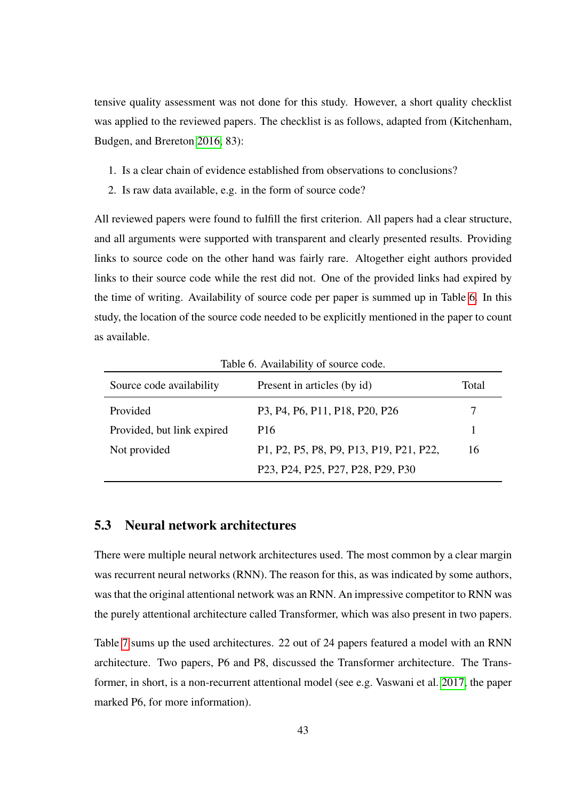tensive quality assessment was not done for this study. However, a short quality checklist was applied to the reviewed papers. The checklist is as follows, adapted from (Kitchenham, Budgen, and Brereton [2016,](#page-83-0) 83):

- 1. Is a clear chain of evidence established from observations to conclusions?
- 2. Is raw data available, e.g. in the form of source code?

All reviewed papers were found to fulfill the first criterion. All papers had a clear structure, and all arguments were supported with transparent and clearly presented results. Providing links to source code on the other hand was fairly rare. Altogether eight authors provided links to their source code while the rest did not. One of the provided links had expired by the time of writing. Availability of source code per paper is summed up in Table [6.](#page-50-0) In this study, the location of the source code needed to be explicitly mentioned in the paper to count as available.

Source code availability Present in articles (by id) Total Provided P3, P4, P6, P11, P18, P20, P26 7 Provided, but link expired P16 1 Not provided P1, P2, P5, P8, P9, P13, P19, P21, P22, P23, P24, P25, P27, P28, P29, P30 16

<span id="page-50-0"></span>Table 6. Availability of source code.

## 5.3 Neural network architectures

There were multiple neural network architectures used. The most common by a clear margin was recurrent neural networks (RNN). The reason for this, as was indicated by some authors, was that the original attentional network was an RNN. An impressive competitor to RNN was the purely attentional architecture called Transformer, which was also present in two papers.

Table [7](#page-51-0) sums up the used architectures. 22 out of 24 papers featured a model with an RNN architecture. Two papers, P6 and P8, discussed the Transformer architecture. The Transformer, in short, is a non-recurrent attentional model (see e.g. Vaswani et al. [2017,](#page-85-0) the paper marked P6, for more information).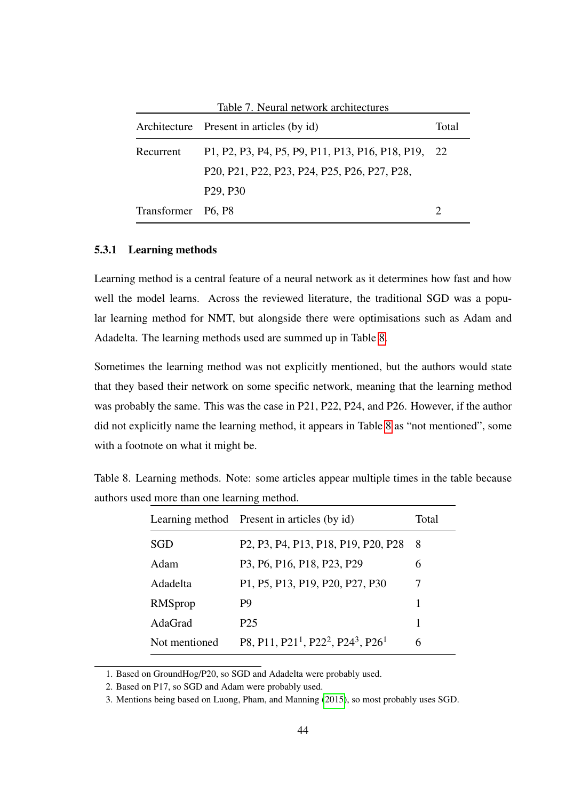<span id="page-51-0"></span>

|                    | Architecture Present in articles (by id)         | Total         |
|--------------------|--------------------------------------------------|---------------|
| Recurrent          | P1, P2, P3, P4, P5, P9, P11, P13, P16, P18, P19, | <sup>22</sup> |
|                    | P20, P21, P22, P23, P24, P25, P26, P27, P28,     |               |
|                    | P <sub>29</sub> , P <sub>30</sub>                |               |
| Transformer P6, P8 |                                                  |               |

#### 5.3.1 Learning methods

Learning method is a central feature of a neural network as it determines how fast and how well the model learns. Across the reviewed literature, the traditional SGD was a popular learning method for NMT, but alongside there were optimisations such as Adam and Adadelta. The learning methods used are summed up in Table [8.](#page-51-1)

Sometimes the learning method was not explicitly mentioned, but the authors would state that they based their network on some specific network, meaning that the learning method was probably the same. This was the case in P21, P22, P24, and P26. However, if the author did not explicitly name the learning method, it appears in Table [8](#page-51-1) as "not mentioned", some with a footnote on what it might be.

|               | Learning method Present in articles (by id)                                                                                                | Total |
|---------------|--------------------------------------------------------------------------------------------------------------------------------------------|-------|
| SGD           | P <sub>2</sub> , P <sub>3</sub> , P <sub>4</sub> , P <sub>13</sub> , P <sub>18</sub> , P <sub>19</sub> , P <sub>20</sub> , P <sub>28</sub> | 8     |
| Adam          | P3, P6, P16, P18, P23, P29                                                                                                                 | 6     |
| Adadelta      | P1, P5, P13, P19, P20, P27, P30                                                                                                            | 7     |
| RMSprop       | P <sub>9</sub>                                                                                                                             | 1     |
| AdaGrad       | P <sub>25</sub>                                                                                                                            | 1     |
| Not mentioned | P8, P11, P21 <sup>1</sup> , P22 <sup>2</sup> , P24 <sup>3</sup> , P26 <sup>1</sup>                                                         | 6     |

<span id="page-51-1"></span>Table 8. Learning methods. Note: some articles appear multiple times in the table because authors used more than one learning method.

1. Based on GroundHog/P20, so SGD and Adadelta were probably used.

2. Based on P17, so SGD and Adam were probably used.

3. Mentions being based on Luong, Pham, and Manning [\(2015\)](#page-84-4), so most probably uses SGD.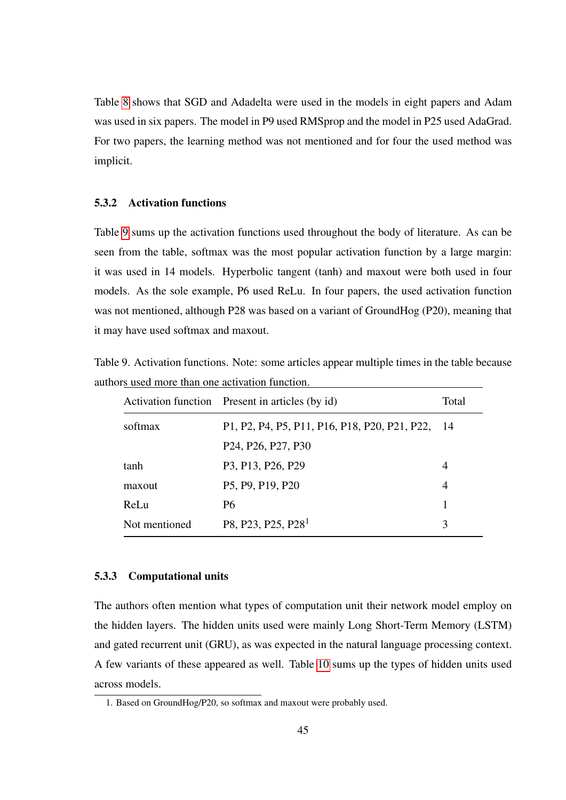Table [8](#page-51-1) shows that SGD and Adadelta were used in the models in eight papers and Adam was used in six papers. The model in P9 used RMSprop and the model in P25 used AdaGrad. For two papers, the learning method was not mentioned and for four the used method was implicit.

#### 5.3.2 Activation functions

Table [9](#page-52-0) sums up the activation functions used throughout the body of literature. As can be seen from the table, softmax was the most popular activation function by a large margin: it was used in 14 models. Hyperbolic tangent (tanh) and maxout were both used in four models. As the sole example, P6 used ReLu. In four papers, the used activation function was not mentioned, although P28 was based on a variant of GroundHog (P20), meaning that it may have used softmax and maxout.

<span id="page-52-0"></span>Table 9. Activation functions. Note: some articles appear multiple times in the table because authors used more than one activation function.

|               | Activation function Present in articles (by id)                       | Total |
|---------------|-----------------------------------------------------------------------|-------|
| softmax       | P1, P2, P4, P5, P11, P16, P18, P20, P21, P22, 14                      |       |
|               | P <sub>24</sub> , P <sub>26</sub> , P <sub>27</sub> , P <sub>30</sub> |       |
| tanh          | P3, P13, P26, P29                                                     | 4     |
| maxout        | P5, P9, P19, P20                                                      | 4     |
| ReLu          | P <sub>6</sub>                                                        |       |
| Not mentioned | P8, P23, P25, P28 <sup>1</sup>                                        | 3     |

#### 5.3.3 Computational units

The authors often mention what types of computation unit their network model employ on the hidden layers. The hidden units used were mainly Long Short-Term Memory (LSTM) and gated recurrent unit (GRU), as was expected in the natural language processing context. A few variants of these appeared as well. Table [10](#page-53-1) sums up the types of hidden units used across models.

<sup>1.</sup> Based on GroundHog/P20, so softmax and maxout were probably used.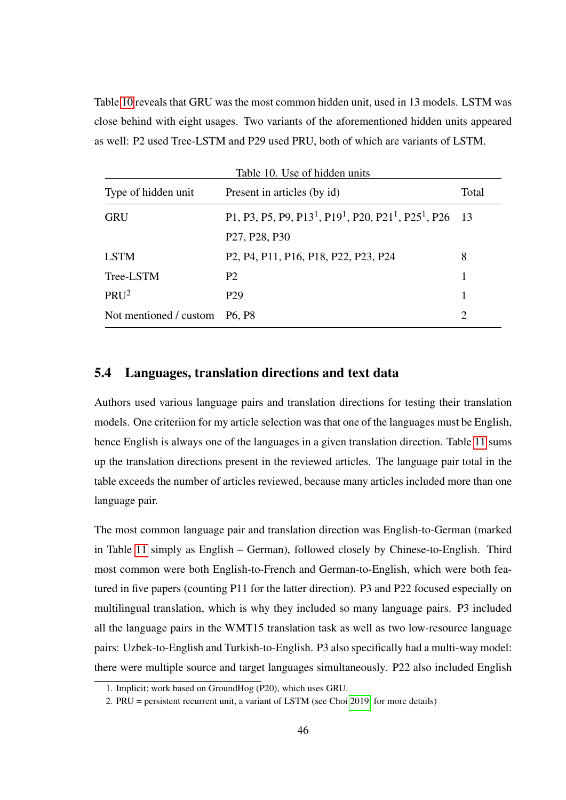Table [10](#page-53-1) reveals that GRU was the most common hidden unit, used in 13 models. LSTM was close behind with eight usages. Two variants of the aforementioned hidden units appeared as well: P2 used Tree-LSTM and P29 used PRU, both of which are variants of LSTM.

<span id="page-53-1"></span>

| Table 10. Use of hidden units |                                                                                                                                                                |                             |  |  |
|-------------------------------|----------------------------------------------------------------------------------------------------------------------------------------------------------------|-----------------------------|--|--|
| Type of hidden unit           | Present in articles (by id)                                                                                                                                    | Total                       |  |  |
| <b>GRU</b>                    | P1, P3, P5, P9, P13 <sup>1</sup> , P19 <sup>1</sup> , P20, P21 <sup>1</sup> , P25 <sup>1</sup> , P26 13<br>P <sub>27</sub> , P <sub>28</sub> , P <sub>30</sub> |                             |  |  |
| <b>LSTM</b>                   | P <sub>2</sub> , P <sub>4</sub> , P <sub>11</sub> , P <sub>16</sub> , P <sub>18</sub> , P <sub>22</sub> , P <sub>23</sub> , P <sub>24</sub>                    | 8                           |  |  |
| Tree-LSTM                     | <b>P2</b>                                                                                                                                                      |                             |  |  |
| PRU <sup>2</sup>              | P <sub>29</sub>                                                                                                                                                |                             |  |  |
| Not mentioned / custom        | P <sub>6</sub> , P <sub>8</sub>                                                                                                                                | $\mathcal{D}_{\mathcal{L}}$ |  |  |

## <span id="page-53-0"></span>5.4 Languages, translation directions and text data

Authors used various language pairs and translation directions for testing their translation models. One criteriion for my article selection was that one of the languages must be English, hence English is always one of the languages in a given translation direction. Table [11](#page-54-0) sums up the translation directions present in the reviewed articles. The language pair total in the table exceeds the number of articles reviewed, because many articles included more than one language pair.

The most common language pair and translation direction was English-to-German (marked in Table [11](#page-54-0) simply as English – German), followed closely by Chinese-to-English. Third most common were both English-to-French and German-to-English, which were both featured in five papers (counting P11 for the latter direction). P3 and P22 focused especially on multilingual translation, which is why they included so many language pairs. P3 included all the language pairs in the WMT15 translation task as well as two low-resource language pairs: Uzbek-to-English and Turkish-to-English. P3 also specifically had a multi-way model: there were multiple source and target languages simultaneously. P22 also included English

<sup>1.</sup> Implicit; work based on GroundHog (P20), which uses GRU.

<sup>2.</sup> PRU = persistent recurrent unit, a variant of LSTM (see Choi [2019,](#page-82-0) for more details)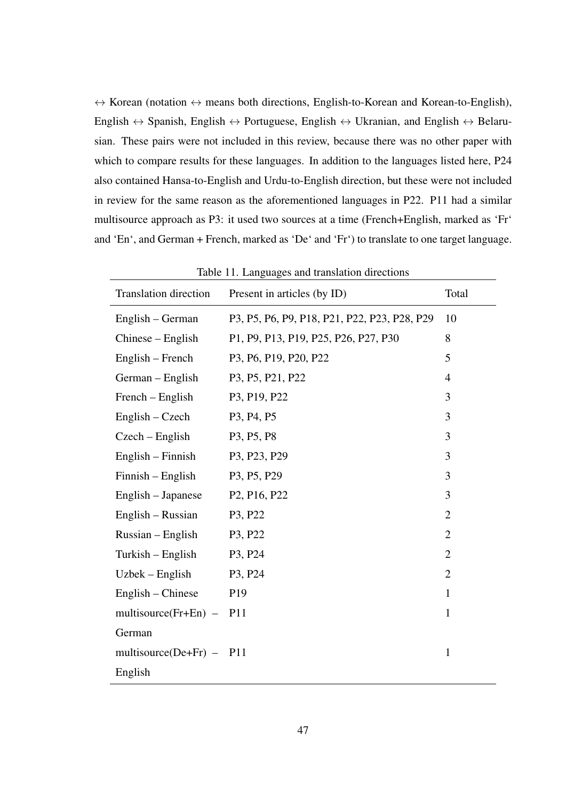$\leftrightarrow$  Korean (notation  $\leftrightarrow$  means both directions, English-to-Korean and Korean-to-English), English  $\leftrightarrow$  Spanish, English  $\leftrightarrow$  Portuguese, English  $\leftrightarrow$  Ukranian, and English  $\leftrightarrow$  Belarusian. These pairs were not included in this review, because there was no other paper with which to compare results for these languages. In addition to the languages listed here, P24 also contained Hansa-to-English and Urdu-to-English direction, but these were not included in review for the same reason as the aforementioned languages in P22. P11 had a similar multisource approach as P3: it used two sources at a time (French+English, marked as 'Fr' and 'En', and German + French, marked as 'De' and 'Fr') to translate to one target language.

| <b>Translation direction</b> | Present in articles (by ID)                        | Total          |
|------------------------------|----------------------------------------------------|----------------|
| English – German             | P3, P5, P6, P9, P18, P21, P22, P23, P28, P29       | 10             |
| $Chinese - English$          | P1, P9, P13, P19, P25, P26, P27, P30               | 8              |
| $English - French$           | P3, P6, P19, P20, P22                              | 5              |
| German – English             | P3, P5, P21, P22                                   | $\overline{4}$ |
| French – English             | P3, P19, P22                                       | 3              |
| $English - Czech$            | P3, P4, P5                                         | 3              |
| $Czech - English$            | P <sub>3</sub> , P <sub>5</sub> , P <sub>8</sub>   | 3              |
| $English - Finnish$          | P3, P23, P29                                       | 3              |
| Finnish – English            | P3, P5, P29                                        | 3              |
| English – Japanese           | P <sub>2</sub> , P <sub>16</sub> , P <sub>22</sub> | 3              |
| English – Russian            | P3, P22                                            | $\overline{2}$ |
| $Russian - English$          | P3, P22                                            | $\overline{2}$ |
| Turkish – English            | P3, P24                                            | $\overline{2}$ |
| $U$ zbek – English           | P3, P24                                            | $\overline{2}$ |
| English – Chinese            | P <sub>19</sub>                                    | $\mathbf{1}$   |
| multisource( $Fr+En$ ) –     | P <sub>11</sub>                                    | $\mathbf{1}$   |
| German                       |                                                    |                |
| multisource(De+Fr) - $P11$   |                                                    | $\mathbf{1}$   |
| English                      |                                                    |                |

<span id="page-54-0"></span>Table 11. Languages and translation directions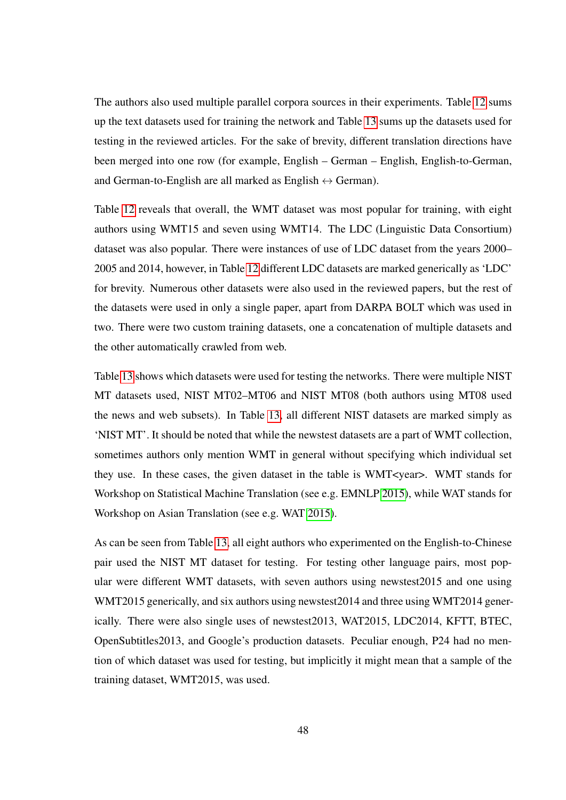The authors also used multiple parallel corpora sources in their experiments. Table [12](#page-56-0) sums up the text datasets used for training the network and Table [13](#page-57-0) sums up the datasets used for testing in the reviewed articles. For the sake of brevity, different translation directions have been merged into one row (for example, English – German – English, English-to-German, and German-to-English are all marked as English  $\leftrightarrow$  German).

Table [12](#page-56-0) reveals that overall, the WMT dataset was most popular for training, with eight authors using WMT15 and seven using WMT14. The LDC (Linguistic Data Consortium) dataset was also popular. There were instances of use of LDC dataset from the years 2000– 2005 and 2014, however, in Table [12](#page-56-0) different LDC datasets are marked generically as 'LDC' for brevity. Numerous other datasets were also used in the reviewed papers, but the rest of the datasets were used in only a single paper, apart from DARPA BOLT which was used in two. There were two custom training datasets, one a concatenation of multiple datasets and the other automatically crawled from web.

Table [13](#page-57-0) shows which datasets were used for testing the networks. There were multiple NIST MT datasets used, NIST MT02–MT06 and NIST MT08 (both authors using MT08 used the news and web subsets). In Table [13,](#page-57-0) all different NIST datasets are marked simply as 'NIST MT'. It should be noted that while the newstest datasets are a part of WMT collection, sometimes authors only mention WMT in general without specifying which individual set they use. In these cases, the given dataset in the table is WMT<year>. WMT stands for Workshop on Statistical Machine Translation (see e.g. EMNLP [2015\)](#page-82-1), while WAT stands for Workshop on Asian Translation (see e.g. WAT [2015\)](#page-85-1).

As can be seen from Table [13,](#page-57-0) all eight authors who experimented on the English-to-Chinese pair used the NIST MT dataset for testing. For testing other language pairs, most popular were different WMT datasets, with seven authors using newstest2015 and one using WMT2015 generically, and six authors using newstest2014 and three using WMT2014 generically. There were also single uses of newstest2013, WAT2015, LDC2014, KFTT, BTEC, OpenSubtitles2013, and Google's production datasets. Peculiar enough, P24 had no mention of which dataset was used for testing, but implicitly it might mean that a sample of the training dataset, WMT2015, was used.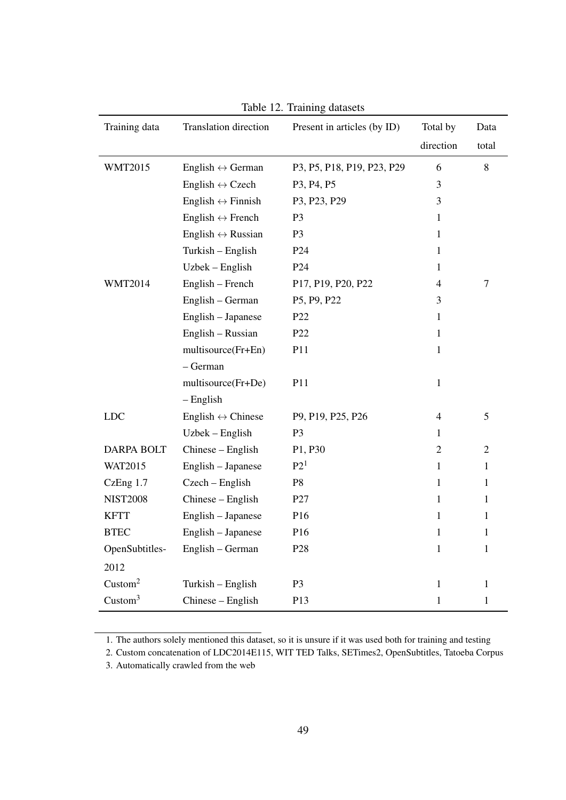| Training data       | Translation direction             | Present in articles (by ID)                      | Total by       | Data           |
|---------------------|-----------------------------------|--------------------------------------------------|----------------|----------------|
|                     |                                   |                                                  | direction      | total          |
| <b>WMT2015</b>      | English $\leftrightarrow$ German  | P3, P5, P18, P19, P23, P29                       | 6              | 8              |
|                     | English $\leftrightarrow$ Czech   | P <sub>3</sub> , P <sub>4</sub> , P <sub>5</sub> | 3              |                |
|                     | English $\leftrightarrow$ Finnish | P3, P23, P29                                     | 3              |                |
|                     | English $\leftrightarrow$ French  | P <sub>3</sub>                                   | $\mathbf 1$    |                |
|                     | English $\leftrightarrow$ Russian | P <sub>3</sub>                                   | $\mathbf{1}$   |                |
|                     | Turkish - English                 | P <sub>24</sub>                                  | $\mathbf{1}$   |                |
|                     | Uzbek – English                   | P <sub>24</sub>                                  | 1              |                |
| <b>WMT2014</b>      | English - French                  | P17, P19, P20, P22                               | 4              | $\tau$         |
|                     | English – German                  | P5, P9, P22                                      | 3              |                |
|                     | English - Japanese                | P22                                              | $\mathbf{1}$   |                |
|                     | English - Russian                 | P <sub>22</sub>                                  | $\mathbf{1}$   |                |
|                     | multisource(Fr+En)                | P11                                              | $\mathbf{1}$   |                |
|                     | $-$ German                        |                                                  |                |                |
|                     | multisource(Fr+De)                | P11                                              | $\mathbf{1}$   |                |
|                     | $-$ English                       |                                                  |                |                |
| <b>LDC</b>          | English $\leftrightarrow$ Chinese | P9, P19, P25, P26                                | $\overline{4}$ | 5              |
|                     | Uzbek – English                   | P <sub>3</sub>                                   | $\mathbf{1}$   |                |
| <b>DARPA BOLT</b>   | Chinese – English                 | P1, P30                                          | $\overline{2}$ | $\overline{2}$ |
| <b>WAT2015</b>      | English - Japanese                | P2 <sup>1</sup>                                  | $\mathbf{1}$   | 1              |
| CzEng 1.7           | Czech – English                   | P <sub>8</sub>                                   | $\mathbf{1}$   | $\mathbf{1}$   |
| <b>NIST2008</b>     | Chinese - English                 | P27                                              | 1              | 1              |
| <b>KFTT</b>         | English - Japanese                | P <sub>16</sub>                                  | 1              | 1              |
| <b>BTEC</b>         | English - Japanese                | P <sub>16</sub>                                  | $\mathbf 1$    | 1              |
| OpenSubtitles-      | English - German                  | P <sub>28</sub>                                  | $\mathbf{1}$   | $\mathbf{1}$   |
| 2012                |                                   |                                                  |                |                |
| Custom <sup>2</sup> | Turkish - English                 | P <sub>3</sub>                                   | $\mathbf{1}$   | $\mathbf{1}$   |
| Custom <sup>3</sup> | Chinese - English                 | P13                                              | $\mathbf{1}$   | $\mathbf{1}$   |

<span id="page-56-0"></span>Table 12. Training datasets

1. The authors solely mentioned this dataset, so it is unsure if it was used both for training and testing

3. Automatically crawled from the web

<sup>2.</sup> Custom concatenation of LDC2014E115, WIT TED Talks, SETimes2, OpenSubtitles, Tatoeba Corpus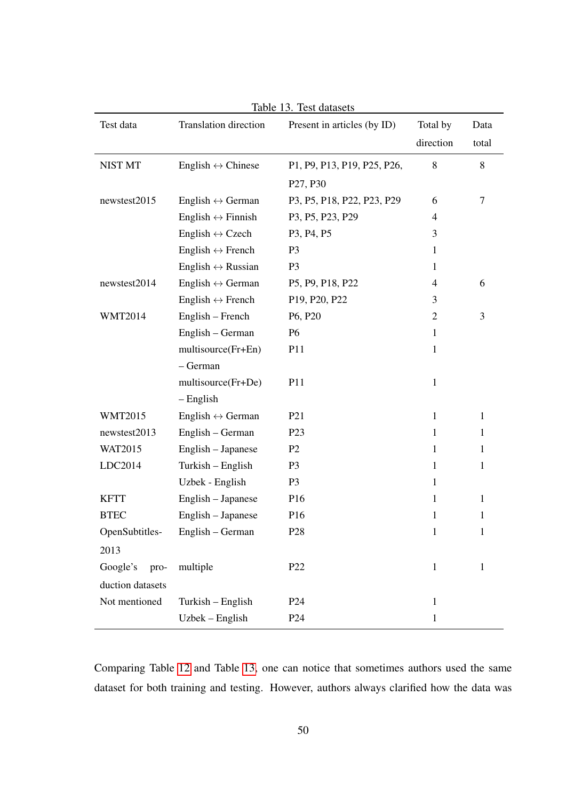| Test data        | Translation direction             | Present in articles (by ID)                         | Total by       | Data         |
|------------------|-----------------------------------|-----------------------------------------------------|----------------|--------------|
|                  |                                   |                                                     | direction      | total        |
| NIST MT          | English $\leftrightarrow$ Chinese | P1, P9, P13, P19, P25, P26,                         | 8              | 8            |
|                  |                                   | P <sub>27</sub> , P <sub>30</sub>                   |                |              |
| newstest2015     | English $\leftrightarrow$ German  | P3, P5, P18, P22, P23, P29                          | 6              | $\tau$       |
|                  | English $\leftrightarrow$ Finnish | P3, P5, P23, P29                                    | $\overline{4}$ |              |
|                  | English $\leftrightarrow$ Czech   | P <sub>3</sub> , P <sub>4</sub> , P <sub>5</sub>    | 3              |              |
|                  | English $\leftrightarrow$ French  | P <sub>3</sub>                                      | $\mathbf{1}$   |              |
|                  | English $\leftrightarrow$ Russian | P <sub>3</sub>                                      | $\mathbf{1}$   |              |
| newstest2014     | English $\leftrightarrow$ German  | P5, P9, P18, P22                                    | $\overline{4}$ | 6            |
|                  | English $\leftrightarrow$ French  | P <sub>19</sub> , P <sub>20</sub> , P <sub>22</sub> | 3              |              |
| <b>WMT2014</b>   | English – French                  | P <sub>6</sub> , P <sub>20</sub>                    | $\overline{2}$ | 3            |
|                  | English – German                  | P <sub>6</sub>                                      | $\mathbf{1}$   |              |
|                  | multisource(Fr+En)                | P11                                                 | $\mathbf{1}$   |              |
|                  | - German                          |                                                     |                |              |
|                  | multisource(Fr+De)                | P11                                                 | $\mathbf{1}$   |              |
|                  | $-$ English                       |                                                     |                |              |
| <b>WMT2015</b>   | English $\leftrightarrow$ German  | P <sub>21</sub>                                     | $\mathbf{1}$   | $\mathbf{1}$ |
| newstest2013     | English – German                  | P <sub>23</sub>                                     | $\mathbf{1}$   | $\mathbf{1}$ |
| WAT2015          | English - Japanese                | P <sub>2</sub>                                      | $\mathbf{1}$   | 1            |
| LDC2014          | Turkish – English                 | P <sub>3</sub>                                      | $\mathbf{1}$   | $\mathbf{1}$ |
|                  | Uzbek - English                   | P <sub>3</sub>                                      | $\mathbf{1}$   |              |
| <b>KFTT</b>      | English - Japanese                | P <sub>16</sub>                                     | $\mathbf{1}$   | 1            |
| <b>BTEC</b>      | English - Japanese                | P <sub>16</sub>                                     | $\mathbf{1}$   | 1            |
| OpenSubtitles-   | English - German                  | P <sub>28</sub>                                     | 1              | 1            |
| 2013             |                                   |                                                     |                |              |
| Google's<br>pro- | multiple                          | P22                                                 | $\mathbf{1}$   | $\mathbf{1}$ |
| duction datasets |                                   |                                                     |                |              |
| Not mentioned    | Turkish - English                 | P <sub>24</sub>                                     | $\mathbf{1}$   |              |
|                  | Uzbek – English                   | P <sub>24</sub>                                     | $\mathbf{1}$   |              |

<span id="page-57-0"></span>Table 13. Test datasets

Comparing Table [12](#page-56-0) and Table [13,](#page-57-0) one can notice that sometimes authors used the same dataset for both training and testing. However, authors always clarified how the data was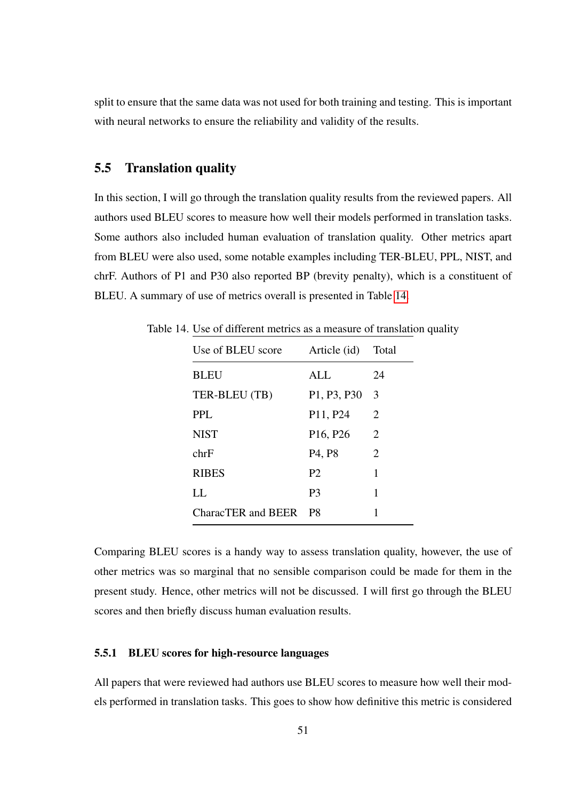split to ensure that the same data was not used for both training and testing. This is important with neural networks to ensure the reliability and validity of the results.

## <span id="page-58-0"></span>5.5 Translation quality

In this section, I will go through the translation quality results from the reviewed papers. All authors used BLEU scores to measure how well their models performed in translation tasks. Some authors also included human evaluation of translation quality. Other metrics apart from BLEU were also used, some notable examples including TER-BLEU, PPL, NIST, and chrF. Authors of P1 and P30 also reported BP (brevity penalty), which is a constituent of BLEU. A summary of use of metrics overall is presented in Table [14.](#page-58-1)

<span id="page-58-1"></span>

| Use of BLEU score  | Article (id)                      | Total                 |
|--------------------|-----------------------------------|-----------------------|
| <b>BLEU</b>        | ALL                               | 24                    |
| TER-BLEU (TB)      | P1, P3, P30                       | 3                     |
| PPL.               | P <sub>11</sub> , P <sub>24</sub> | $\mathcal{D}_{\cdot}$ |
| <b>NIST</b>        | P <sub>16</sub> , P <sub>26</sub> | 2                     |
| chrF               | P <sub>4</sub> , P <sub>8</sub>   | 2                     |
| <b>RIBES</b>       | P <sub>2</sub>                    | 1                     |
| LL.                | P3                                | 1                     |
| CharacTER and BEER | P8                                | 1                     |

Table 14. Use of different metrics as a measure of translation quality

Comparing BLEU scores is a handy way to assess translation quality, however, the use of other metrics was so marginal that no sensible comparison could be made for them in the present study. Hence, other metrics will not be discussed. I will first go through the BLEU scores and then briefly discuss human evaluation results.

#### 5.5.1 BLEU scores for high-resource languages

All papers that were reviewed had authors use BLEU scores to measure how well their models performed in translation tasks. This goes to show how definitive this metric is considered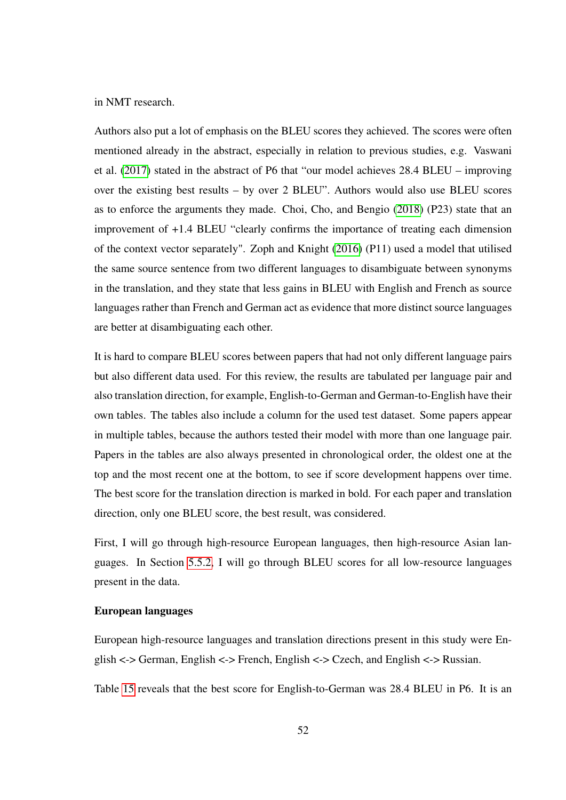in NMT research.

Authors also put a lot of emphasis on the BLEU scores they achieved. The scores were often mentioned already in the abstract, especially in relation to previous studies, e.g. Vaswani et al. [\(2017\)](#page-85-0) stated in the abstract of P6 that "our model achieves 28.4 BLEU – improving over the existing best results – by over 2 BLEU". Authors would also use BLEU scores as to enforce the arguments they made. Choi, Cho, and Bengio [\(2018\)](#page-82-2) (P23) state that an improvement of +1.4 BLEU "clearly confirms the importance of treating each dimension of the context vector separately". Zoph and Knight [\(2016\)](#page-85-2) (P11) used a model that utilised the same source sentence from two different languages to disambiguate between synonyms in the translation, and they state that less gains in BLEU with English and French as source languages rather than French and German act as evidence that more distinct source languages are better at disambiguating each other.

It is hard to compare BLEU scores between papers that had not only different language pairs but also different data used. For this review, the results are tabulated per language pair and also translation direction, for example, English-to-German and German-to-English have their own tables. The tables also include a column for the used test dataset. Some papers appear in multiple tables, because the authors tested their model with more than one language pair. Papers in the tables are also always presented in chronological order, the oldest one at the top and the most recent one at the bottom, to see if score development happens over time. The best score for the translation direction is marked in bold. For each paper and translation direction, only one BLEU score, the best result, was considered.

First, I will go through high-resource European languages, then high-resource Asian languages. In Section [5.5.2,](#page-66-0) I will go through BLEU scores for all low-resource languages present in the data.

#### European languages

European high-resource languages and translation directions present in this study were English <-> German, English <-> French, English <-> Czech, and English <-> Russian.

Table [15](#page-60-0) reveals that the best score for English-to-German was 28.4 BLEU in P6. It is an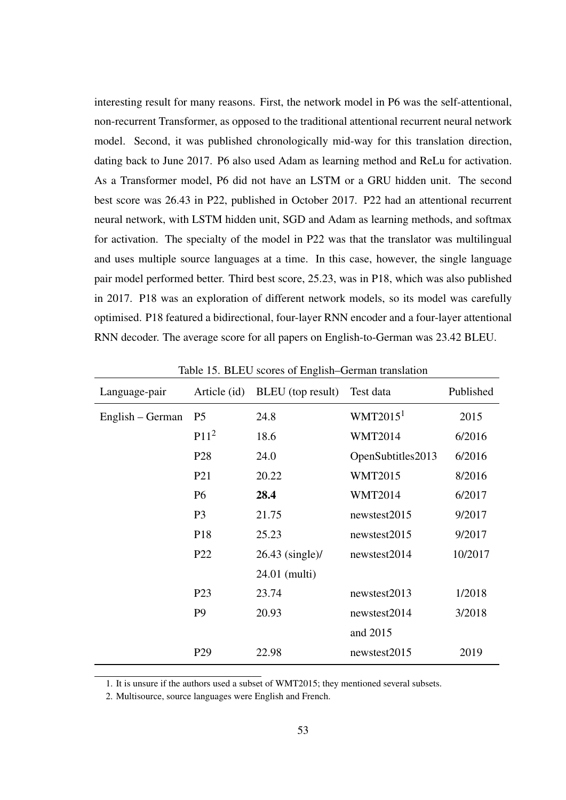interesting result for many reasons. First, the network model in P6 was the self-attentional, non-recurrent Transformer, as opposed to the traditional attentional recurrent neural network model. Second, it was published chronologically mid-way for this translation direction, dating back to June 2017. P6 also used Adam as learning method and ReLu for activation. As a Transformer model, P6 did not have an LSTM or a GRU hidden unit. The second best score was 26.43 in P22, published in October 2017. P22 had an attentional recurrent neural network, with LSTM hidden unit, SGD and Adam as learning methods, and softmax for activation. The specialty of the model in P22 was that the translator was multilingual and uses multiple source languages at a time. In this case, however, the single language pair model performed better. Third best score, 25.23, was in P18, which was also published in 2017. P18 was an exploration of different network models, so its model was carefully optimised. P18 featured a bidirectional, four-layer RNN encoder and a four-layer attentional RNN decoder. The average score for all papers on English-to-German was 23.42 BLEU.

| Language-pair    | Article (id)     | BLEU (top result) | Test data         | Published |
|------------------|------------------|-------------------|-------------------|-----------|
| English – German | P <sub>5</sub>   | 24.8              | WMT2015 $1$       | 2015      |
|                  | P11 <sup>2</sup> | 18.6              | <b>WMT2014</b>    | 6/2016    |
|                  | P <sub>28</sub>  | 24.0              | OpenSubtitles2013 | 6/2016    |
|                  | P <sub>21</sub>  | 20.22             | <b>WMT2015</b>    | 8/2016    |
|                  | <b>P6</b>        | 28.4              | <b>WMT2014</b>    | 6/2017    |
|                  | P <sub>3</sub>   | 21.75             | newstest2015      | 9/2017    |
|                  | P18              | 25.23             | newstest2015      | 9/2017    |
|                  | P <sub>22</sub>  | $26.43$ (single)/ | newstest2014      | 10/2017   |
|                  |                  | 24.01 (multi)     |                   |           |
|                  | P <sub>23</sub>  | 23.74             | newstest2013      | 1/2018    |
|                  | P <sub>9</sub>   | 20.93             | newstest2014      | 3/2018    |
|                  |                  |                   | and 2015          |           |
|                  | P <sub>29</sub>  | 22.98             | newstest2015      | 2019      |

<span id="page-60-0"></span>Table 15. BLEU scores of English–German translation

1. It is unsure if the authors used a subset of WMT2015; they mentioned several subsets.

2. Multisource, source languages were English and French.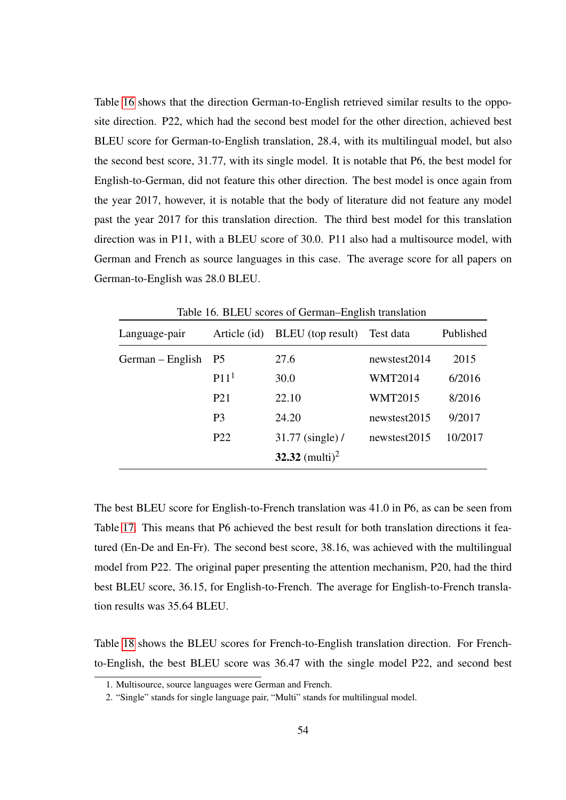Table [16](#page-61-0) shows that the direction German-to-English retrieved similar results to the opposite direction. P22, which had the second best model for the other direction, achieved best BLEU score for German-to-English translation, 28.4, with its multilingual model, but also the second best score, 31.77, with its single model. It is notable that P6, the best model for English-to-German, did not feature this other direction. The best model is once again from the year 2017, however, it is notable that the body of literature did not feature any model past the year 2017 for this translation direction. The third best model for this translation direction was in P11, with a BLEU score of 30.0. P11 also had a multisource model, with German and French as source languages in this case. The average score for all papers on German-to-English was 28.0 BLEU.

|                  | racio Toi DEEO Scorcs of Octifian English nansfation |                            |                |           |  |
|------------------|------------------------------------------------------|----------------------------|----------------|-----------|--|
| Language-pair    | Article (id)                                         | BLEU (top result)          | Test data      | Published |  |
| German – English | <b>P5</b>                                            | 27.6                       | newstest2014   | 2015      |  |
|                  | P11 <sup>1</sup>                                     | 30.0                       | <b>WMT2014</b> | 6/2016    |  |
|                  | P <sub>21</sub>                                      | 22.10                      | <b>WMT2015</b> | 8/2016    |  |
|                  | P <sub>3</sub>                                       | 24.20                      | newstest2015   | 9/2017    |  |
|                  | P <sub>22</sub>                                      | 31.77 (single) /           | newstest2015   | 10/2017   |  |
|                  |                                                      | 32.32 (multi) <sup>2</sup> |                |           |  |

<span id="page-61-0"></span>Table 16. BLEU scores of German–English translation

The best BLEU score for English-to-French translation was 41.0 in P6, as can be seen from Table [17.](#page-62-0) This means that P6 achieved the best result for both translation directions it featured (En-De and En-Fr). The second best score, 38.16, was achieved with the multilingual model from P22. The original paper presenting the attention mechanism, P20, had the third best BLEU score, 36.15, for English-to-French. The average for English-to-French translation results was 35.64 BLEU.

Table [18](#page-62-1) shows the BLEU scores for French-to-English translation direction. For Frenchto-English, the best BLEU score was 36.47 with the single model P22, and second best

<sup>1.</sup> Multisource, source languages were German and French.

<sup>2. &</sup>quot;Single" stands for single language pair, "Multi" stands for multilingual model.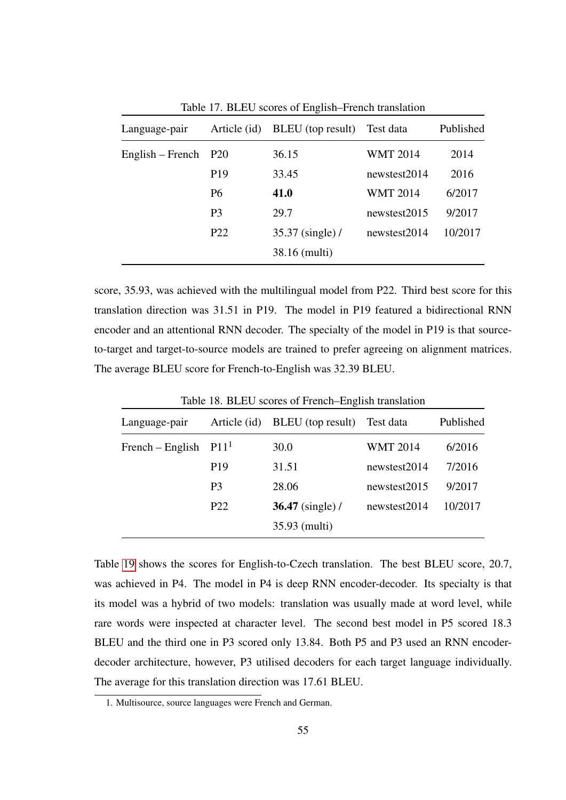| Language-pair    | Article (id)    | BLEU (top result) | Test data       | Published |
|------------------|-----------------|-------------------|-----------------|-----------|
| English – French | P <sub>20</sub> | 36.15             | <b>WMT 2014</b> | 2014      |
|                  | P <sub>19</sub> | 33.45             | newstest2014    | 2016      |
|                  | <b>P6</b>       | 41.0              | <b>WMT 2014</b> | 6/2017    |
|                  | P <sub>3</sub>  | 29.7              | newstest2015    | 9/2017    |
|                  | P <sub>22</sub> | 35.37 (single) /  | newstest2014    | 10/2017   |
|                  |                 | 38.16 (multi)     |                 |           |

<span id="page-62-0"></span>Table 17. BLEU scores of English–French translation

score, 35.93, was achieved with the multilingual model from P22. Third best score for this translation direction was 31.51 in P19. The model in P19 featured a bidirectional RNN encoder and an attentional RNN decoder. The specialty of the model in P19 is that sourceto-target and target-to-source models are trained to prefer agreeing on alignment matrices. The average BLEU score for French-to-English was 32.39 BLEU.

<span id="page-62-1"></span>

| Table 18. BLEU scores of French–English translation |                  |                    |                 |           |  |
|-----------------------------------------------------|------------------|--------------------|-----------------|-----------|--|
| Language-pair                                       | Article (id)     | BLEU (top result)  | Test data       | Published |  |
| French – English                                    | P11 <sup>1</sup> | 30.0               | <b>WMT 2014</b> | 6/2016    |  |
|                                                     | P <sub>19</sub>  | 31.51              | newstest2014    | 7/2016    |  |
|                                                     | P <sub>3</sub>   | 28.06              | newstest2015    | 9/2017    |  |
|                                                     | P <sub>22</sub>  | $36.47$ (single) / | newstest2014    | 10/2017   |  |
|                                                     |                  | 35.93 (multi)      |                 |           |  |

Table [19](#page-63-0) shows the scores for English-to-Czech translation. The best BLEU score, 20.7, was achieved in P4. The model in P4 is deep RNN encoder-decoder. Its specialty is that its model was a hybrid of two models: translation was usually made at word level, while rare words were inspected at character level. The second best model in P5 scored 18.3 BLEU and the third one in P3 scored only 13.84. Both P5 and P3 used an RNN encoderdecoder architecture, however, P3 utilised decoders for each target language individually. The average for this translation direction was 17.61 BLEU.

<sup>1.</sup> Multisource, source languages were French and German.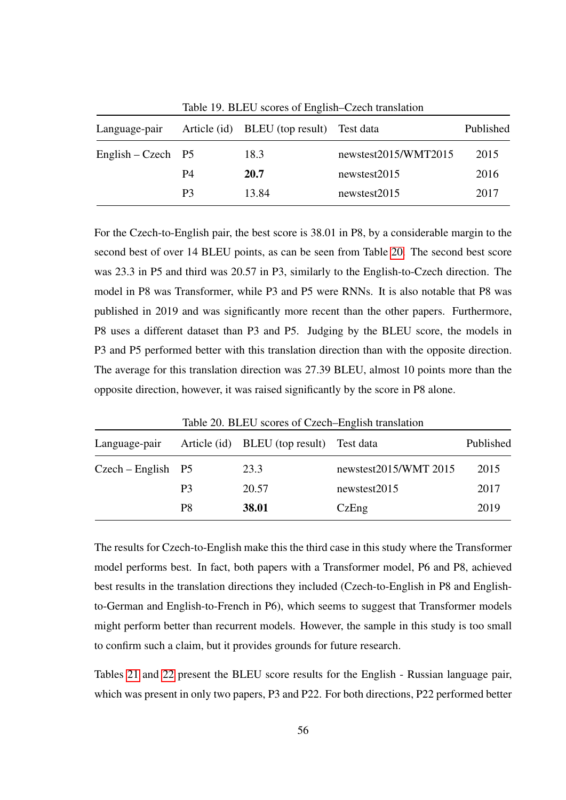<span id="page-63-0"></span>

|                      |                | Table 19. BLEU scores of English–Czech translation |                      |           |  |  |
|----------------------|----------------|----------------------------------------------------|----------------------|-----------|--|--|
| Language-pair        |                | Article (id) BLEU (top result) Test data           |                      | Published |  |  |
| English – Czech $P5$ |                | 18.3                                               | newstest2015/WMT2015 | 2015      |  |  |
|                      | P4             | 20.7                                               | newstest2015         | 2016      |  |  |
|                      | P <sub>3</sub> | 13.84                                              | newstest2015         | 2017      |  |  |

For the Czech-to-English pair, the best score is 38.01 in P8, by a considerable margin to the second best of over 14 BLEU points, as can be seen from Table [20.](#page-63-1) The second best score was 23.3 in P5 and third was 20.57 in P3, similarly to the English-to-Czech direction. The model in P8 was Transformer, while P3 and P5 were RNNs. It is also notable that P8 was published in 2019 and was significantly more recent than the other papers. Furthermore, P8 uses a different dataset than P3 and P5. Judging by the BLEU score, the models in P3 and P5 performed better with this translation direction than with the opposite direction. The average for this translation direction was 27.39 BLEU, almost 10 points more than the opposite direction, however, it was raised significantly by the score in P8 alone.

<span id="page-63-1"></span>

| Table 20. BLEU scores of Czech–English translation |                |                                          |                       |           |
|----------------------------------------------------|----------------|------------------------------------------|-----------------------|-----------|
| Language-pair                                      |                | Article (id) BLEU (top result) Test data |                       | Published |
| $Czech - English$ P5                               |                | 23.3                                     | newstest2015/WMT 2015 | 2015      |
|                                                    | P <sub>3</sub> | 20.57                                    | newstest2015          | 2017      |
|                                                    | P8             | 38.01                                    | CzEng                 | 2019      |

The results for Czech-to-English make this the third case in this study where the Transformer model performs best. In fact, both papers with a Transformer model, P6 and P8, achieved best results in the translation directions they included (Czech-to-English in P8 and Englishto-German and English-to-French in P6), which seems to suggest that Transformer models might perform better than recurrent models. However, the sample in this study is too small to confirm such a claim, but it provides grounds for future research.

Tables [21](#page-64-0) and [22](#page-64-1) present the BLEU score results for the English - Russian language pair, which was present in only two papers, P3 and P22. For both directions, P22 performed better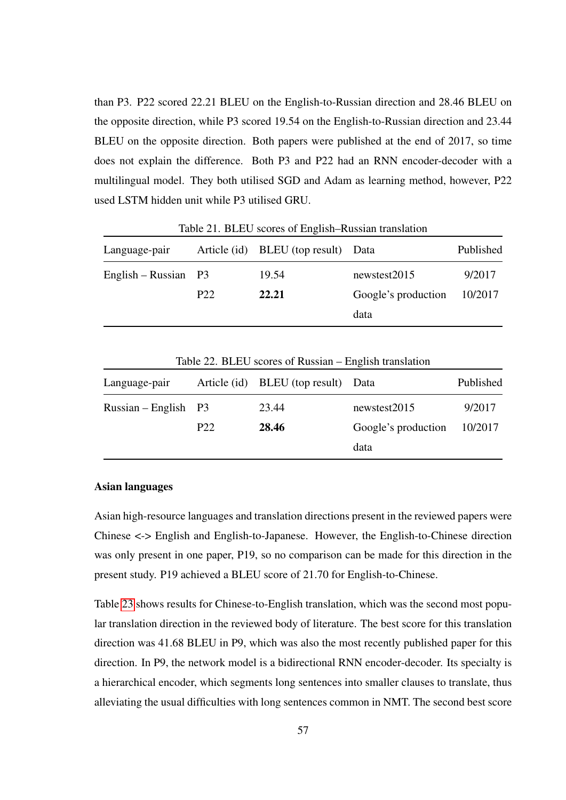than P3. P22 scored 22.21 BLEU on the English-to-Russian direction and 28.46 BLEU on the opposite direction, while P3 scored 19.54 on the English-to-Russian direction and 23.44 BLEU on the opposite direction. Both papers were published at the end of 2017, so time does not explain the difference. Both P3 and P22 had an RNN encoder-decoder with a multilingual model. They both utilised SGD and Adam as learning method, however, P22 used LSTM hidden unit while P3 utilised GRU.

| Language-pair          |                 | Article (id) BLEU (top result) | Data                | Published |  |
|------------------------|-----------------|--------------------------------|---------------------|-----------|--|
| English – Russian $P3$ |                 | 19.54                          | newstest2015        | 9/2017    |  |
|                        | P <sub>22</sub> | 22.21                          | Google's production | 10/2017   |  |
|                        |                 |                                | data                |           |  |

<span id="page-64-0"></span>Table 21. BLEU scores of English–Russian translation

| -weit 22, 2226 by Diversity Community and the contract of |                 |                                |                     |           |
|-----------------------------------------------------------|-----------------|--------------------------------|---------------------|-----------|
| Language-pair                                             |                 | Article (id) BLEU (top result) | Data                | Published |
| $Russian - English$ P3                                    |                 | 23.44                          | newstest2015        | 9/2017    |
|                                                           | P <sub>22</sub> | 28.46                          | Google's production | 10/2017   |
|                                                           |                 |                                | data                |           |

<span id="page-64-1"></span>Table 22. BLEU scores of Russian – English translation

#### Asian languages

Asian high-resource languages and translation directions present in the reviewed papers were Chinese <-> English and English-to-Japanese. However, the English-to-Chinese direction was only present in one paper, P19, so no comparison can be made for this direction in the present study. P19 achieved a BLEU score of 21.70 for English-to-Chinese.

Table [23](#page-65-0) shows results for Chinese-to-English translation, which was the second most popular translation direction in the reviewed body of literature. The best score for this translation direction was 41.68 BLEU in P9, which was also the most recently published paper for this direction. In P9, the network model is a bidirectional RNN encoder-decoder. Its specialty is a hierarchical encoder, which segments long sentences into smaller clauses to translate, thus alleviating the usual difficulties with long sentences common in NMT. The second best score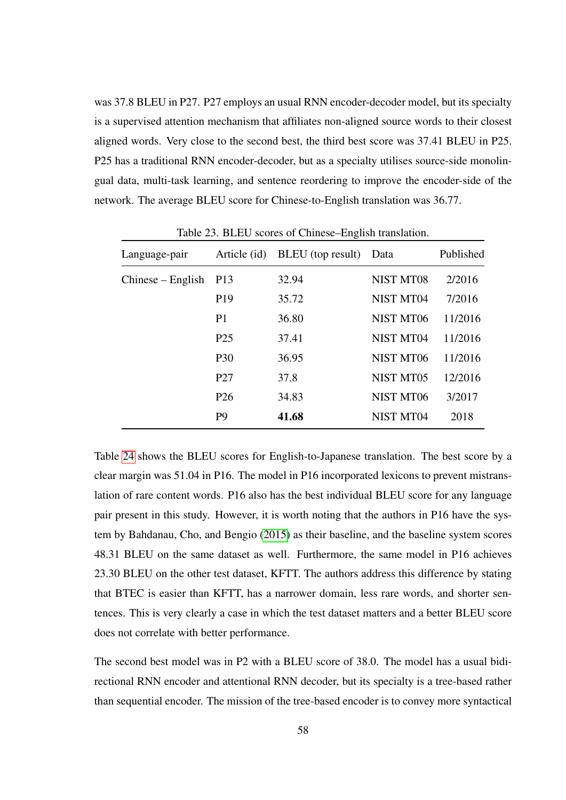was 37.8 BLEU in P27. P27 employs an usual RNN encoder-decoder model, but its specialty is a supervised attention mechanism that affiliates non-aligned source words to their closest aligned words. Very close to the second best, the third best score was 37.41 BLEU in P25. P25 has a traditional RNN encoder-decoder, but as a specialty utilises source-side monolingual data, multi-task learning, and sentence reordering to improve the encoder-side of the network. The average BLEU score for Chinese-to-English translation was 36.77.

| Language-pair       | Article (id)    | BLEU (top result) | Data             | Published |
|---------------------|-----------------|-------------------|------------------|-----------|
| $Chinese - English$ | P <sub>13</sub> | 32.94             | NIST MT08        | 2/2016    |
|                     | P <sub>19</sub> | 35.72             | <b>NIST MT04</b> | 7/2016    |
|                     | P <sub>1</sub>  | 36.80             | NIST MT06        | 11/2016   |
|                     | P <sub>25</sub> | 37.41             | NIST MT04        | 11/2016   |
|                     | <b>P30</b>      | 36.95             | NIST MT06        | 11/2016   |
|                     | P <sub>27</sub> | 37.8              | <b>NIST MT05</b> | 12/2016   |
|                     | P <sub>26</sub> | 34.83             | NIST MT06        | 3/2017    |
|                     | P <sub>9</sub>  | 41.68             | NIST MT04        | 2018      |

<span id="page-65-0"></span>Table 23. BLEU scores of Chinese–English translation.

Table [24](#page-66-1) shows the BLEU scores for English-to-Japanese translation. The best score by a clear margin was 51.04 in P16. The model in P16 incorporated lexicons to prevent mistranslation of rare content words. P16 also has the best individual BLEU score for any language pair present in this study. However, it is worth noting that the authors in P16 have the system by Bahdanau, Cho, and Bengio [\(2015\)](#page-81-0) as their baseline, and the baseline system scores 48.31 BLEU on the same dataset as well. Furthermore, the same model in P16 achieves 23.30 BLEU on the other test dataset, KFTT. The authors address this difference by stating that BTEC is easier than KFTT, has a narrower domain, less rare words, and shorter sentences. This is very clearly a case in which the test dataset matters and a better BLEU score does not correlate with better performance.

The second best model was in P2 with a BLEU score of 38.0. The model has a usual bidirectional RNN encoder and attentional RNN decoder, but its specialty is a tree-based rather than sequential encoder. The mission of the tree-based encoder is to convey more syntactical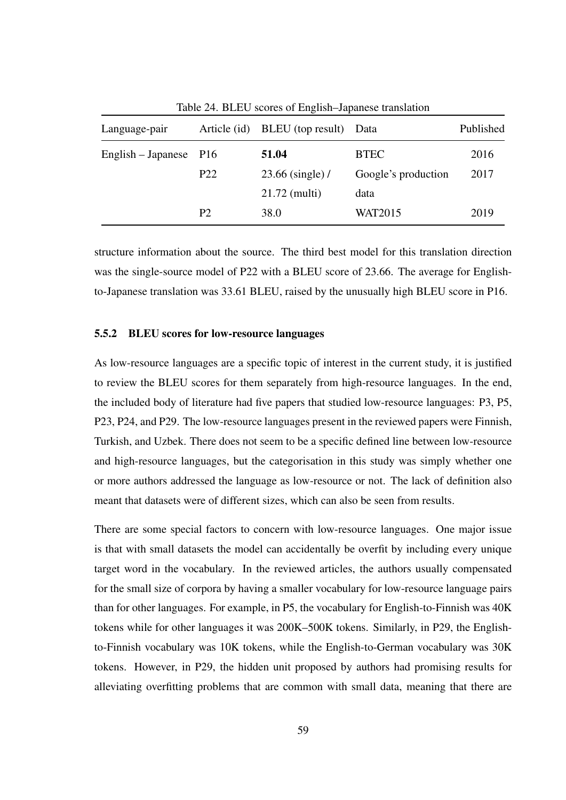| Language-pair          |                 | Article (id) BLEU (top result) | Data                | Published |
|------------------------|-----------------|--------------------------------|---------------------|-----------|
| English – Japanese P16 |                 | 51.04                          | <b>BTEC</b>         | 2016      |
|                        | P <sub>22</sub> | 23.66 (single) /               | Google's production | 2017      |
|                        |                 | $21.72$ (multi)                | data                |           |
|                        | P <sub>2</sub>  | 38.0                           | <b>WAT2015</b>      | 2019      |

<span id="page-66-1"></span>Table 24. BLEU scores of English–Japanese translation

structure information about the source. The third best model for this translation direction was the single-source model of P22 with a BLEU score of 23.66. The average for Englishto-Japanese translation was 33.61 BLEU, raised by the unusually high BLEU score in P16.

#### <span id="page-66-0"></span>5.5.2 BLEU scores for low-resource languages

As low-resource languages are a specific topic of interest in the current study, it is justified to review the BLEU scores for them separately from high-resource languages. In the end, the included body of literature had five papers that studied low-resource languages: P3, P5, P23, P24, and P29. The low-resource languages present in the reviewed papers were Finnish, Turkish, and Uzbek. There does not seem to be a specific defined line between low-resource and high-resource languages, but the categorisation in this study was simply whether one or more authors addressed the language as low-resource or not. The lack of definition also meant that datasets were of different sizes, which can also be seen from results.

There are some special factors to concern with low-resource languages. One major issue is that with small datasets the model can accidentally be overfit by including every unique target word in the vocabulary. In the reviewed articles, the authors usually compensated for the small size of corpora by having a smaller vocabulary for low-resource language pairs than for other languages. For example, in P5, the vocabulary for English-to-Finnish was 40K tokens while for other languages it was 200K–500K tokens. Similarly, in P29, the Englishto-Finnish vocabulary was 10K tokens, while the English-to-German vocabulary was 30K tokens. However, in P29, the hidden unit proposed by authors had promising results for alleviating overfitting problems that are common with small data, meaning that there are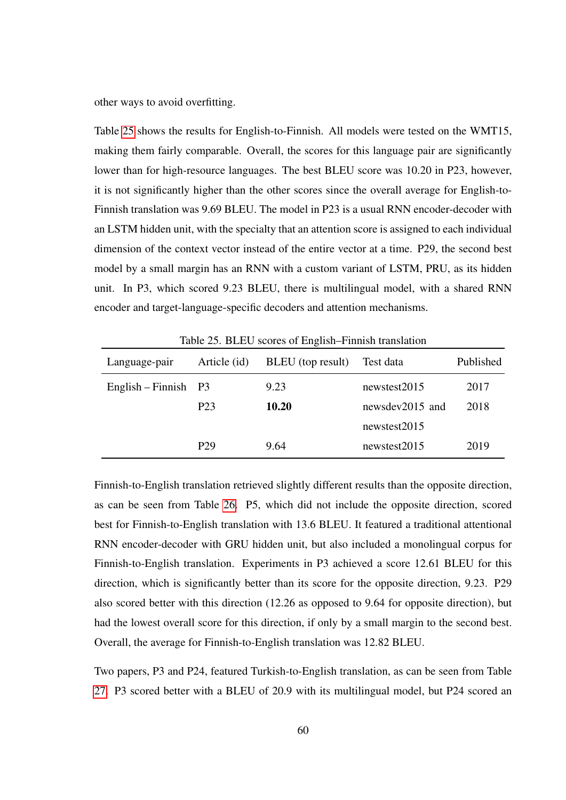other ways to avoid overfitting.

Table [25](#page-67-0) shows the results for English-to-Finnish. All models were tested on the WMT15, making them fairly comparable. Overall, the scores for this language pair are significantly lower than for high-resource languages. The best BLEU score was 10.20 in P23, however, it is not significantly higher than the other scores since the overall average for English-to-Finnish translation was 9.69 BLEU. The model in P23 is a usual RNN encoder-decoder with an LSTM hidden unit, with the specialty that an attention score is assigned to each individual dimension of the context vector instead of the entire vector at a time. P29, the second best model by a small margin has an RNN with a custom variant of LSTM, PRU, as its hidden unit. In P3, which scored 9.23 BLEU, there is multilingual model, with a shared RNN encoder and target-language-specific decoders and attention mechanisms.

| Language-pair          | Article (id)     | BLEU (top result) | Test data       | Published |
|------------------------|------------------|-------------------|-----------------|-----------|
| English – Finnish $P3$ |                  | 9.23              | newstest2015    | 2017      |
|                        | P <sub>2</sub> 3 | 10.20             | newsdev2015 and | 2018      |
|                        |                  |                   | newstest2015    |           |
|                        | P <sub>29</sub>  | 9.64              | newstest2015    | 2019      |

<span id="page-67-0"></span>Table 25. BLEU scores of English–Finnish translation

Finnish-to-English translation retrieved slightly different results than the opposite direction, as can be seen from Table [26.](#page-68-0) P5, which did not include the opposite direction, scored best for Finnish-to-English translation with 13.6 BLEU. It featured a traditional attentional RNN encoder-decoder with GRU hidden unit, but also included a monolingual corpus for Finnish-to-English translation. Experiments in P3 achieved a score 12.61 BLEU for this direction, which is significantly better than its score for the opposite direction, 9.23. P29 also scored better with this direction (12.26 as opposed to 9.64 for opposite direction), but had the lowest overall score for this direction, if only by a small margin to the second best. Overall, the average for Finnish-to-English translation was 12.82 BLEU.

Two papers, P3 and P24, featured Turkish-to-English translation, as can be seen from Table [27.](#page-68-1) P3 scored better with a BLEU of 20.9 with its multilingual model, but P24 scored an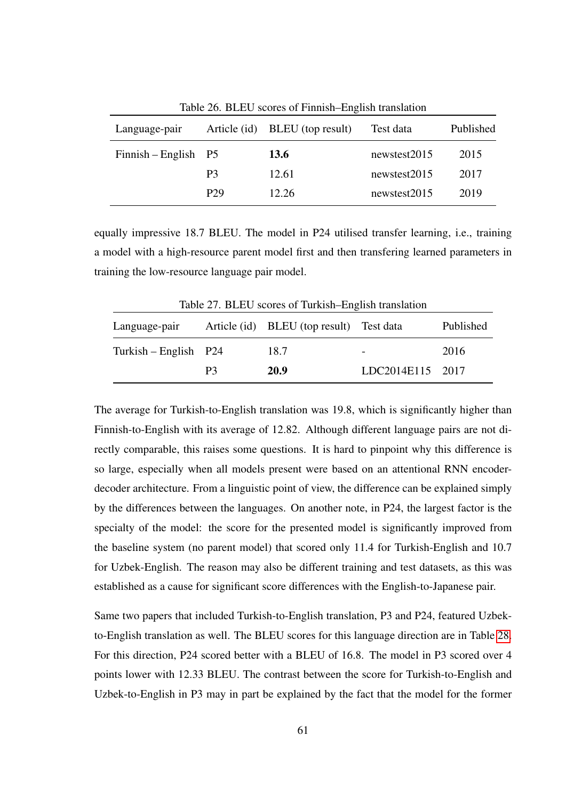| Language-pair          | Article (id)    | BLEU (top result) | Test data    | Published |
|------------------------|-----------------|-------------------|--------------|-----------|
| $Finnish - English$ P5 |                 | 13.6              | newstest2015 | 2015      |
|                        | P <sub>3</sub>  | 12.61             | newstest2015 | 2017      |
|                        | P <sub>29</sub> | 12.26             | newstest2015 | 2019      |

<span id="page-68-0"></span>Table 26. BLEU scores of Finnish–English translation

equally impressive 18.7 BLEU. The model in P24 utilised transfer learning, i.e., training a model with a high-resource parent model first and then transfering learned parameters in training the low-resource language pair model.

<span id="page-68-1"></span>

| Table 27. BLEU scores of Turkish-English translation |    |                                          |                  |           |
|------------------------------------------------------|----|------------------------------------------|------------------|-----------|
| Language-pair                                        |    | Article (id) BLEU (top result) Test data |                  | Published |
| $Turkish - English$ P24                              |    | 18.7                                     |                  | 2016      |
|                                                      | P3 | 20.9                                     | LDC2014E115 2017 |           |

The average for Turkish-to-English translation was 19.8, which is significantly higher than Finnish-to-English with its average of 12.82. Although different language pairs are not directly comparable, this raises some questions. It is hard to pinpoint why this difference is so large, especially when all models present were based on an attentional RNN encoderdecoder architecture. From a linguistic point of view, the difference can be explained simply by the differences between the languages. On another note, in P24, the largest factor is the specialty of the model: the score for the presented model is significantly improved from the baseline system (no parent model) that scored only 11.4 for Turkish-English and 10.7 for Uzbek-English. The reason may also be different training and test datasets, as this was established as a cause for significant score differences with the English-to-Japanese pair.

Same two papers that included Turkish-to-English translation, P3 and P24, featured Uzbekto-English translation as well. The BLEU scores for this language direction are in Table [28.](#page-69-0) For this direction, P24 scored better with a BLEU of 16.8. The model in P3 scored over 4 points lower with 12.33 BLEU. The contrast between the score for Turkish-to-English and Uzbek-to-English in P3 may in part be explained by the fact that the model for the former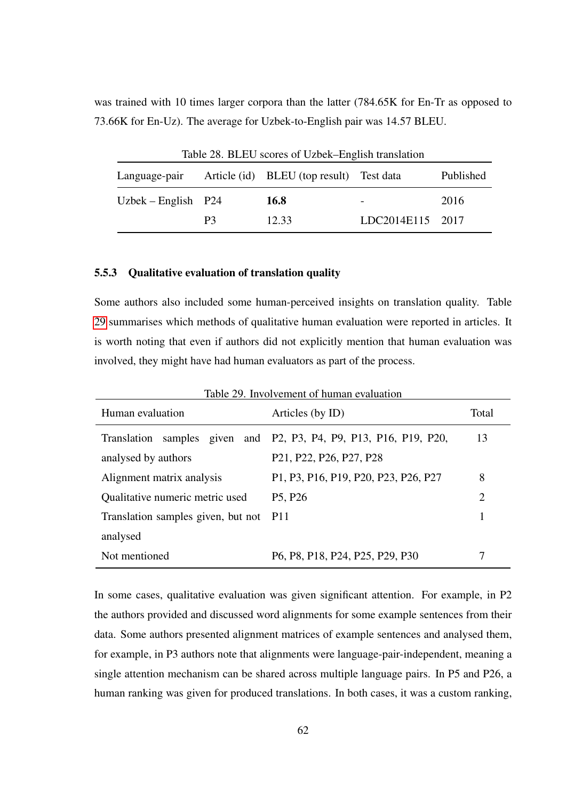was trained with 10 times larger corpora than the latter (784.65K for En-Tr as opposed to 73.66K for En-Uz). The average for Uzbek-to-English pair was 14.57 BLEU.

<span id="page-69-0"></span>

| Table 28. BLEU scores of Uzbek–English translation |    |                                                        |                  |           |
|----------------------------------------------------|----|--------------------------------------------------------|------------------|-----------|
|                                                    |    | Language-pair Article (id) BLEU (top result) Test data |                  | Published |
| Uzbek – English $P24$                              |    | 16.8                                                   |                  | 2016      |
|                                                    | P3 | 12.33                                                  | LDC2014E115 2017 |           |

#### 5.5.3 Qualitative evaluation of translation quality

Some authors also included some human-perceived insights on translation quality. Table [29](#page-69-1) summarises which methods of qualitative human evaluation were reported in articles. It is worth noting that even if authors did not explicitly mention that human evaluation was involved, they might have had human evaluators as part of the process.

<span id="page-69-1"></span>

| Table 29. Involvement of human evaluation |                                                                                         |                |  |
|-------------------------------------------|-----------------------------------------------------------------------------------------|----------------|--|
| Human evaluation                          | Articles (by ID)                                                                        | Total          |  |
| Translation                               | samples given and P2, P3, P4, P9, P13, P16, P19, P20,                                   | 13             |  |
| analysed by authors                       | P <sub>21</sub> , P <sub>22</sub> , P <sub>26</sub> , P <sub>27</sub> , P <sub>28</sub> |                |  |
| Alignment matrix analysis                 | P1, P3, P16, P19, P20, P23, P26, P27                                                    | 8              |  |
| Qualitative numeric metric used           | P <sub>5</sub> , P <sub>26</sub>                                                        | $\overline{2}$ |  |
| Translation samples given, but not P11    |                                                                                         |                |  |
| analysed                                  |                                                                                         |                |  |
| Not mentioned                             | P6, P8, P18, P24, P25, P29, P30                                                         | 7              |  |

In some cases, qualitative evaluation was given significant attention. For example, in P2 the authors provided and discussed word alignments for some example sentences from their data. Some authors presented alignment matrices of example sentences and analysed them, for example, in P3 authors note that alignments were language-pair-independent, meaning a single attention mechanism can be shared across multiple language pairs. In P5 and P26, a human ranking was given for produced translations. In both cases, it was a custom ranking,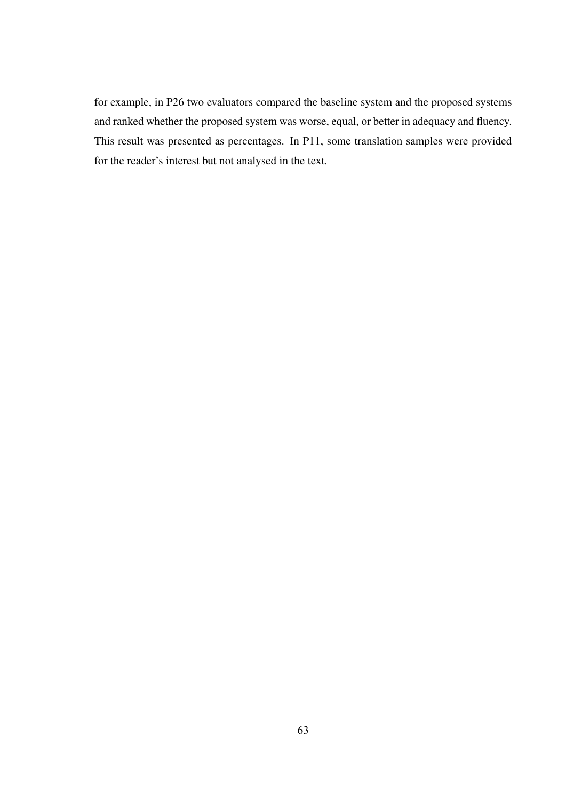for example, in P26 two evaluators compared the baseline system and the proposed systems and ranked whether the proposed system was worse, equal, or better in adequacy and fluency. This result was presented as percentages. In P11, some translation samples were provided for the reader's interest but not analysed in the text.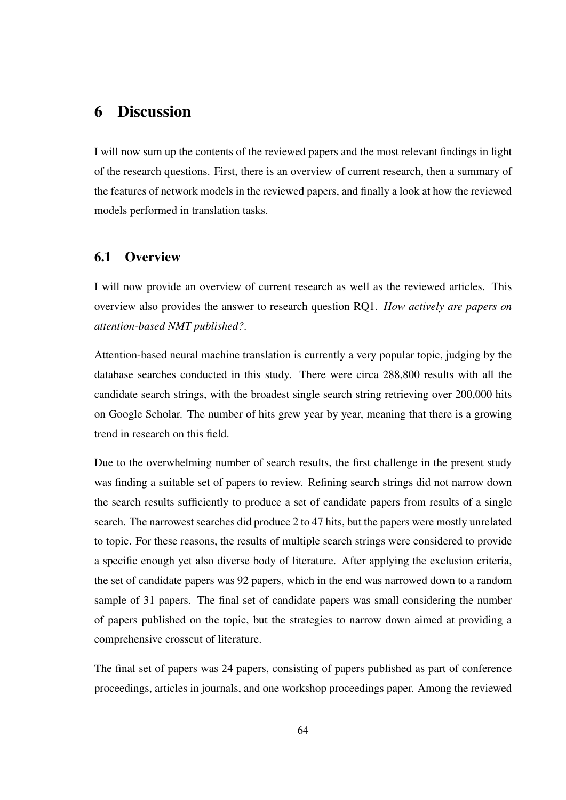# 6 Discussion

I will now sum up the contents of the reviewed papers and the most relevant findings in light of the research questions. First, there is an overview of current research, then a summary of the features of network models in the reviewed papers, and finally a look at how the reviewed models performed in translation tasks.

## 6.1 Overview

I will now provide an overview of current research as well as the reviewed articles. This overview also provides the answer to research question RQ1. *How actively are papers on attention-based NMT published?*.

Attention-based neural machine translation is currently a very popular topic, judging by the database searches conducted in this study. There were circa 288,800 results with all the candidate search strings, with the broadest single search string retrieving over 200,000 hits on Google Scholar. The number of hits grew year by year, meaning that there is a growing trend in research on this field.

Due to the overwhelming number of search results, the first challenge in the present study was finding a suitable set of papers to review. Refining search strings did not narrow down the search results sufficiently to produce a set of candidate papers from results of a single search. The narrowest searches did produce 2 to 47 hits, but the papers were mostly unrelated to topic. For these reasons, the results of multiple search strings were considered to provide a specific enough yet also diverse body of literature. After applying the exclusion criteria, the set of candidate papers was 92 papers, which in the end was narrowed down to a random sample of 31 papers. The final set of candidate papers was small considering the number of papers published on the topic, but the strategies to narrow down aimed at providing a comprehensive crosscut of literature.

The final set of papers was 24 papers, consisting of papers published as part of conference proceedings, articles in journals, and one workshop proceedings paper. Among the reviewed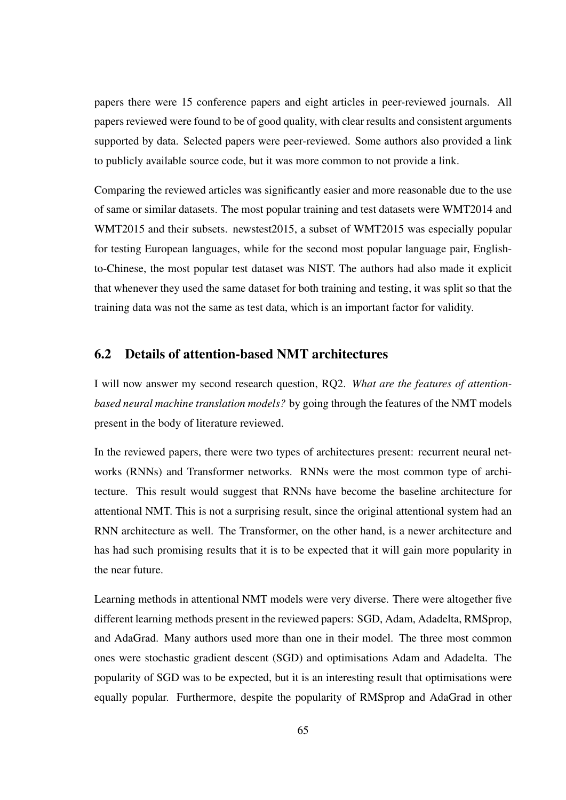papers there were 15 conference papers and eight articles in peer-reviewed journals. All papers reviewed were found to be of good quality, with clear results and consistent arguments supported by data. Selected papers were peer-reviewed. Some authors also provided a link to publicly available source code, but it was more common to not provide a link.

Comparing the reviewed articles was significantly easier and more reasonable due to the use of same or similar datasets. The most popular training and test datasets were WMT2014 and WMT2015 and their subsets. newstest2015, a subset of WMT2015 was especially popular for testing European languages, while for the second most popular language pair, Englishto-Chinese, the most popular test dataset was NIST. The authors had also made it explicit that whenever they used the same dataset for both training and testing, it was split so that the training data was not the same as test data, which is an important factor for validity.

#### 6.2 Details of attention-based NMT architectures

I will now answer my second research question, RQ2. *What are the features of attentionbased neural machine translation models?* by going through the features of the NMT models present in the body of literature reviewed.

In the reviewed papers, there were two types of architectures present: recurrent neural networks (RNNs) and Transformer networks. RNNs were the most common type of architecture. This result would suggest that RNNs have become the baseline architecture for attentional NMT. This is not a surprising result, since the original attentional system had an RNN architecture as well. The Transformer, on the other hand, is a newer architecture and has had such promising results that it is to be expected that it will gain more popularity in the near future.

Learning methods in attentional NMT models were very diverse. There were altogether five different learning methods present in the reviewed papers: SGD, Adam, Adadelta, RMSprop, and AdaGrad. Many authors used more than one in their model. The three most common ones were stochastic gradient descent (SGD) and optimisations Adam and Adadelta. The popularity of SGD was to be expected, but it is an interesting result that optimisations were equally popular. Furthermore, despite the popularity of RMSprop and AdaGrad in other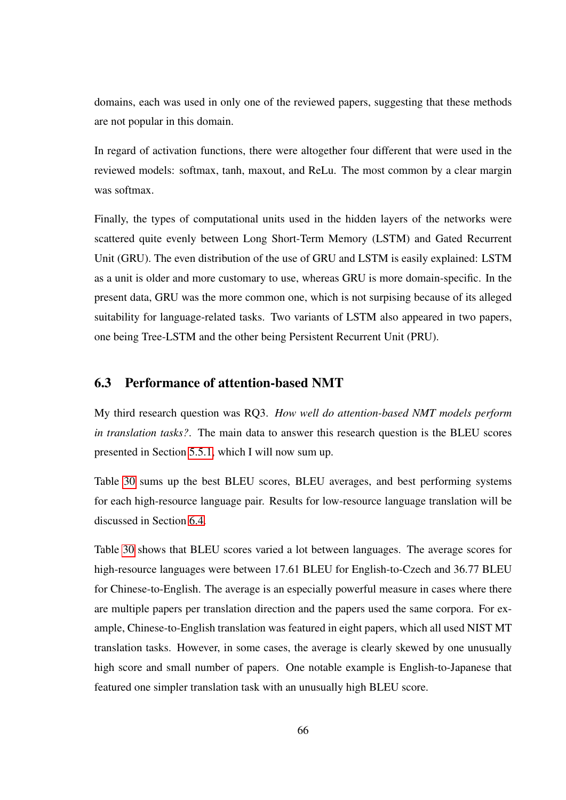domains, each was used in only one of the reviewed papers, suggesting that these methods are not popular in this domain.

In regard of activation functions, there were altogether four different that were used in the reviewed models: softmax, tanh, maxout, and ReLu. The most common by a clear margin was softmax.

Finally, the types of computational units used in the hidden layers of the networks were scattered quite evenly between Long Short-Term Memory (LSTM) and Gated Recurrent Unit (GRU). The even distribution of the use of GRU and LSTM is easily explained: LSTM as a unit is older and more customary to use, whereas GRU is more domain-specific. In the present data, GRU was the more common one, which is not surpising because of its alleged suitability for language-related tasks. Two variants of LSTM also appeared in two papers, one being Tree-LSTM and the other being Persistent Recurrent Unit (PRU).

### 6.3 Performance of attention-based NMT

My third research question was RQ3. *How well do attention-based NMT models perform in translation tasks?*. The main data to answer this research question is the BLEU scores presented in Section [5.5.1,](#page-58-0) which I will now sum up.

Table [30](#page-74-0) sums up the best BLEU scores, BLEU averages, and best performing systems for each high-resource language pair. Results for low-resource language translation will be discussed in Section [6.4.](#page-76-0)

Table [30](#page-74-0) shows that BLEU scores varied a lot between languages. The average scores for high-resource languages were between 17.61 BLEU for English-to-Czech and 36.77 BLEU for Chinese-to-English. The average is an especially powerful measure in cases where there are multiple papers per translation direction and the papers used the same corpora. For example, Chinese-to-English translation was featured in eight papers, which all used NIST MT translation tasks. However, in some cases, the average is clearly skewed by one unusually high score and small number of papers. One notable example is English-to-Japanese that featured one simpler translation task with an unusually high BLEU score.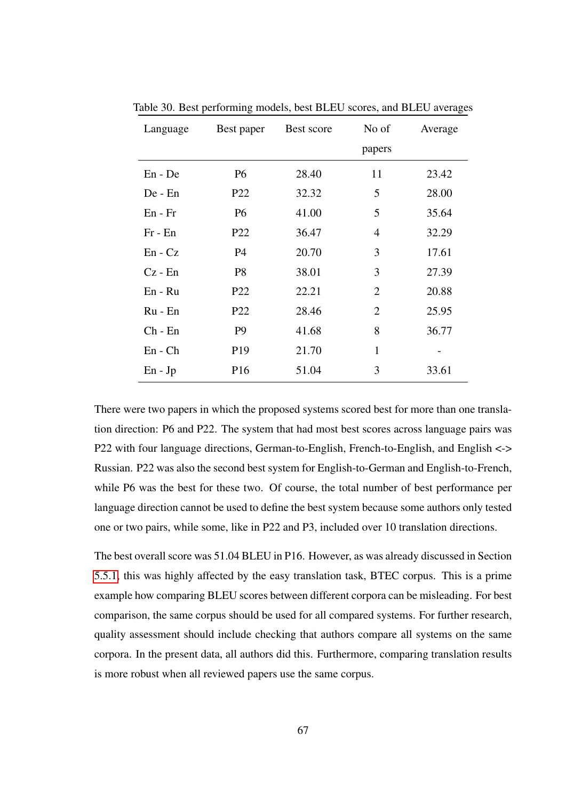| Language    | Best paper      | Best score | No of          | Average |
|-------------|-----------------|------------|----------------|---------|
|             |                 |            | papers         |         |
| En - De     | P <sub>6</sub>  | 28.40      | 11             | 23.42   |
| De - En     | P <sub>22</sub> | 32.32      | 5              | 28.00   |
| $En - Fr$   | <b>P6</b>       | 41.00      | 5              | 35.64   |
| $Fr - En$   | P <sub>22</sub> | 36.47      | $\overline{4}$ | 32.29   |
| $En - Cz$   | P <sub>4</sub>  | 20.70      | 3              | 17.61   |
| $Cz - En$   | P <sub>8</sub>  | 38.01      | 3              | 27.39   |
| $En - Ru$   | P <sub>22</sub> | 22.21      | $\overline{2}$ | 20.88   |
| Ru - En     | P <sub>22</sub> | 28.46      | $\overline{2}$ | 25.95   |
| $Ch$ - $En$ | P <sub>9</sub>  | 41.68      | 8              | 36.77   |
| $En - Ch$   | P <sub>19</sub> | 21.70      | $\mathbf{1}$   |         |
| $En - Jp$   | P <sub>16</sub> | 51.04      | 3              | 33.61   |

<span id="page-74-0"></span>Table 30. Best performing models, best BLEU scores, and BLEU averages

There were two papers in which the proposed systems scored best for more than one translation direction: P6 and P22. The system that had most best scores across language pairs was P22 with four language directions, German-to-English, French-to-English, and English <-> Russian. P22 was also the second best system for English-to-German and English-to-French, while P6 was the best for these two. Of course, the total number of best performance per language direction cannot be used to define the best system because some authors only tested one or two pairs, while some, like in P22 and P3, included over 10 translation directions.

The best overall score was 51.04 BLEU in P16. However, as was already discussed in Section [5.5.1,](#page-58-0) this was highly affected by the easy translation task, BTEC corpus. This is a prime example how comparing BLEU scores between different corpora can be misleading. For best comparison, the same corpus should be used for all compared systems. For further research, quality assessment should include checking that authors compare all systems on the same corpora. In the present data, all authors did this. Furthermore, comparing translation results is more robust when all reviewed papers use the same corpus.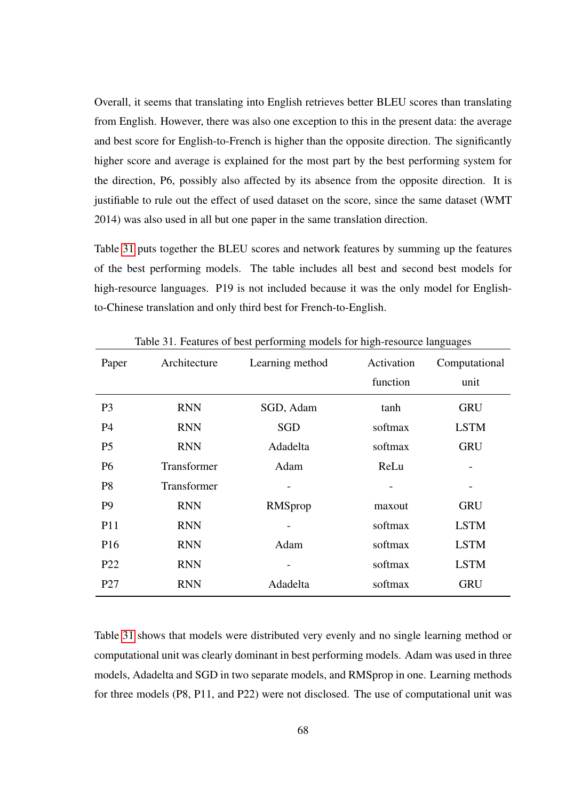Overall, it seems that translating into English retrieves better BLEU scores than translating from English. However, there was also one exception to this in the present data: the average and best score for English-to-French is higher than the opposite direction. The significantly higher score and average is explained for the most part by the best performing system for the direction, P6, possibly also affected by its absence from the opposite direction. It is justifiable to rule out the effect of used dataset on the score, since the same dataset (WMT 2014) was also used in all but one paper in the same translation direction.

Table [31](#page-75-0) puts together the BLEU scores and network features by summing up the features of the best performing models. The table includes all best and second best models for high-resource languages. P19 is not included because it was the only model for Englishto-Chinese translation and only third best for French-to-English.

| Paper           | Architecture | Learning method | Activation | Computational |
|-----------------|--------------|-----------------|------------|---------------|
|                 |              |                 | function   | unit          |
| P <sub>3</sub>  | <b>RNN</b>   | SGD, Adam       | tanh       | <b>GRU</b>    |
| <b>P4</b>       | <b>RNN</b>   | SGD             | softmax    | <b>LSTM</b>   |
| P <sub>5</sub>  | <b>RNN</b>   | Adadelta        | softmax    | <b>GRU</b>    |
| <b>P6</b>       | Transformer  | Adam            | ReLu       |               |
| P <sub>8</sub>  | Transformer  |                 |            |               |
| P <sub>9</sub>  | <b>RNN</b>   | RMSprop         | maxout     | <b>GRU</b>    |
| P11             | <b>RNN</b>   |                 | softmax    | <b>LSTM</b>   |
| P <sub>16</sub> | <b>RNN</b>   | Adam            | softmax    | <b>LSTM</b>   |
| P <sub>22</sub> | <b>RNN</b>   |                 | softmax    | <b>LSTM</b>   |
| P <sub>27</sub> | <b>RNN</b>   | Adadelta        | softmax    | <b>GRU</b>    |

<span id="page-75-0"></span>Table 31. Features of best performing models for high-resource languages

Table [31](#page-75-0) shows that models were distributed very evenly and no single learning method or computational unit was clearly dominant in best performing models. Adam was used in three models, Adadelta and SGD in two separate models, and RMSprop in one. Learning methods for three models (P8, P11, and P22) were not disclosed. The use of computational unit was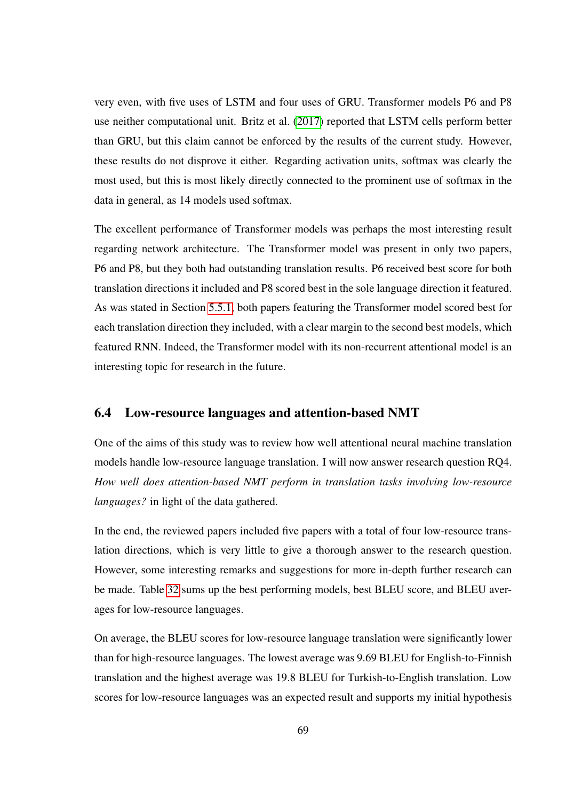very even, with five uses of LSTM and four uses of GRU. Transformer models P6 and P8 use neither computational unit. Britz et al. [\(2017\)](#page-81-0) reported that LSTM cells perform better than GRU, but this claim cannot be enforced by the results of the current study. However, these results do not disprove it either. Regarding activation units, softmax was clearly the most used, but this is most likely directly connected to the prominent use of softmax in the data in general, as 14 models used softmax.

The excellent performance of Transformer models was perhaps the most interesting result regarding network architecture. The Transformer model was present in only two papers, P6 and P8, but they both had outstanding translation results. P6 received best score for both translation directions it included and P8 scored best in the sole language direction it featured. As was stated in Section [5.5.1,](#page-58-0) both papers featuring the Transformer model scored best for each translation direction they included, with a clear margin to the second best models, which featured RNN. Indeed, the Transformer model with its non-recurrent attentional model is an interesting topic for research in the future.

### <span id="page-76-0"></span>6.4 Low-resource languages and attention-based NMT

One of the aims of this study was to review how well attentional neural machine translation models handle low-resource language translation. I will now answer research question RQ4. *How well does attention-based NMT perform in translation tasks involving low-resource languages?* in light of the data gathered.

In the end, the reviewed papers included five papers with a total of four low-resource translation directions, which is very little to give a thorough answer to the research question. However, some interesting remarks and suggestions for more in-depth further research can be made. Table [32](#page-77-0) sums up the best performing models, best BLEU score, and BLEU averages for low-resource languages.

On average, the BLEU scores for low-resource language translation were significantly lower than for high-resource languages. The lowest average was 9.69 BLEU for English-to-Finnish translation and the highest average was 19.8 BLEU for Turkish-to-English translation. Low scores for low-resource languages was an expected result and supports my initial hypothesis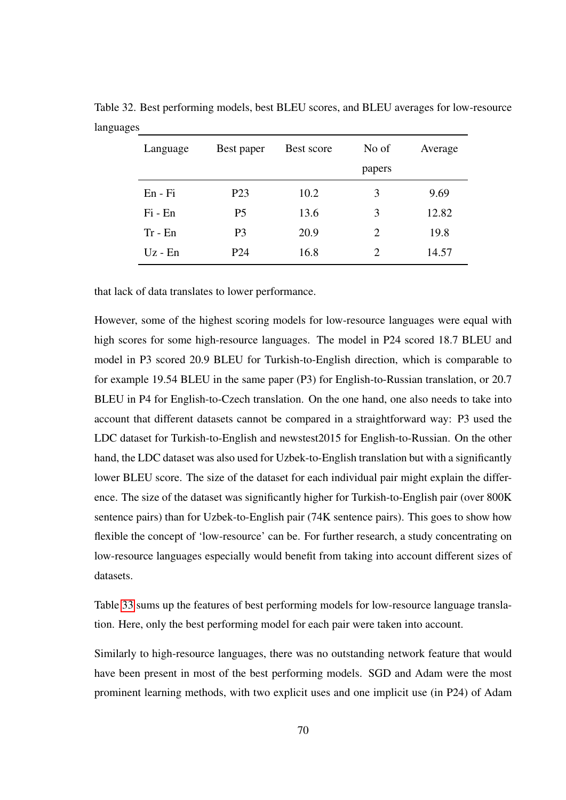<span id="page-77-0"></span>

| Language  | Best paper       | Best score | No of  | Average |
|-----------|------------------|------------|--------|---------|
|           |                  |            | papers |         |
| En - Fi   | P <sub>2</sub> 3 | 10.2       | 3      | 9.69    |
| $Fi - En$ | P <sub>5</sub>   | 13.6       | 3      | 12.82   |
| $Tr - En$ | P <sub>3</sub>   | 20.9       | 2      | 19.8    |
| $Uz - En$ | P <sub>24</sub>  | 16.8       | 2      | 14.57   |

Table 32. Best performing models, best BLEU scores, and BLEU averages for low-resource languages

that lack of data translates to lower performance.

However, some of the highest scoring models for low-resource languages were equal with high scores for some high-resource languages. The model in P24 scored 18.7 BLEU and model in P3 scored 20.9 BLEU for Turkish-to-English direction, which is comparable to for example 19.54 BLEU in the same paper (P3) for English-to-Russian translation, or 20.7 BLEU in P4 for English-to-Czech translation. On the one hand, one also needs to take into account that different datasets cannot be compared in a straightforward way: P3 used the LDC dataset for Turkish-to-English and newstest2015 for English-to-Russian. On the other hand, the LDC dataset was also used for Uzbek-to-English translation but with a significantly lower BLEU score. The size of the dataset for each individual pair might explain the difference. The size of the dataset was significantly higher for Turkish-to-English pair (over 800K sentence pairs) than for Uzbek-to-English pair (74K sentence pairs). This goes to show how flexible the concept of 'low-resource' can be. For further research, a study concentrating on low-resource languages especially would benefit from taking into account different sizes of datasets.

Table [33](#page-78-0) sums up the features of best performing models for low-resource language translation. Here, only the best performing model for each pair were taken into account.

Similarly to high-resource languages, there was no outstanding network feature that would have been present in most of the best performing models. SGD and Adam were the most prominent learning methods, with two explicit uses and one implicit use (in P24) of Adam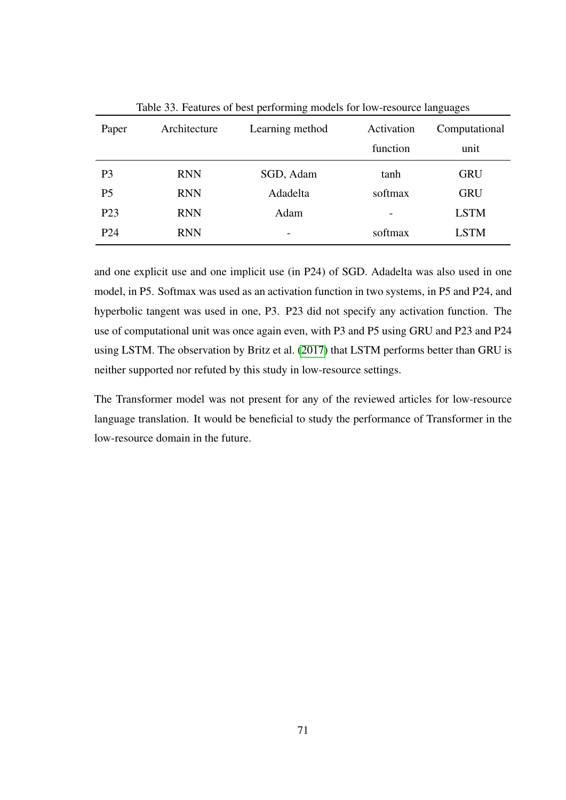|                 |              | ັ               |                          | ັ             |
|-----------------|--------------|-----------------|--------------------------|---------------|
| Paper           | Architecture | Learning method | Activation               | Computational |
|                 |              |                 | function                 | unit          |
| P <sub>3</sub>  | <b>RNN</b>   | SGD, Adam       | tanh                     | <b>GRU</b>    |
| P <sub>5</sub>  | <b>RNN</b>   | Adadelta        | softmax                  | <b>GRU</b>    |
| P <sub>23</sub> | <b>RNN</b>   | Adam            | $\overline{\phantom{0}}$ | <b>LSTM</b>   |
| P <sub>24</sub> | <b>RNN</b>   |                 | softmax                  | <b>LSTM</b>   |

<span id="page-78-0"></span>Table 33. Features of best performing models for low-resource languages

and one explicit use and one implicit use (in P24) of SGD. Adadelta was also used in one model, in P5. Softmax was used as an activation function in two systems, in P5 and P24, and hyperbolic tangent was used in one, P3. P23 did not specify any activation function. The use of computational unit was once again even, with P3 and P5 using GRU and P23 and P24 using LSTM. The observation by Britz et al. [\(2017\)](#page-81-0) that LSTM performs better than GRU is neither supported nor refuted by this study in low-resource settings.

The Transformer model was not present for any of the reviewed articles for low-resource language translation. It would be beneficial to study the performance of Transformer in the low-resource domain in the future.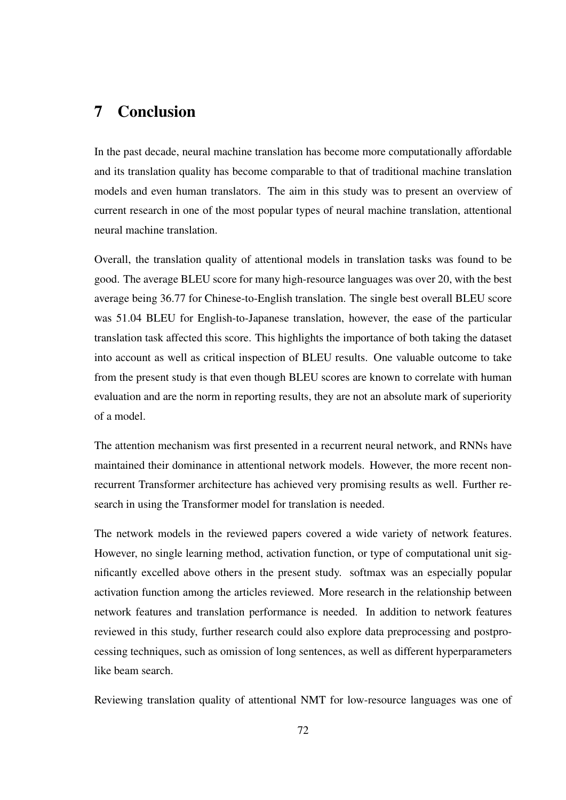## 7 Conclusion

In the past decade, neural machine translation has become more computationally affordable and its translation quality has become comparable to that of traditional machine translation models and even human translators. The aim in this study was to present an overview of current research in one of the most popular types of neural machine translation, attentional neural machine translation.

Overall, the translation quality of attentional models in translation tasks was found to be good. The average BLEU score for many high-resource languages was over 20, with the best average being 36.77 for Chinese-to-English translation. The single best overall BLEU score was 51.04 BLEU for English-to-Japanese translation, however, the ease of the particular translation task affected this score. This highlights the importance of both taking the dataset into account as well as critical inspection of BLEU results. One valuable outcome to take from the present study is that even though BLEU scores are known to correlate with human evaluation and are the norm in reporting results, they are not an absolute mark of superiority of a model.

The attention mechanism was first presented in a recurrent neural network, and RNNs have maintained their dominance in attentional network models. However, the more recent nonrecurrent Transformer architecture has achieved very promising results as well. Further research in using the Transformer model for translation is needed.

The network models in the reviewed papers covered a wide variety of network features. However, no single learning method, activation function, or type of computational unit significantly excelled above others in the present study. softmax was an especially popular activation function among the articles reviewed. More research in the relationship between network features and translation performance is needed. In addition to network features reviewed in this study, further research could also explore data preprocessing and postprocessing techniques, such as omission of long sentences, as well as different hyperparameters like beam search.

Reviewing translation quality of attentional NMT for low-resource languages was one of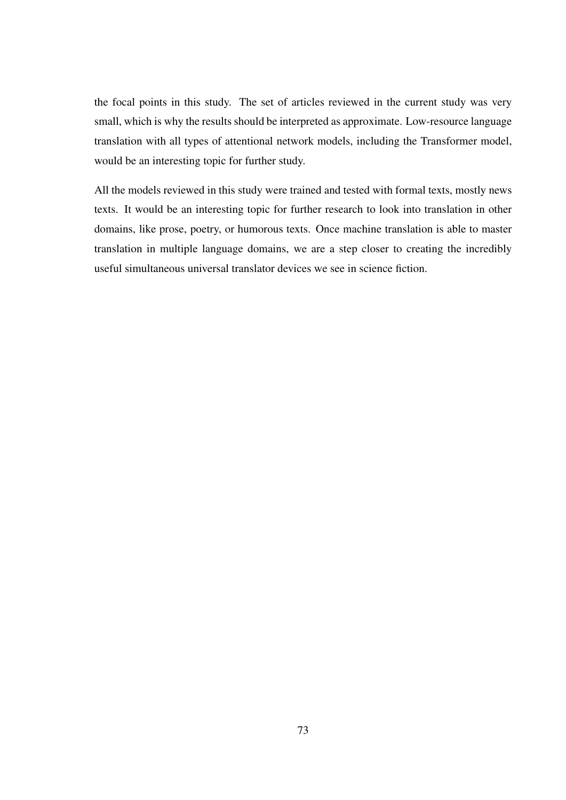the focal points in this study. The set of articles reviewed in the current study was very small, which is why the results should be interpreted as approximate. Low-resource language translation with all types of attentional network models, including the Transformer model, would be an interesting topic for further study.

All the models reviewed in this study were trained and tested with formal texts, mostly news texts. It would be an interesting topic for further research to look into translation in other domains, like prose, poetry, or humorous texts. Once machine translation is able to master translation in multiple language domains, we are a step closer to creating the incredibly useful simultaneous universal translator devices we see in science fiction.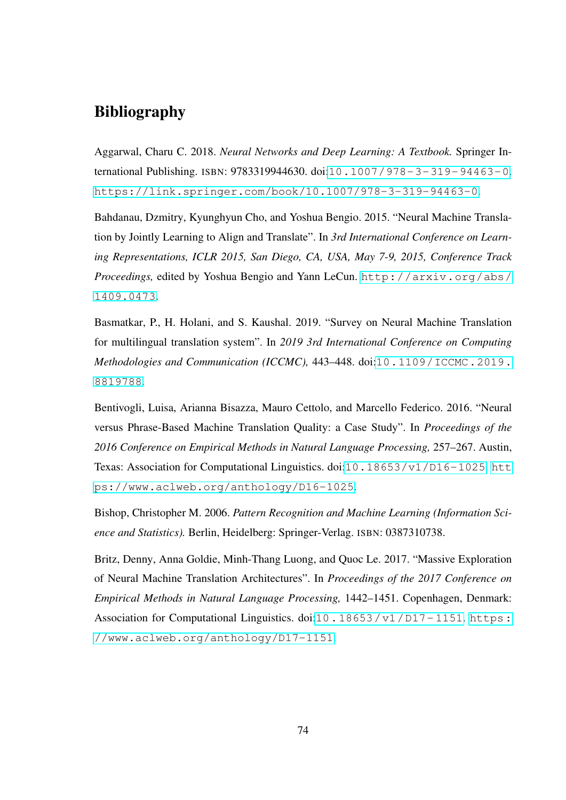# Bibliography

Aggarwal, Charu C. 2018. *Neural Networks and Deep Learning: A Textbook.* Springer International Publishing. ISBN: 9783319944630. doi:[10.1007/978-3-319-94463-0](http://dx.doi.org/10.1007/978-3-319-94463-0). <https://link.springer.com/book/10.1007/978-3-319-94463-0>.

Bahdanau, Dzmitry, Kyunghyun Cho, and Yoshua Bengio. 2015. "Neural Machine Translation by Jointly Learning to Align and Translate". In *3rd International Conference on Learning Representations, ICLR 2015, San Diego, CA, USA, May 7-9, 2015, Conference Track Proceedings,* edited by Yoshua Bengio and Yann LeCun. [http://arxiv.org/abs/](http://arxiv.org/abs/1409.0473) [1409.0473](http://arxiv.org/abs/1409.0473).

Basmatkar, P., H. Holani, and S. Kaushal. 2019. "Survey on Neural Machine Translation for multilingual translation system". In *2019 3rd International Conference on Computing Methodologies and Communication (ICCMC), 443-448. doi:[10.1109/ICCMC.2019.](http://dx.doi.org/10.1109/ICCMC.2019.8819788)* [8819788](http://dx.doi.org/10.1109/ICCMC.2019.8819788).

Bentivogli, Luisa, Arianna Bisazza, Mauro Cettolo, and Marcello Federico. 2016. "Neural versus Phrase-Based Machine Translation Quality: a Case Study". In *Proceedings of the 2016 Conference on Empirical Methods in Natural Language Processing,* 257–267. Austin, Texas: Association for Computational Linguistics. doi:[10.18653/v1/D16-1025](http://dx.doi.org/10.18653/v1/D16-1025). [htt](https://www.aclweb.org/anthology/D16-1025) [ps://www.aclweb.org/anthology/D16-1025](https://www.aclweb.org/anthology/D16-1025).

Bishop, Christopher M. 2006. *Pattern Recognition and Machine Learning (Information Science and Statistics).* Berlin, Heidelberg: Springer-Verlag. ISBN: 0387310738.

<span id="page-81-0"></span>Britz, Denny, Anna Goldie, Minh-Thang Luong, and Quoc Le. 2017. "Massive Exploration of Neural Machine Translation Architectures". In *Proceedings of the 2017 Conference on Empirical Methods in Natural Language Processing,* 1442–1451. Copenhagen, Denmark: Association for Computational Linguistics. doi:10.18653/v1/D17-1151. [https:](https://www.aclweb.org/anthology/D17-1151) [//www.aclweb.org/anthology/D17-1151](https://www.aclweb.org/anthology/D17-1151).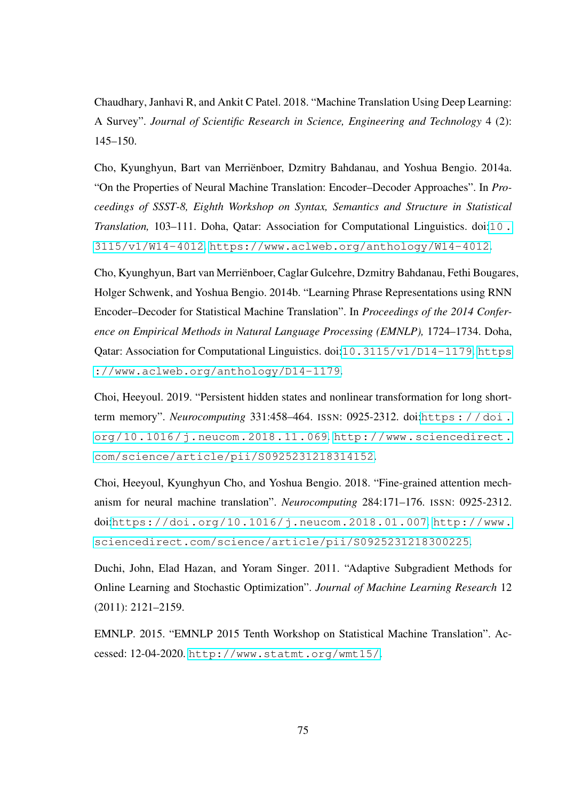Chaudhary, Janhavi R, and Ankit C Patel. 2018. "Machine Translation Using Deep Learning: A Survey". *Journal of Scientific Research in Science, Engineering and Technology* 4 (2): 145–150.

Cho, Kyunghyun, Bart van Merriënboer, Dzmitry Bahdanau, and Yoshua Bengio. 2014a. "On the Properties of Neural Machine Translation: Encoder–Decoder Approaches". In *Proceedings of SSST-8, Eighth Workshop on Syntax, Semantics and Structure in Statistical Translation,* 103–111. Doha, Qatar: Association for Computational Linguistics. doi:[10 .](http://dx.doi.org/10.3115/v1/W14-4012) [3115/v1/W14-4012](http://dx.doi.org/10.3115/v1/W14-4012). <https://www.aclweb.org/anthology/W14-4012>.

Cho, Kyunghyun, Bart van Merriënboer, Caglar Gulcehre, Dzmitry Bahdanau, Fethi Bougares, Holger Schwenk, and Yoshua Bengio. 2014b. "Learning Phrase Representations using RNN Encoder–Decoder for Statistical Machine Translation". In *Proceedings of the 2014 Conference on Empirical Methods in Natural Language Processing (EMNLP),* 1724–1734. Doha, Qatar: Association for Computational Linguistics. doi:[10.3115/v1/D14-1179](http://dx.doi.org/10.3115/v1/D14-1179). [https](https://www.aclweb.org/anthology/D14-1179) [://www.aclweb.org/anthology/D14-1179](https://www.aclweb.org/anthology/D14-1179).

Choi, Heeyoul. 2019. "Persistent hidden states and nonlinear transformation for long shortterm memory". *Neurocomputing* 331:458–464. ISSN: 0925-2312. doi:[https : / / doi .](http://dx.doi.org/https://doi.org/10.1016/j.neucom.2018.11.069) [org/10.1016/j.neucom.2018.11.069](http://dx.doi.org/https://doi.org/10.1016/j.neucom.2018.11.069). [http://www.sciencedirect.](http://www.sciencedirect.com/science/article/pii/S0925231218314152) [com/science/article/pii/S0925231218314152](http://www.sciencedirect.com/science/article/pii/S0925231218314152).

Choi, Heeyoul, Kyunghyun Cho, and Yoshua Bengio. 2018. "Fine-grained attention mechanism for neural machine translation". *Neurocomputing* 284:171–176. ISSN: 0925-2312. doi:[https://doi.org/10.1016/j.neucom.2018.01.007](http://dx.doi.org/https://doi.org/10.1016/j.neucom.2018.01.007). [http://www.](http://www.sciencedirect.com/science/article/pii/S0925231218300225) [sciencedirect.com/science/article/pii/S0925231218300225](http://www.sciencedirect.com/science/article/pii/S0925231218300225).

Duchi, John, Elad Hazan, and Yoram Singer. 2011. "Adaptive Subgradient Methods for Online Learning and Stochastic Optimization". *Journal of Machine Learning Research* 12 (2011): 2121–2159.

EMNLP. 2015. "EMNLP 2015 Tenth Workshop on Statistical Machine Translation". Accessed: 12-04-2020. <http://www.statmt.org/wmt15/>.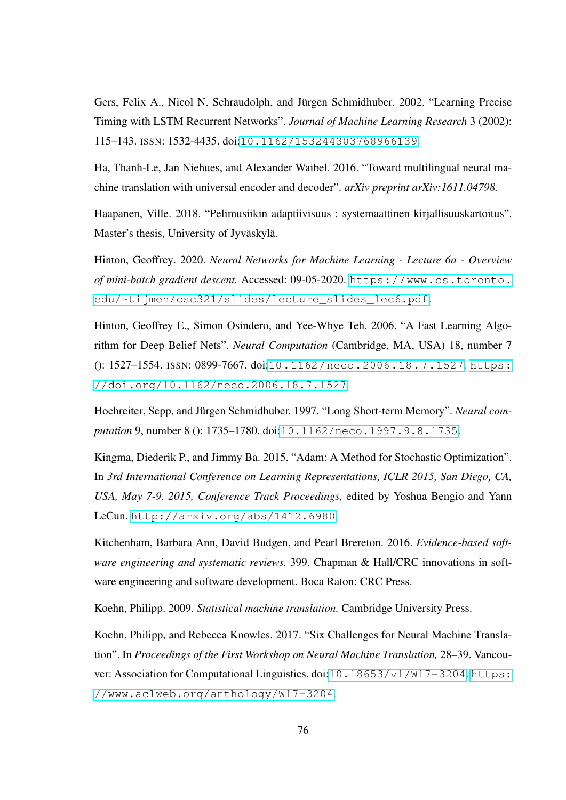Gers, Felix A., Nicol N. Schraudolph, and Jürgen Schmidhuber. 2002. "Learning Precise Timing with LSTM Recurrent Networks". *Journal of Machine Learning Research* 3 (2002): 115–143. ISSN: 1532-4435. doi:[10.1162/153244303768966139](http://dx.doi.org/10.1162/153244303768966139).

Ha, Thanh-Le, Jan Niehues, and Alexander Waibel. 2016. "Toward multilingual neural machine translation with universal encoder and decoder". *arXiv preprint arXiv:1611.04798.*

Haapanen, Ville. 2018. "Pelimusiikin adaptiivisuus : systemaattinen kirjallisuuskartoitus". Master's thesis, University of Jyväskylä.

Hinton, Geoffrey. 2020. *Neural Networks for Machine Learning - Lecture 6a - Overview of mini-batch gradient descent.* Accessed: 09-05-2020. [https://www.cs.toronto.](https://www.cs.toronto.edu/~tijmen/csc321/slides/lecture_slides_lec6.pdf) [edu/~tijmen/csc321/slides/lecture\\_slides\\_lec6.pdf](https://www.cs.toronto.edu/~tijmen/csc321/slides/lecture_slides_lec6.pdf).

Hinton, Geoffrey E., Simon Osindero, and Yee-Whye Teh. 2006. "A Fast Learning Algorithm for Deep Belief Nets". *Neural Computation* (Cambridge, MA, USA) 18, number 7 (): 1527–1554. ISSN: 0899-7667. doi:[10.1162/neco.2006.18.7.1527](http://dx.doi.org/10.1162/neco.2006.18.7.1527). [https:](https://doi.org/10.1162/neco.2006.18.7.1527) [//doi.org/10.1162/neco.2006.18.7.1527](https://doi.org/10.1162/neco.2006.18.7.1527).

Hochreiter, Sepp, and Jürgen Schmidhuber. 1997. "Long Short-term Memory". *Neural computation* 9, number 8 (): 1735–1780. doi:[10.1162/neco.1997.9.8.1735](http://dx.doi.org/10.1162/neco.1997.9.8.1735).

Kingma, Diederik P., and Jimmy Ba. 2015. "Adam: A Method for Stochastic Optimization". In *3rd International Conference on Learning Representations, ICLR 2015, San Diego, CA, USA, May 7-9, 2015, Conference Track Proceedings,* edited by Yoshua Bengio and Yann LeCun. <http://arxiv.org/abs/1412.6980>.

Kitchenham, Barbara Ann, David Budgen, and Pearl Brereton. 2016. *Evidence-based software engineering and systematic reviews.* 399. Chapman & Hall/CRC innovations in software engineering and software development. Boca Raton: CRC Press.

Koehn, Philipp. 2009. *Statistical machine translation.* Cambridge University Press.

Koehn, Philipp, and Rebecca Knowles. 2017. "Six Challenges for Neural Machine Translation". In *Proceedings of the First Workshop on Neural Machine Translation,* 28–39. Vancou-ver: Association for Computational Linguistics. doi:[10.18653/v1/W17-3204](http://dx.doi.org/10.18653/v1/W17-3204).[https:](https://www.aclweb.org/anthology/W17-3204) [//www.aclweb.org/anthology/W17-3204](https://www.aclweb.org/anthology/W17-3204).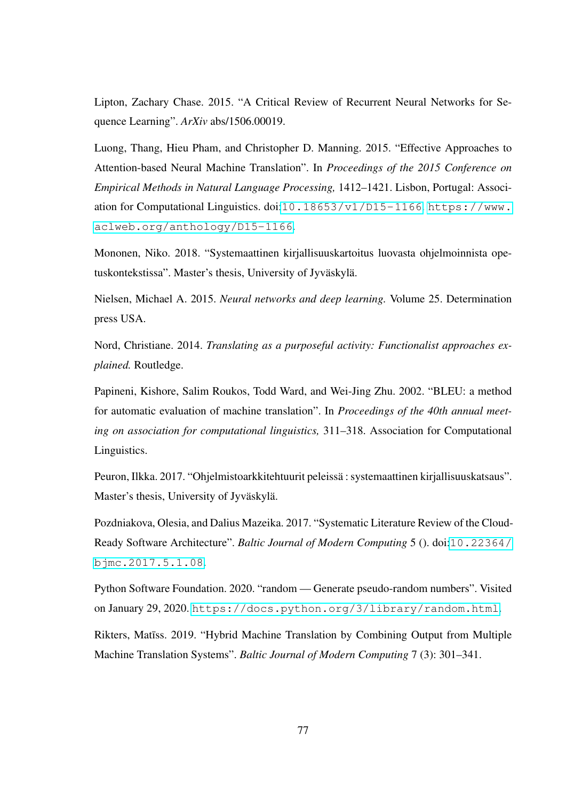Lipton, Zachary Chase. 2015. "A Critical Review of Recurrent Neural Networks for Sequence Learning". *ArXiv* abs/1506.00019.

Luong, Thang, Hieu Pham, and Christopher D. Manning. 2015. "Effective Approaches to Attention-based Neural Machine Translation". In *Proceedings of the 2015 Conference on Empirical Methods in Natural Language Processing,* 1412–1421. Lisbon, Portugal: Association for Computational Linguistics. doi:[10.18653/v1/D15-1166](http://dx.doi.org/10.18653/v1/D15-1166). [https://www.](https://www.aclweb.org/anthology/D15-1166) [aclweb.org/anthology/D15-1166](https://www.aclweb.org/anthology/D15-1166).

Mononen, Niko. 2018. "Systemaattinen kirjallisuuskartoitus luovasta ohjelmoinnista opetuskontekstissa". Master's thesis, University of Jyväskylä.

Nielsen, Michael A. 2015. *Neural networks and deep learning.* Volume 25. Determination press USA.

Nord, Christiane. 2014. *Translating as a purposeful activity: Functionalist approaches explained.* Routledge.

Papineni, Kishore, Salim Roukos, Todd Ward, and Wei-Jing Zhu. 2002. "BLEU: a method for automatic evaluation of machine translation". In *Proceedings of the 40th annual meeting on association for computational linguistics,* 311–318. Association for Computational Linguistics.

Peuron, Ilkka. 2017. "Ohjelmistoarkkitehtuurit peleissä : systemaattinen kirjallisuuskatsaus". Master's thesis, University of Jyväskylä.

Pozdniakova, Olesia, and Dalius Mazeika. 2017. "Systematic Literature Review of the Cloud-Ready Software Architecture". *Baltic Journal of Modern Computing* 5 (). doi:[10.22364/](http://dx.doi.org/10.22364/bjmc.2017.5.1.08) [bjmc.2017.5.1.08](http://dx.doi.org/10.22364/bjmc.2017.5.1.08).

Python Software Foundation. 2020. "random — Generate pseudo-random numbers". Visited on January 29, 2020. <https://docs.python.org/3/library/random.html>.

Rikters, Matiss. 2019. "Hybrid Machine Translation by Combining Output from Multiple Machine Translation Systems". *Baltic Journal of Modern Computing* 7 (3): 301–341.